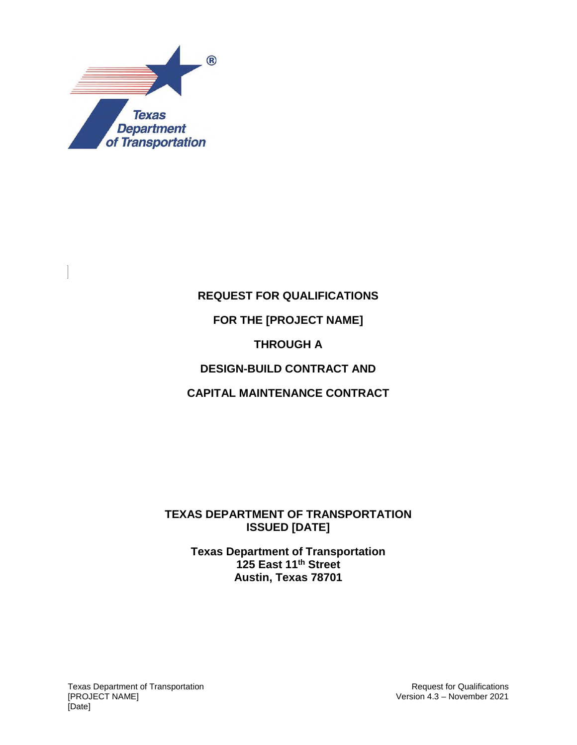

### **REQUEST FOR QUALIFICATIONS**

#### **FOR THE [PROJECT NAME]**

#### **THROUGH A**

### **DESIGN-BUILD CONTRACT AND**

#### **CAPITAL MAINTENANCE CONTRACT**

#### **TEXAS DEPARTMENT OF TRANSPORTATION ISSUED [DATE]**

#### **Texas Department of Transportation 125 East 11th Street Austin, Texas 78701**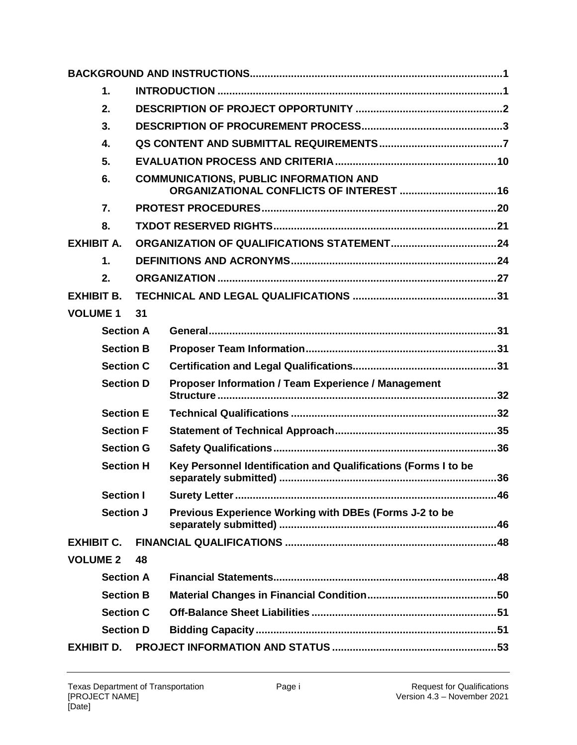|                   | 1.               |    |                                                                |  |  |  |  |
|-------------------|------------------|----|----------------------------------------------------------------|--|--|--|--|
|                   | 2.               |    |                                                                |  |  |  |  |
|                   | 3.               |    |                                                                |  |  |  |  |
|                   | 4.               |    |                                                                |  |  |  |  |
|                   | 5.               |    |                                                                |  |  |  |  |
|                   | 6.               |    | <b>COMMUNICATIONS, PUBLIC INFORMATION AND</b>                  |  |  |  |  |
|                   | 7.               |    |                                                                |  |  |  |  |
|                   | 8.               |    |                                                                |  |  |  |  |
| <b>EXHIBIT A.</b> |                  |    |                                                                |  |  |  |  |
|                   | $\mathbf 1$ .    |    |                                                                |  |  |  |  |
|                   | 2.               |    |                                                                |  |  |  |  |
| <b>EXHIBIT B.</b> |                  |    |                                                                |  |  |  |  |
| <b>VOLUME 1</b>   |                  | 31 |                                                                |  |  |  |  |
|                   | <b>Section A</b> |    |                                                                |  |  |  |  |
|                   | <b>Section B</b> |    |                                                                |  |  |  |  |
|                   | <b>Section C</b> |    |                                                                |  |  |  |  |
|                   | <b>Section D</b> |    | Proposer Information / Team Experience / Management            |  |  |  |  |
|                   | <b>Section E</b> |    |                                                                |  |  |  |  |
|                   | <b>Section F</b> |    |                                                                |  |  |  |  |
|                   | <b>Section G</b> |    |                                                                |  |  |  |  |
| <b>Section H</b>  |                  |    | Key Personnel Identification and Qualifications (Forms I to be |  |  |  |  |
|                   | <b>Section I</b> |    |                                                                |  |  |  |  |
| <b>Section J</b>  |                  |    | Previous Experience Working with DBEs (Forms J-2 to be         |  |  |  |  |
| <b>EXHIBIT C.</b> |                  |    |                                                                |  |  |  |  |
| <b>VOLUME 2</b>   |                  | 48 |                                                                |  |  |  |  |
|                   | <b>Section A</b> |    |                                                                |  |  |  |  |
|                   | <b>Section B</b> |    |                                                                |  |  |  |  |
|                   | <b>Section C</b> |    |                                                                |  |  |  |  |
| <b>Section D</b>  |                  |    |                                                                |  |  |  |  |
| <b>EXHIBIT D.</b> |                  |    |                                                                |  |  |  |  |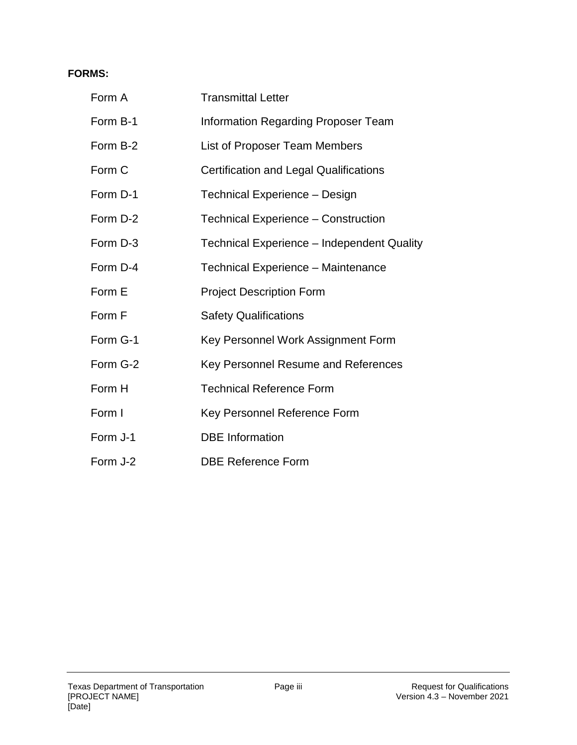#### **FORMS:**

| Form A   | <b>Transmittal Letter</b>                         |  |  |  |
|----------|---------------------------------------------------|--|--|--|
| Form B-1 | <b>Information Regarding Proposer Team</b>        |  |  |  |
| Form B-2 | List of Proposer Team Members                     |  |  |  |
| Form C   | <b>Certification and Legal Qualifications</b>     |  |  |  |
| Form D-1 | Technical Experience - Design                     |  |  |  |
| Form D-2 | Technical Experience - Construction               |  |  |  |
| Form D-3 | <b>Technical Experience – Independent Quality</b> |  |  |  |
| Form D-4 | Technical Experience - Maintenance                |  |  |  |
|          |                                                   |  |  |  |
| Form E   | <b>Project Description Form</b>                   |  |  |  |
| Form F   | <b>Safety Qualifications</b>                      |  |  |  |
| Form G-1 | Key Personnel Work Assignment Form                |  |  |  |
| Form G-2 | Key Personnel Resume and References               |  |  |  |
| Form H   | <b>Technical Reference Form</b>                   |  |  |  |
| Form I   | Key Personnel Reference Form                      |  |  |  |
| Form J-1 | <b>DBE</b> Information                            |  |  |  |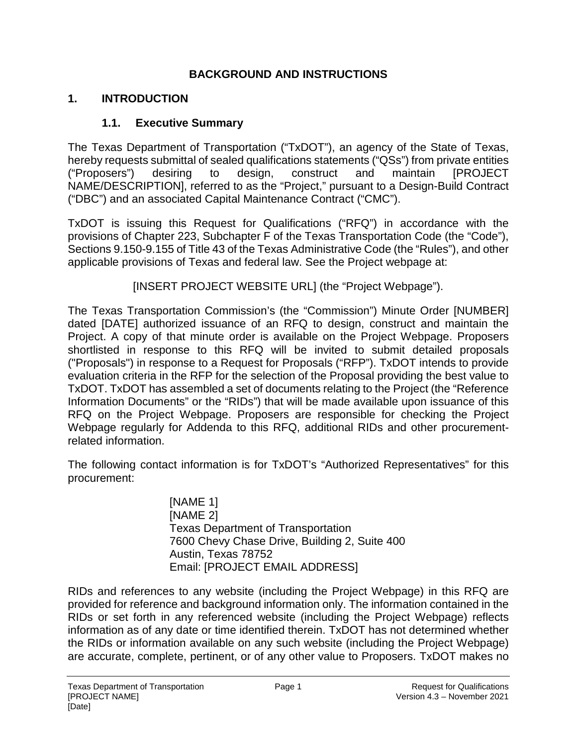### **BACKGROUND AND INSTRUCTIONS**

### **1. INTRODUCTION**

### **1.1. Executive Summary**

The Texas Department of Transportation ("TxDOT"), an agency of the State of Texas, hereby requests submittal of sealed qualifications statements ("QSs") from private entities ("Proposers") desiring to design, construct and maintain [PROJECT NAME/DESCRIPTION], referred to as the "Project," pursuant to a Design-Build Contract ("DBC") and an associated Capital Maintenance Contract ("CMC").

TxDOT is issuing this Request for Qualifications ("RFQ") in accordance with the provisions of Chapter 223, Subchapter F of the Texas Transportation Code (the "Code"), Sections 9.150-9.155 of Title 43 of the Texas Administrative Code (the "Rules"), and other applicable provisions of Texas and federal law. See the Project webpage at:

[INSERT PROJECT WEBSITE URL] (the "Project Webpage").

The Texas Transportation Commission's (the "Commission") Minute Order [NUMBER] dated [DATE] authorized issuance of an RFQ to design, construct and maintain the Project. A copy of that minute order is available on the Project Webpage. Proposers shortlisted in response to this RFQ will be invited to submit detailed proposals ("Proposals") in response to a Request for Proposals ("RFP"). TxDOT intends to provide evaluation criteria in the RFP for the selection of the Proposal providing the best value to TxDOT. TxDOT has assembled a set of documents relating to the Project (the "Reference Information Documents" or the "RIDs") that will be made available upon issuance of this RFQ on the Project Webpage. Proposers are responsible for checking the Project Webpage regularly for Addenda to this RFQ, additional RIDs and other procurementrelated information.

The following contact information is for TxDOT's "Authorized Representatives" for this procurement:

> [NAME 1] [NAME 2] Texas Department of Transportation 7600 Chevy Chase Drive, Building 2, Suite 400 Austin, Texas 78752 Email: [PROJECT EMAIL ADDRESS]

RIDs and references to any website (including the Project Webpage) in this RFQ are provided for reference and background information only. The information contained in the RIDs or set forth in any referenced website (including the Project Webpage) reflects information as of any date or time identified therein. TxDOT has not determined whether the RIDs or information available on any such website (including the Project Webpage) are accurate, complete, pertinent, or of any other value to Proposers. TxDOT makes no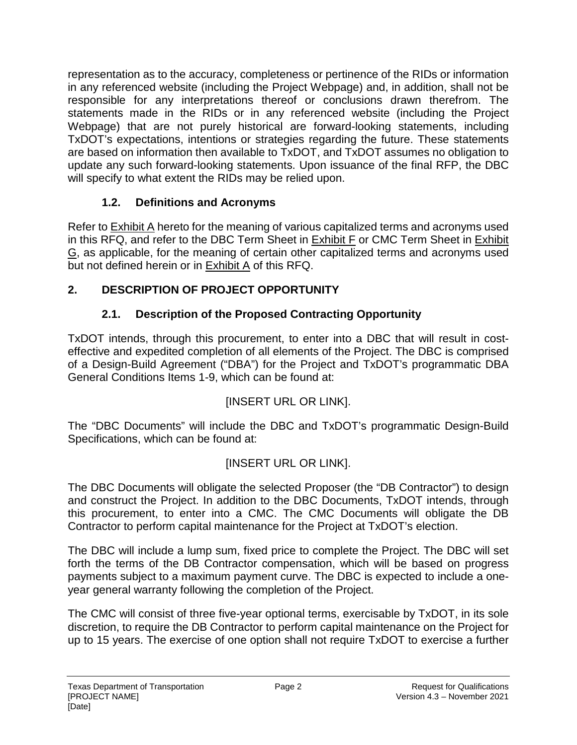representation as to the accuracy, completeness or pertinence of the RIDs or information in any referenced website (including the Project Webpage) and, in addition, shall not be responsible for any interpretations thereof or conclusions drawn therefrom. The statements made in the RIDs or in any referenced website (including the Project Webpage) that are not purely historical are forward-looking statements, including TxDOT's expectations, intentions or strategies regarding the future. These statements are based on information then available to TxDOT, and TxDOT assumes no obligation to update any such forward-looking statements. Upon issuance of the final RFP, the DBC will specify to what extent the RIDs may be relied upon.

## **1.2. Definitions and Acronyms**

Refer to **Exhibit A** hereto for the meaning of various capitalized terms and acronyms used in this RFQ, and refer to the DBC Term Sheet in Exhibit F or CMC Term Sheet in Exhibit G, as applicable, for the meaning of certain other capitalized terms and acronyms used but not defined herein or in Exhibit A of this RFQ.

## **2. DESCRIPTION OF PROJECT OPPORTUNITY**

## **2.1. Description of the Proposed Contracting Opportunity**

TxDOT intends, through this procurement, to enter into a DBC that will result in costeffective and expedited completion of all elements of the Project. The DBC is comprised of a Design-Build Agreement ("DBA") for the Project and TxDOT's programmatic DBA General Conditions Items 1-9, which can be found at:

## [INSERT URL OR LINK].

The "DBC Documents" will include the DBC and TxDOT's programmatic Design-Build Specifications, which can be found at:

## [INSERT URL OR LINK].

The DBC Documents will obligate the selected Proposer (the "DB Contractor") to design and construct the Project. In addition to the DBC Documents, TxDOT intends, through this procurement, to enter into a CMC. The CMC Documents will obligate the DB Contractor to perform capital maintenance for the Project at TxDOT's election.

The DBC will include a lump sum, fixed price to complete the Project. The DBC will set forth the terms of the DB Contractor compensation, which will be based on progress payments subject to a maximum payment curve. The DBC is expected to include a oneyear general warranty following the completion of the Project.

The CMC will consist of three five-year optional terms, exercisable by TxDOT, in its sole discretion, to require the DB Contractor to perform capital maintenance on the Project for up to 15 years. The exercise of one option shall not require TxDOT to exercise a further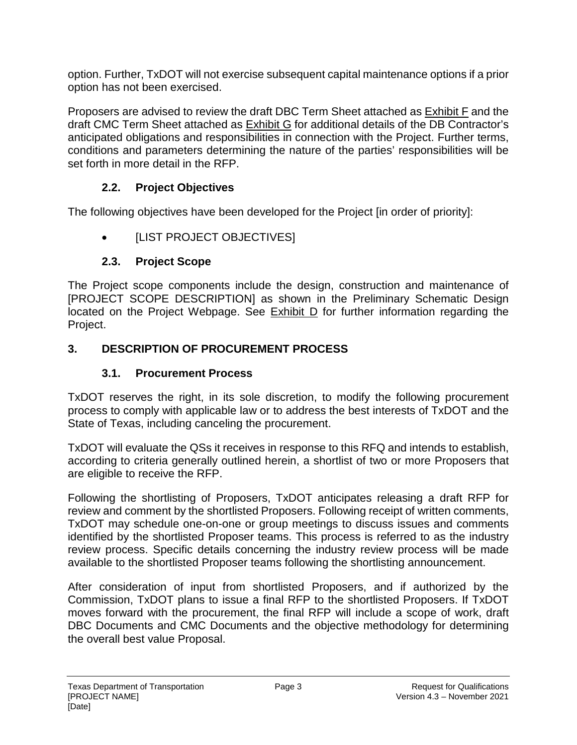option. Further, TxDOT will not exercise subsequent capital maintenance options if a prior option has not been exercised.

Proposers are advised to review the draft DBC Term Sheet attached as Exhibit F and the draft CMC Term Sheet attached as Exhibit G for additional details of the DB Contractor's anticipated obligations and responsibilities in connection with the Project. Further terms, conditions and parameters determining the nature of the parties' responsibilities will be set forth in more detail in the RFP.

### **2.2. Project Objectives**

The following objectives have been developed for the Project [in order of priority]:

• [LIST PROJECT OBJECTIVES]

#### **2.3. Project Scope**

The Project scope components include the design, construction and maintenance of [PROJECT SCOPE DESCRIPTION] as shown in the Preliminary Schematic Design located on the Project Webpage. See Exhibit D for further information regarding the Project.

### **3. DESCRIPTION OF PROCUREMENT PROCESS**

### **3.1. Procurement Process**

TxDOT reserves the right, in its sole discretion, to modify the following procurement process to comply with applicable law or to address the best interests of TxDOT and the State of Texas, including canceling the procurement.

TxDOT will evaluate the QSs it receives in response to this RFQ and intends to establish, according to criteria generally outlined herein, a shortlist of two or more Proposers that are eligible to receive the RFP.

Following the shortlisting of Proposers, TxDOT anticipates releasing a draft RFP for review and comment by the shortlisted Proposers. Following receipt of written comments, TxDOT may schedule one-on-one or group meetings to discuss issues and comments identified by the shortlisted Proposer teams. This process is referred to as the industry review process. Specific details concerning the industry review process will be made available to the shortlisted Proposer teams following the shortlisting announcement.

After consideration of input from shortlisted Proposers, and if authorized by the Commission, TxDOT plans to issue a final RFP to the shortlisted Proposers. If TxDOT moves forward with the procurement, the final RFP will include a scope of work, draft DBC Documents and CMC Documents and the objective methodology for determining the overall best value Proposal.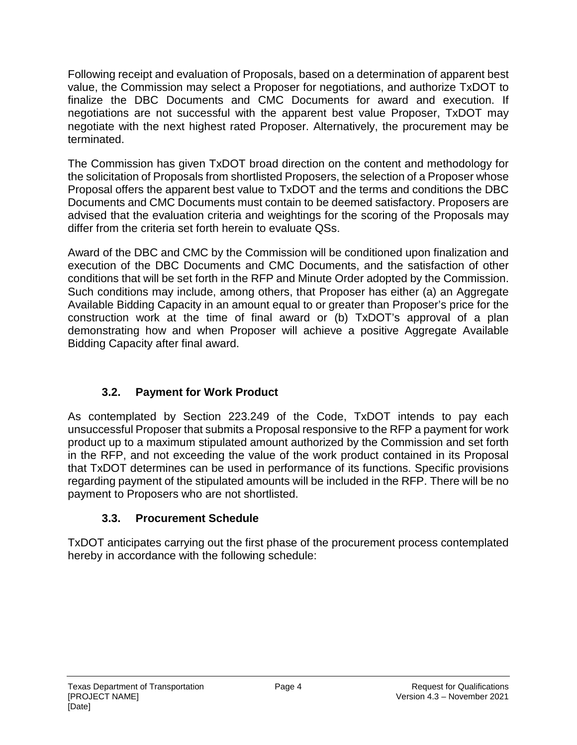Following receipt and evaluation of Proposals, based on a determination of apparent best value, the Commission may select a Proposer for negotiations, and authorize TxDOT to finalize the DBC Documents and CMC Documents for award and execution. If negotiations are not successful with the apparent best value Proposer, TxDOT may negotiate with the next highest rated Proposer. Alternatively, the procurement may be terminated.

The Commission has given TxDOT broad direction on the content and methodology for the solicitation of Proposals from shortlisted Proposers, the selection of a Proposer whose Proposal offers the apparent best value to TxDOT and the terms and conditions the DBC Documents and CMC Documents must contain to be deemed satisfactory. Proposers are advised that the evaluation criteria and weightings for the scoring of the Proposals may differ from the criteria set forth herein to evaluate QSs.

Award of the DBC and CMC by the Commission will be conditioned upon finalization and execution of the DBC Documents and CMC Documents, and the satisfaction of other conditions that will be set forth in the RFP and Minute Order adopted by the Commission. Such conditions may include, among others, that Proposer has either (a) an Aggregate Available Bidding Capacity in an amount equal to or greater than Proposer's price for the construction work at the time of final award or (b) TxDOT's approval of a plan demonstrating how and when Proposer will achieve a positive Aggregate Available Bidding Capacity after final award.

## **3.2. Payment for Work Product**

As contemplated by Section 223.249 of the Code, TxDOT intends to pay each unsuccessful Proposer that submits a Proposal responsive to the RFP a payment for work product up to a maximum stipulated amount authorized by the Commission and set forth in the RFP, and not exceeding the value of the work product contained in its Proposal that TxDOT determines can be used in performance of its functions. Specific provisions regarding payment of the stipulated amounts will be included in the RFP. There will be no payment to Proposers who are not shortlisted.

## **3.3. Procurement Schedule**

TxDOT anticipates carrying out the first phase of the procurement process contemplated hereby in accordance with the following schedule: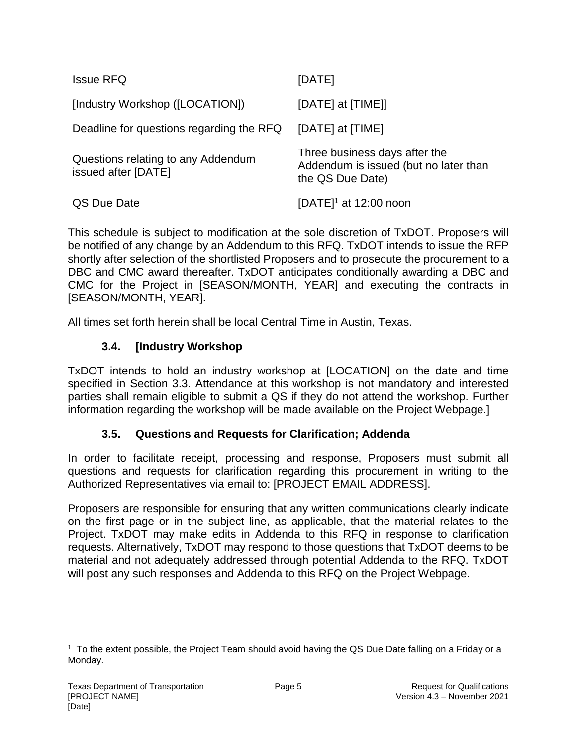| <b>Issue RFQ</b>                                          | [DATE]                                                                                     |
|-----------------------------------------------------------|--------------------------------------------------------------------------------------------|
| [Industry Workshop ([LOCATION])                           | [DATE] at [TIME]]                                                                          |
| Deadline for questions regarding the RFQ                  | [DATE] at [TIME]                                                                           |
| Questions relating to any Addendum<br>issued after [DATE] | Three business days after the<br>Addendum is issued (but no later than<br>the QS Due Date) |
| QS Due Date                                               | [DATE] $1$ at 12:00 noon                                                                   |

This schedule is subject to modification at the sole discretion of TxDOT. Proposers will be notified of any change by an Addendum to this RFQ. TxDOT intends to issue the RFP shortly after selection of the shortlisted Proposers and to prosecute the procurement to a DBC and CMC award thereafter. TxDOT anticipates conditionally awarding a DBC and CMC for the Project in [SEASON/MONTH, YEAR] and executing the contracts in [SEASON/MONTH, YEAR].

All times set forth herein shall be local Central Time in Austin, Texas.

#### **3.4. [Industry Workshop**

TxDOT intends to hold an industry workshop at [LOCATION] on the date and time specified in Section 3.3. Attendance at this workshop is not mandatory and interested parties shall remain eligible to submit a QS if they do not attend the workshop. Further information regarding the workshop will be made available on the Project Webpage.]

#### **3.5. Questions and Requests for Clarification; Addenda**

In order to facilitate receipt, processing and response, Proposers must submit all questions and requests for clarification regarding this procurement in writing to the Authorized Representatives via email to: [PROJECT EMAIL ADDRESS].

Proposers are responsible for ensuring that any written communications clearly indicate on the first page or in the subject line, as applicable, that the material relates to the Project. TxDOT may make edits in Addenda to this RFQ in response to clarification requests. Alternatively, TxDOT may respond to those questions that TxDOT deems to be material and not adequately addressed through potential Addenda to the RFQ. TxDOT will post any such responses and Addenda to this RFQ on the Project Webpage.

<sup>1</sup> To the extent possible, the Project Team should avoid having the QS Due Date falling on a Friday or a Monday.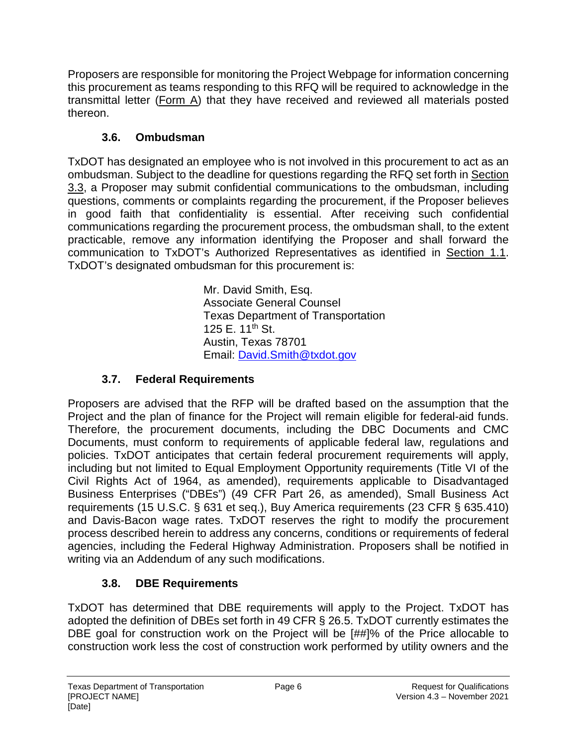Proposers are responsible for monitoring the Project Webpage for information concerning this procurement as teams responding to this RFQ will be required to acknowledge in the transmittal letter (Form A) that they have received and reviewed all materials posted thereon.

# **3.6. Ombudsman**

TxDOT has designated an employee who is not involved in this procurement to act as an ombudsman. Subject to the deadline for questions regarding the RFQ set forth in Section 3.3, a Proposer may submit confidential communications to the ombudsman, including questions, comments or complaints regarding the procurement, if the Proposer believes in good faith that confidentiality is essential. After receiving such confidential communications regarding the procurement process, the ombudsman shall, to the extent practicable, remove any information identifying the Proposer and shall forward the communication to TxDOT's Authorized Representatives as identified in Section 1.1. TxDOT's designated ombudsman for this procurement is:

> Mr. David Smith, Esq. Associate General Counsel Texas Department of Transportation 125 E. 11th St. Austin, Texas 78701 Email: David.Smith@txdot.gov

# **3.7. Federal Requirements**

Proposers are advised that the RFP will be drafted based on the assumption that the Project and the plan of finance for the Project will remain eligible for federal-aid funds. Therefore, the procurement documents, including the DBC Documents and CMC Documents, must conform to requirements of applicable federal law, regulations and policies. TxDOT anticipates that certain federal procurement requirements will apply, including but not limited to Equal Employment Opportunity requirements (Title VI of the Civil Rights Act of 1964, as amended), requirements applicable to Disadvantaged Business Enterprises ("DBEs") (49 CFR Part 26, as amended), Small Business Act requirements (15 U.S.C. § 631 et seq.), Buy America requirements (23 CFR § 635.410) and Davis-Bacon wage rates. TxDOT reserves the right to modify the procurement process described herein to address any concerns, conditions or requirements of federal agencies, including the Federal Highway Administration. Proposers shall be notified in writing via an Addendum of any such modifications.

# **3.8. DBE Requirements**

TxDOT has determined that DBE requirements will apply to the Project. TxDOT has adopted the definition of DBEs set forth in 49 CFR § 26.5. TxDOT currently estimates the DBE goal for construction work on the Project will be [##]% of the Price allocable to construction work less the cost of construction work performed by utility owners and the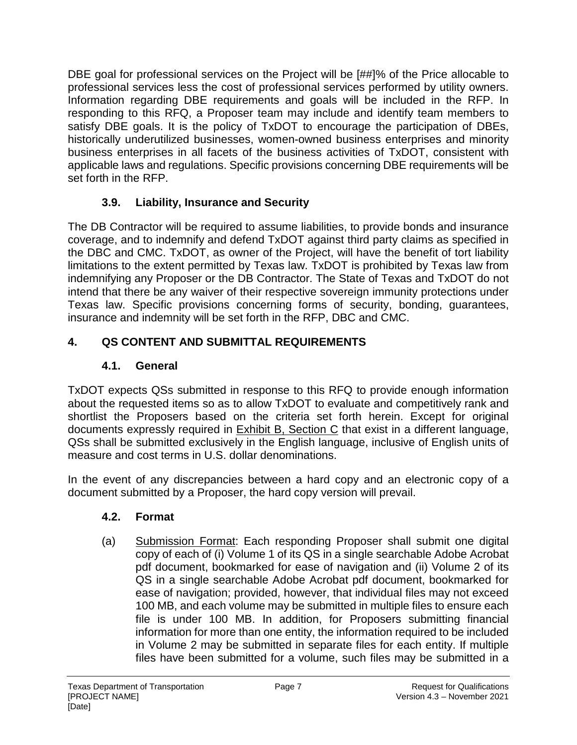DBE goal for professional services on the Project will be [##]% of the Price allocable to professional services less the cost of professional services performed by utility owners. Information regarding DBE requirements and goals will be included in the RFP. In responding to this RFQ, a Proposer team may include and identify team members to satisfy DBE goals. It is the policy of TxDOT to encourage the participation of DBEs, historically underutilized businesses, women-owned business enterprises and minority business enterprises in all facets of the business activities of TxDOT, consistent with applicable laws and regulations. Specific provisions concerning DBE requirements will be set forth in the RFP.

## **3.9. Liability, Insurance and Security**

The DB Contractor will be required to assume liabilities, to provide bonds and insurance coverage, and to indemnify and defend TxDOT against third party claims as specified in the DBC and CMC. TxDOT, as owner of the Project, will have the benefit of tort liability limitations to the extent permitted by Texas law. TxDOT is prohibited by Texas law from indemnifying any Proposer or the DB Contractor. The State of Texas and TxDOT do not intend that there be any waiver of their respective sovereign immunity protections under Texas law. Specific provisions concerning forms of security, bonding, guarantees, insurance and indemnity will be set forth in the RFP, DBC and CMC.

## **4. QS CONTENT AND SUBMITTAL REQUIREMENTS**

## **4.1. General**

TxDOT expects QSs submitted in response to this RFQ to provide enough information about the requested items so as to allow TxDOT to evaluate and competitively rank and shortlist the Proposers based on the criteria set forth herein. Except for original documents expressly required in Exhibit B, Section C that exist in a different language, QSs shall be submitted exclusively in the English language, inclusive of English units of measure and cost terms in U.S. dollar denominations.

In the event of any discrepancies between a hard copy and an electronic copy of a document submitted by a Proposer, the hard copy version will prevail.

## **4.2. Format**

(a) Submission Format: Each responding Proposer shall submit one digital copy of each of (i) Volume 1 of its QS in a single searchable Adobe Acrobat pdf document, bookmarked for ease of navigation and (ii) Volume 2 of its QS in a single searchable Adobe Acrobat pdf document, bookmarked for ease of navigation; provided, however, that individual files may not exceed 100 MB, and each volume may be submitted in multiple files to ensure each file is under 100 MB. In addition, for Proposers submitting financial information for more than one entity, the information required to be included in Volume 2 may be submitted in separate files for each entity. If multiple files have been submitted for a volume, such files may be submitted in a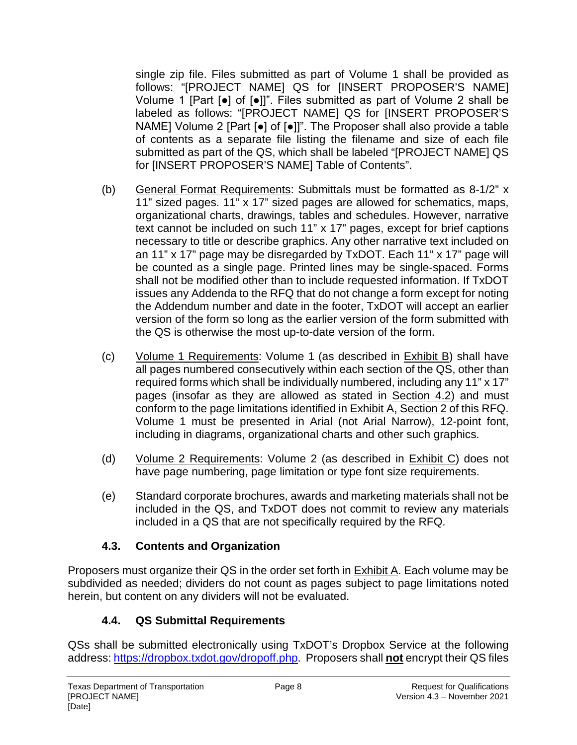single zip file. Files submitted as part of Volume 1 shall be provided as follows: "[PROJECT NAME] QS for [INSERT PROPOSER'S NAME] Volume 1 [Part [●] of [●]]". Files submitted as part of Volume 2 shall be labeled as follows: "[PROJECT NAME] QS for [INSERT PROPOSER'S NAME] Volume 2 [Part [●] of [●]]". The Proposer shall also provide a table of contents as a separate file listing the filename and size of each file submitted as part of the QS, which shall be labeled "[PROJECT NAME] QS for [INSERT PROPOSER'S NAME] Table of Contents".

- (b) General Format Requirements: Submittals must be formatted as 8-1/2" x 11" sized pages. 11" x 17" sized pages are allowed for schematics, maps, organizational charts, drawings, tables and schedules. However, narrative text cannot be included on such 11" x 17" pages, except for brief captions necessary to title or describe graphics. Any other narrative text included on an 11" x 17" page may be disregarded by TxDOT. Each 11" x 17" page will be counted as a single page. Printed lines may be single-spaced. Forms shall not be modified other than to include requested information. If TxDOT issues any Addenda to the RFQ that do not change a form except for noting the Addendum number and date in the footer, TxDOT will accept an earlier version of the form so long as the earlier version of the form submitted with the QS is otherwise the most up-to-date version of the form.
- (c) Volume 1 Requirements: Volume 1 (as described in Exhibit B) shall have all pages numbered consecutively within each section of the QS, other than required forms which shall be individually numbered, including any 11" x 17" pages (insofar as they are allowed as stated in Section 4.2) and must conform to the page limitations identified in Exhibit A, Section 2 of this RFQ. Volume 1 must be presented in Arial (not Arial Narrow), 12-point font, including in diagrams, organizational charts and other such graphics.
- (d) Volume 2 Requirements: Volume 2 (as described in Exhibit C) does not have page numbering, page limitation or type font size requirements.
- (e) Standard corporate brochures, awards and marketing materials shall not be included in the QS, and TxDOT does not commit to review any materials included in a QS that are not specifically required by the RFQ.

## **4.3. Contents and Organization**

Proposers must organize their QS in the order set forth in Exhibit A. Each volume may be subdivided as needed; dividers do not count as pages subject to page limitations noted herein, but content on any dividers will not be evaluated.

## **4.4. QS Submittal Requirements**

QSs shall be submitted electronically using TxDOT's Dropbox Service at the following address: https://dropbox.txdot.gov/dropoff.php. Proposers shall **not** encrypt their QS files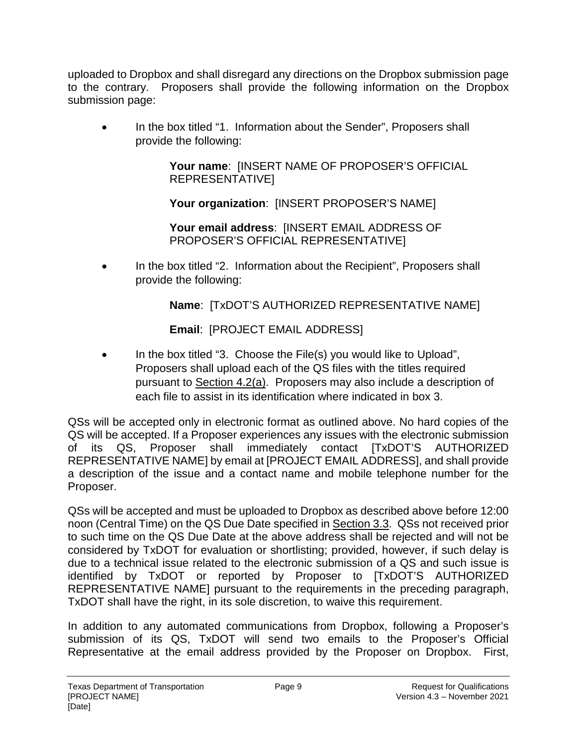uploaded to Dropbox and shall disregard any directions on the Dropbox submission page to the contrary. Proposers shall provide the following information on the Dropbox submission page:

• In the box titled "1. Information about the Sender", Proposers shall provide the following:

> **Your name**: [INSERT NAME OF PROPOSER'S OFFICIAL REPRESENTATIVE]

**Your organization**: [INSERT PROPOSER'S NAME]

**Your email address**: [INSERT EMAIL ADDRESS OF PROPOSER'S OFFICIAL REPRESENTATIVE]

• In the box titled "2. Information about the Recipient", Proposers shall provide the following:

**Name**: [TxDOT'S AUTHORIZED REPRESENTATIVE NAME]

**Email**: [PROJECT EMAIL ADDRESS]

• In the box titled "3. Choose the File(s) you would like to Upload", Proposers shall upload each of the QS files with the titles required pursuant to Section 4.2(a). Proposers may also include a description of each file to assist in its identification where indicated in box 3.

QSs will be accepted only in electronic format as outlined above. No hard copies of the QS will be accepted. If a Proposer experiences any issues with the electronic submission of its QS, Proposer shall immediately contact [TxDOT'S AUTHORIZED REPRESENTATIVE NAME] by email at [PROJECT EMAIL ADDRESS], and shall provide a description of the issue and a contact name and mobile telephone number for the Proposer.

QSs will be accepted and must be uploaded to Dropbox as described above before 12:00 noon (Central Time) on the QS Due Date specified in Section 3.3. QSs not received prior to such time on the QS Due Date at the above address shall be rejected and will not be considered by TxDOT for evaluation or shortlisting; provided, however, if such delay is due to a technical issue related to the electronic submission of a QS and such issue is identified by TxDOT or reported by Proposer to [TxDOT'S AUTHORIZED REPRESENTATIVE NAME] pursuant to the requirements in the preceding paragraph, TxDOT shall have the right, in its sole discretion, to waive this requirement.

In addition to any automated communications from Dropbox, following a Proposer's submission of its QS, TxDOT will send two emails to the Proposer's Official Representative at the email address provided by the Proposer on Dropbox. First,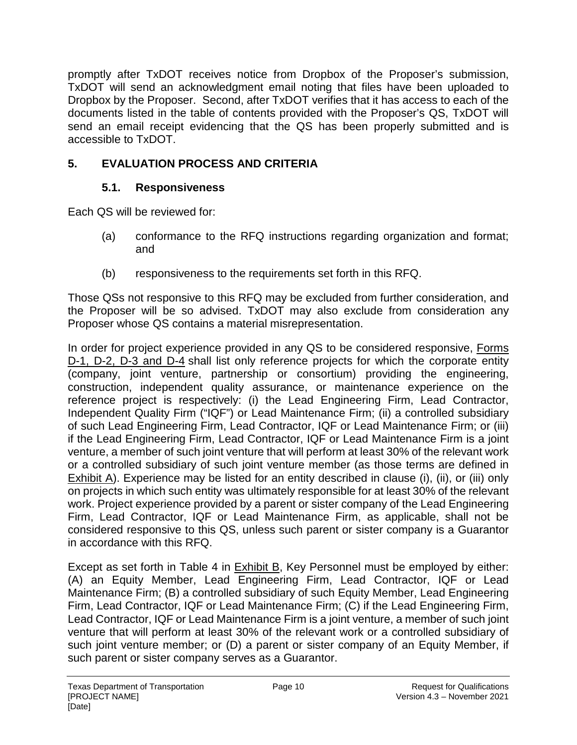promptly after TxDOT receives notice from Dropbox of the Proposer's submission, TxDOT will send an acknowledgment email noting that files have been uploaded to Dropbox by the Proposer. Second, after TxDOT verifies that it has access to each of the documents listed in the table of contents provided with the Proposer's QS, TxDOT will send an email receipt evidencing that the QS has been properly submitted and is accessible to TxDOT.

## **5. EVALUATION PROCESS AND CRITERIA**

### **5.1. Responsiveness**

Each QS will be reviewed for:

- (a) conformance to the RFQ instructions regarding organization and format; and
- (b) responsiveness to the requirements set forth in this RFQ.

Those QSs not responsive to this RFQ may be excluded from further consideration, and the Proposer will be so advised. TxDOT may also exclude from consideration any Proposer whose QS contains a material misrepresentation.

In order for project experience provided in any QS to be considered responsive, Forms D-1, D-2, D-3 and D-4 shall list only reference projects for which the corporate entity (company, joint venture, partnership or consortium) providing the engineering, construction, independent quality assurance, or maintenance experience on the reference project is respectively: (i) the Lead Engineering Firm, Lead Contractor, Independent Quality Firm ("IQF") or Lead Maintenance Firm; (ii) a controlled subsidiary of such Lead Engineering Firm, Lead Contractor, IQF or Lead Maintenance Firm; or (iii) if the Lead Engineering Firm, Lead Contractor, IQF or Lead Maintenance Firm is a joint venture, a member of such joint venture that will perform at least 30% of the relevant work or a controlled subsidiary of such joint venture member (as those terms are defined in Exhibit A). Experience may be listed for an entity described in clause (i), (ii), or (iii) only on projects in which such entity was ultimately responsible for at least 30% of the relevant work. Project experience provided by a parent or sister company of the Lead Engineering Firm, Lead Contractor, IQF or Lead Maintenance Firm, as applicable, shall not be considered responsive to this QS, unless such parent or sister company is a Guarantor in accordance with this RFQ.

Except as set forth in Table 4 in Exhibit B, Key Personnel must be employed by either: (A) an Equity Member, Lead Engineering Firm, Lead Contractor, IQF or Lead Maintenance Firm; (B) a controlled subsidiary of such Equity Member, Lead Engineering Firm, Lead Contractor, IQF or Lead Maintenance Firm; (C) if the Lead Engineering Firm, Lead Contractor, IQF or Lead Maintenance Firm is a joint venture, a member of such joint venture that will perform at least 30% of the relevant work or a controlled subsidiary of such joint venture member; or (D) a parent or sister company of an Equity Member, if such parent or sister company serves as a Guarantor.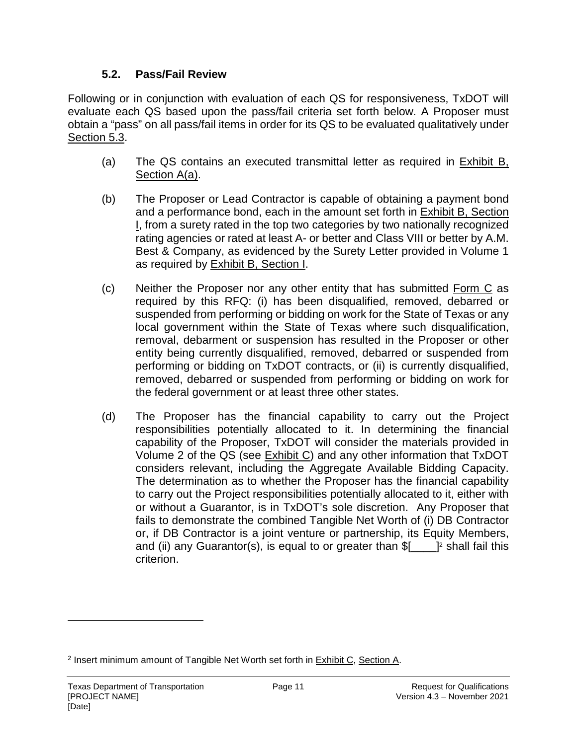#### **5.2. Pass/Fail Review**

Following or in conjunction with evaluation of each QS for responsiveness, TxDOT will evaluate each QS based upon the pass/fail criteria set forth below. A Proposer must obtain a "pass" on all pass/fail items in order for its QS to be evaluated qualitatively under Section 5.3.

- (a) The QS contains an executed transmittal letter as required in Exhibit B, Section A(a).
- (b) The Proposer or Lead Contractor is capable of obtaining a payment bond and a performance bond, each in the amount set forth in Exhibit B, Section I, from a surety rated in the top two categories by two nationally recognized rating agencies or rated at least A- or better and Class VIII or better by A.M. Best & Company, as evidenced by the Surety Letter provided in Volume 1 as required by Exhibit B, Section I.
- (c) Neither the Proposer nor any other entity that has submitted Form C as required by this RFQ: (i) has been disqualified, removed, debarred or suspended from performing or bidding on work for the State of Texas or any local government within the State of Texas where such disqualification, removal, debarment or suspension has resulted in the Proposer or other entity being currently disqualified, removed, debarred or suspended from performing or bidding on TxDOT contracts, or (ii) is currently disqualified, removed, debarred or suspended from performing or bidding on work for the federal government or at least three other states.
- (d) The Proposer has the financial capability to carry out the Project responsibilities potentially allocated to it. In determining the financial capability of the Proposer, TxDOT will consider the materials provided in Volume 2 of the QS (see Exhibit C) and any other information that TxDOT considers relevant, including the Aggregate Available Bidding Capacity. The determination as to whether the Proposer has the financial capability to carry out the Project responsibilities potentially allocated to it, either with or without a Guarantor, is in TxDOT's sole discretion. Any Proposer that fails to demonstrate the combined Tangible Net Worth of (i) DB Contractor or, if DB Contractor is a joint venture or partnership, its Equity Members, and (ii) any Guarantor(s), is equal to or greater than \$[\_\_\_\_]<sup>2</sup> shall fail this criterion.

<sup>&</sup>lt;sup>2</sup> Insert minimum amount of Tangible Net Worth set forth in **Exhibit C**, Section A.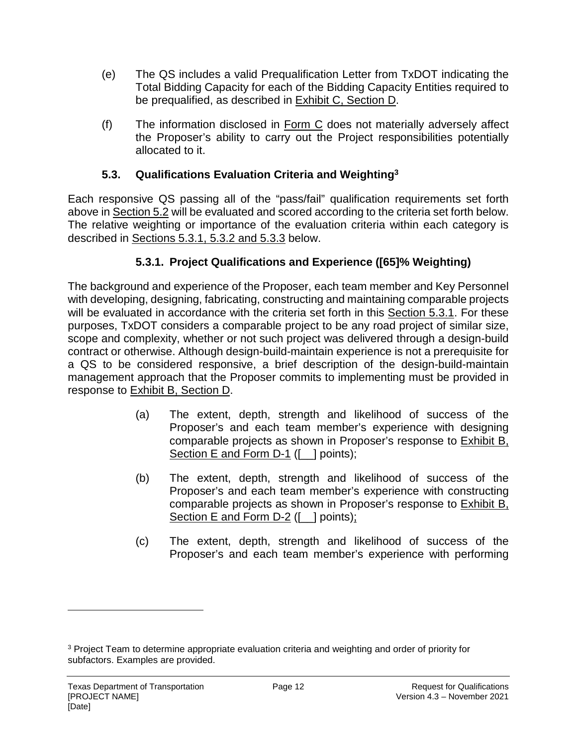- (e) The QS includes a valid Prequalification Letter from TxDOT indicating the Total Bidding Capacity for each of the Bidding Capacity Entities required to be prequalified, as described in Exhibit C, Section D.
- (f) The information disclosed in Form C does not materially adversely affect the Proposer's ability to carry out the Project responsibilities potentially allocated to it.

### **5.3. Qualifications Evaluation Criteria and Weighting<sup>3</sup>**

Each responsive QS passing all of the "pass/fail" qualification requirements set forth above in Section 5.2 will be evaluated and scored according to the criteria set forth below. The relative weighting or importance of the evaluation criteria within each category is described in Sections 5.3.1, 5.3.2 and 5.3.3 below.

## **5.3.1. Project Qualifications and Experience ([65]% Weighting)**

The background and experience of the Proposer, each team member and Key Personnel with developing, designing, fabricating, constructing and maintaining comparable projects will be evaluated in accordance with the criteria set forth in this Section 5.3.1. For these purposes, TxDOT considers a comparable project to be any road project of similar size, scope and complexity, whether or not such project was delivered through a design-build contract or otherwise. Although design-build-maintain experience is not a prerequisite for a QS to be considered responsive, a brief description of the design-build-maintain management approach that the Proposer commits to implementing must be provided in response to Exhibit B, Section D.

- (a) The extent, depth, strength and likelihood of success of the Proposer's and each team member's experience with designing comparable projects as shown in Proposer's response to Exhibit B, Section E and Form D-1 ([ \_ ] points);
- (b) The extent, depth, strength and likelihood of success of the Proposer's and each team member's experience with constructing comparable projects as shown in Proposer's response to Exhibit B, Section E and Form D-2 ([\_] points);
- (c) The extent, depth, strength and likelihood of success of the Proposer's and each team member's experience with performing

<sup>&</sup>lt;sup>3</sup> Project Team to determine appropriate evaluation criteria and weighting and order of priority for subfactors. Examples are provided.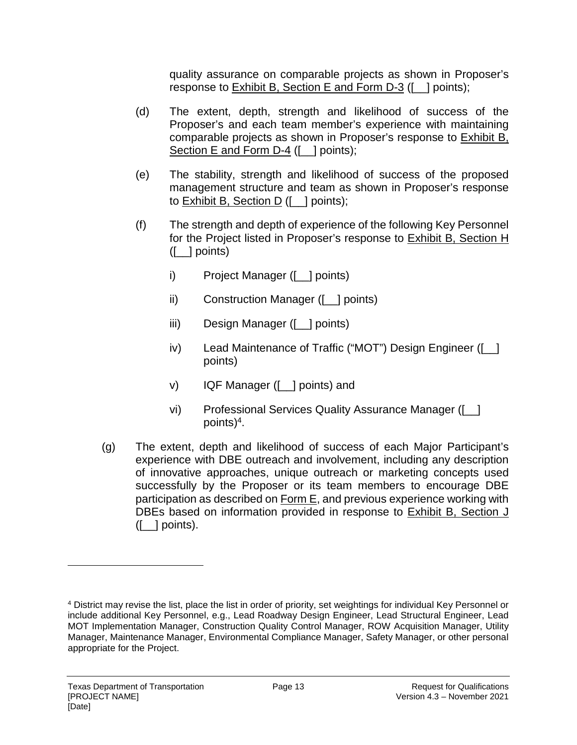quality assurance on comparable projects as shown in Proposer's response to Exhibit B, Section E and Form D-3 ([\_\_] points);

- (d) The extent, depth, strength and likelihood of success of the Proposer's and each team member's experience with maintaining comparable projects as shown in Proposer's response to Exhibit B, Section E and Form D-4 ([ ] points);
- (e) The stability, strength and likelihood of success of the proposed management structure and team as shown in Proposer's response to Exhibit B, Section D ([\_\_] points);
- (f) The strength and depth of experience of the following Key Personnel for the Project listed in Proposer's response to Exhibit B, Section H ([\_\_] points)
	- i) Project Manager ([\_\_] points)
	- ii) Construction Manager ([\_\_] points)
	- iii) Design Manager ([\_\_] points)
	- iv) Lead Maintenance of Traffic ("MOT") Design Engineer ([\_\_] points)
	- v) IQF Manager ([\_\_] points) and
	- vi) Professional Services Quality Assurance Manager ([\_\_] points)<sup>4</sup> .
- (g) The extent, depth and likelihood of success of each Major Participant's experience with DBE outreach and involvement, including any description of innovative approaches, unique outreach or marketing concepts used successfully by the Proposer or its team members to encourage DBE participation as described on Form E, and previous experience working with DBEs based on information provided in response to Exhibit B, Section J  $(I_$  | points).

<sup>4</sup> District may revise the list, place the list in order of priority, set weightings for individual Key Personnel or include additional Key Personnel, e.g., Lead Roadway Design Engineer, Lead Structural Engineer, Lead MOT Implementation Manager, Construction Quality Control Manager, ROW Acquisition Manager, Utility Manager, Maintenance Manager, Environmental Compliance Manager, Safety Manager, or other personal appropriate for the Project.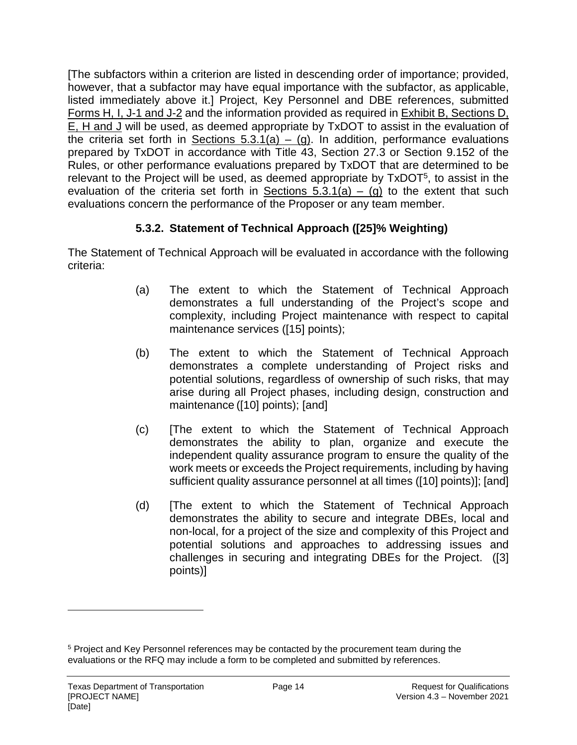[The subfactors within a criterion are listed in descending order of importance; provided, however, that a subfactor may have equal importance with the subfactor, as applicable, listed immediately above it.] Project, Key Personnel and DBE references, submitted Forms H, I, J-1 and J-2 and the information provided as required in Exhibit B, Sections D, E, H and J will be used, as deemed appropriate by TxDOT to assist in the evaluation of the criteria set forth in Sections  $5.3.1(a) - (g)$ . In addition, performance evaluations prepared by TxDOT in accordance with Title 43, Section 27.3 or Section 9.152 of the Rules, or other performance evaluations prepared by TxDOT that are determined to be relevant to the Project will be used, as deemed appropriate by TxDOT<sup>5</sup>, to assist in the evaluation of the criteria set forth in Sections  $5.3.1(a) - (g)$  to the extent that such evaluations concern the performance of the Proposer or any team member.

## **5.3.2. Statement of Technical Approach ([25]% Weighting)**

The Statement of Technical Approach will be evaluated in accordance with the following criteria:

- (a) The extent to which the Statement of Technical Approach demonstrates a full understanding of the Project's scope and complexity, including Project maintenance with respect to capital maintenance services ([15] points);
- (b) The extent to which the Statement of Technical Approach demonstrates a complete understanding of Project risks and potential solutions, regardless of ownership of such risks, that may arise during all Project phases, including design, construction and maintenance ([10] points); [and]
- (c) [The extent to which the Statement of Technical Approach demonstrates the ability to plan, organize and execute the independent quality assurance program to ensure the quality of the work meets or exceeds the Project requirements, including by having sufficient quality assurance personnel at all times ([10] points)]; [and]
- (d) [The extent to which the Statement of Technical Approach demonstrates the ability to secure and integrate DBEs, local and non-local, for a project of the size and complexity of this Project and potential solutions and approaches to addressing issues and challenges in securing and integrating DBEs for the Project. ([3] points)]

<sup>&</sup>lt;sup>5</sup> Project and Key Personnel references may be contacted by the procurement team during the evaluations or the RFQ may include a form to be completed and submitted by references.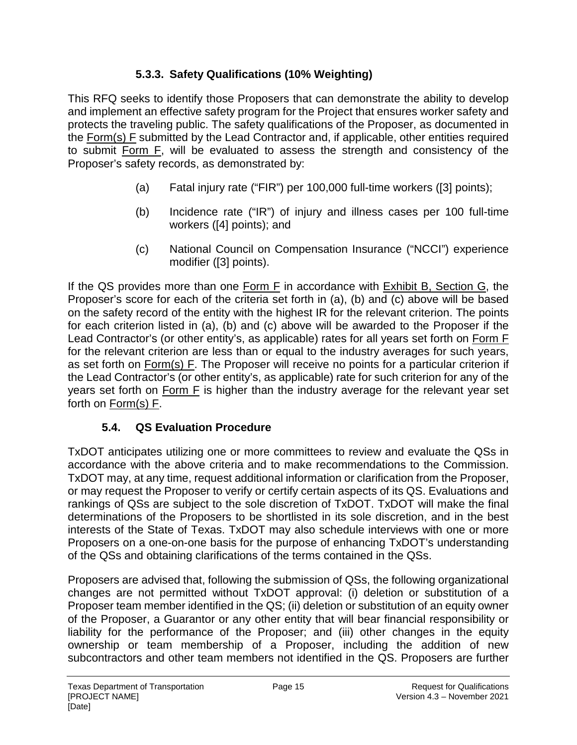## **5.3.3. Safety Qualifications (10% Weighting)**

This RFQ seeks to identify those Proposers that can demonstrate the ability to develop and implement an effective safety program for the Project that ensures worker safety and protects the traveling public. The safety qualifications of the Proposer, as documented in the Form(s) F submitted by the Lead Contractor and, if applicable, other entities required to submit Form F, will be evaluated to assess the strength and consistency of the Proposer's safety records, as demonstrated by:

- (a) Fatal injury rate ("FIR") per 100,000 full-time workers ([3] points);
- (b) Incidence rate ("IR") of injury and illness cases per 100 full-time workers ([4] points); and
- (c) National Council on Compensation Insurance ("NCCI") experience modifier ([3] points).

If the QS provides more than one  $Form F$  in accordance with  $Exhibit B$ , Section  $G$ , the Proposer's score for each of the criteria set forth in (a), (b) and (c) above will be based on the safety record of the entity with the highest IR for the relevant criterion. The points for each criterion listed in (a), (b) and (c) above will be awarded to the Proposer if the Lead Contractor's (or other entity's, as applicable) rates for all years set forth on Form F for the relevant criterion are less than or equal to the industry averages for such years, as set forth on Form(s) F. The Proposer will receive no points for a particular criterion if the Lead Contractor's (or other entity's, as applicable) rate for such criterion for any of the years set forth on Form F is higher than the industry average for the relevant year set forth on Form(s) F.

## **5.4. QS Evaluation Procedure**

TxDOT anticipates utilizing one or more committees to review and evaluate the QSs in accordance with the above criteria and to make recommendations to the Commission. TxDOT may, at any time, request additional information or clarification from the Proposer, or may request the Proposer to verify or certify certain aspects of its QS. Evaluations and rankings of QSs are subject to the sole discretion of TxDOT. TxDOT will make the final determinations of the Proposers to be shortlisted in its sole discretion, and in the best interests of the State of Texas. TxDOT may also schedule interviews with one or more Proposers on a one-on-one basis for the purpose of enhancing TxDOT's understanding of the QSs and obtaining clarifications of the terms contained in the QSs.

Proposers are advised that, following the submission of QSs, the following organizational changes are not permitted without TxDOT approval: (i) deletion or substitution of a Proposer team member identified in the QS; (ii) deletion or substitution of an equity owner of the Proposer, a Guarantor or any other entity that will bear financial responsibility or liability for the performance of the Proposer; and (iii) other changes in the equity ownership or team membership of a Proposer, including the addition of new subcontractors and other team members not identified in the QS. Proposers are further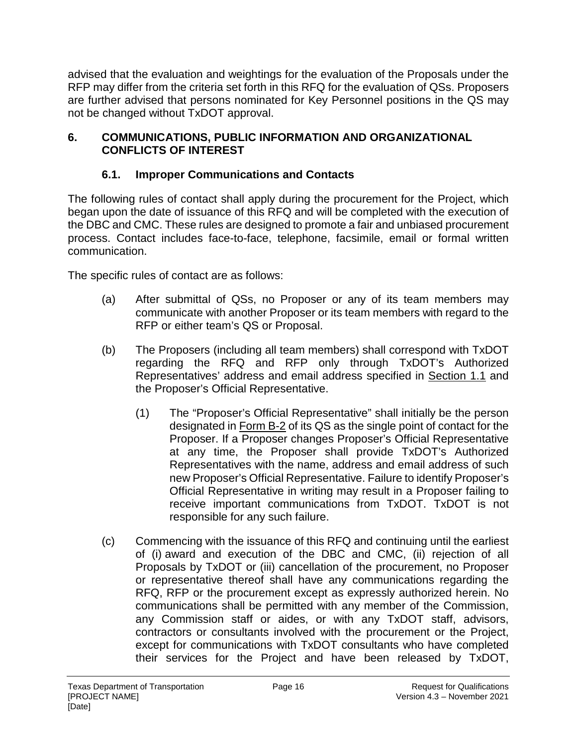advised that the evaluation and weightings for the evaluation of the Proposals under the RFP may differ from the criteria set forth in this RFQ for the evaluation of QSs. Proposers are further advised that persons nominated for Key Personnel positions in the QS may not be changed without TxDOT approval.

#### **6. COMMUNICATIONS, PUBLIC INFORMATION AND ORGANIZATIONAL CONFLICTS OF INTEREST**

## **6.1. Improper Communications and Contacts**

The following rules of contact shall apply during the procurement for the Project, which began upon the date of issuance of this RFQ and will be completed with the execution of the DBC and CMC. These rules are designed to promote a fair and unbiased procurement process. Contact includes face-to-face, telephone, facsimile, email or formal written communication.

The specific rules of contact are as follows:

- (a) After submittal of QSs, no Proposer or any of its team members may communicate with another Proposer or its team members with regard to the RFP or either team's QS or Proposal.
- (b) The Proposers (including all team members) shall correspond with TxDOT regarding the RFQ and RFP only through TxDOT's Authorized Representatives' address and email address specified in Section 1.1 and the Proposer's Official Representative.
	- (1) The "Proposer's Official Representative" shall initially be the person designated in Form B-2 of its QS as the single point of contact for the Proposer. If a Proposer changes Proposer's Official Representative at any time, the Proposer shall provide TxDOT's Authorized Representatives with the name, address and email address of such new Proposer's Official Representative. Failure to identify Proposer's Official Representative in writing may result in a Proposer failing to receive important communications from TxDOT. TxDOT is not responsible for any such failure.
- (c) Commencing with the issuance of this RFQ and continuing until the earliest of (i) award and execution of the DBC and CMC, (ii) rejection of all Proposals by TxDOT or (iii) cancellation of the procurement, no Proposer or representative thereof shall have any communications regarding the RFQ, RFP or the procurement except as expressly authorized herein. No communications shall be permitted with any member of the Commission, any Commission staff or aides, or with any TxDOT staff, advisors, contractors or consultants involved with the procurement or the Project, except for communications with TxDOT consultants who have completed their services for the Project and have been released by TxDOT,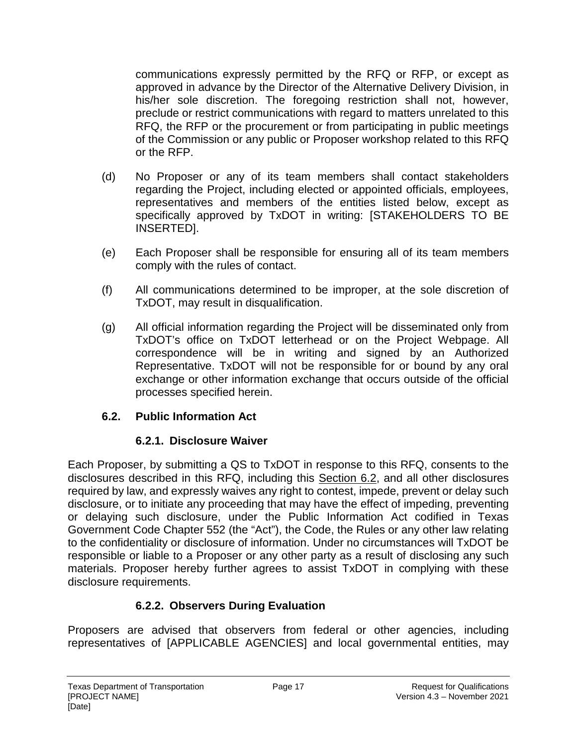communications expressly permitted by the RFQ or RFP, or except as approved in advance by the Director of the Alternative Delivery Division, in his/her sole discretion. The foregoing restriction shall not, however, preclude or restrict communications with regard to matters unrelated to this RFQ, the RFP or the procurement or from participating in public meetings of the Commission or any public or Proposer workshop related to this RFQ or the RFP.

- (d) No Proposer or any of its team members shall contact stakeholders regarding the Project, including elected or appointed officials, employees, representatives and members of the entities listed below, except as specifically approved by TxDOT in writing: [STAKEHOLDERS TO BE INSERTED].
- (e) Each Proposer shall be responsible for ensuring all of its team members comply with the rules of contact.
- (f) All communications determined to be improper, at the sole discretion of TxDOT, may result in disqualification.
- (g) All official information regarding the Project will be disseminated only from TxDOT's office on TxDOT letterhead or on the Project Webpage. All correspondence will be in writing and signed by an Authorized Representative. TxDOT will not be responsible for or bound by any oral exchange or other information exchange that occurs outside of the official processes specified herein.

#### **6.2. Public Information Act**

#### **6.2.1. Disclosure Waiver**

Each Proposer, by submitting a QS to TxDOT in response to this RFQ, consents to the disclosures described in this RFQ, including this Section 6.2, and all other disclosures required by law, and expressly waives any right to contest, impede, prevent or delay such disclosure, or to initiate any proceeding that may have the effect of impeding, preventing or delaying such disclosure, under the Public Information Act codified in Texas Government Code Chapter 552 (the "Act"), the Code, the Rules or any other law relating to the confidentiality or disclosure of information. Under no circumstances will TxDOT be responsible or liable to a Proposer or any other party as a result of disclosing any such materials. Proposer hereby further agrees to assist TxDOT in complying with these disclosure requirements.

#### **6.2.2. Observers During Evaluation**

Proposers are advised that observers from federal or other agencies, including representatives of [APPLICABLE AGENCIES] and local governmental entities, may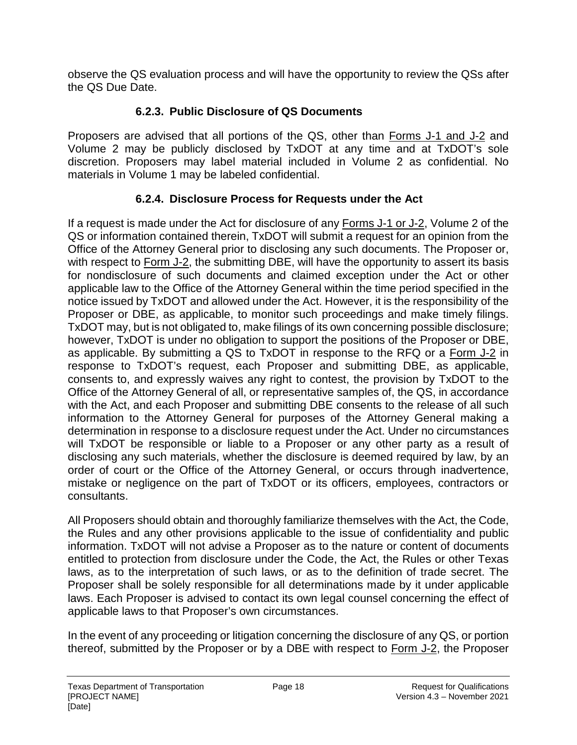observe the QS evaluation process and will have the opportunity to review the QSs after the QS Due Date.

## **6.2.3. Public Disclosure of QS Documents**

Proposers are advised that all portions of the QS, other than Forms J-1 and J-2 and Volume 2 may be publicly disclosed by TxDOT at any time and at TxDOT's sole discretion. Proposers may label material included in Volume 2 as confidential. No materials in Volume 1 may be labeled confidential.

## **6.2.4. Disclosure Process for Requests under the Act**

If a request is made under the Act for disclosure of any Forms J-1 or J-2, Volume 2 of the QS or information contained therein, TxDOT will submit a request for an opinion from the Office of the Attorney General prior to disclosing any such documents. The Proposer or, with respect to Form J-2, the submitting DBE, will have the opportunity to assert its basis for nondisclosure of such documents and claimed exception under the Act or other applicable law to the Office of the Attorney General within the time period specified in the notice issued by TxDOT and allowed under the Act. However, it is the responsibility of the Proposer or DBE, as applicable, to monitor such proceedings and make timely filings. TxDOT may, but is not obligated to, make filings of its own concerning possible disclosure; however, TxDOT is under no obligation to support the positions of the Proposer or DBE, as applicable. By submitting a QS to TxDOT in response to the RFQ or a Form J-2 in response to TxDOT's request, each Proposer and submitting DBE, as applicable, consents to, and expressly waives any right to contest, the provision by TxDOT to the Office of the Attorney General of all, or representative samples of, the QS, in accordance with the Act, and each Proposer and submitting DBE consents to the release of all such information to the Attorney General for purposes of the Attorney General making a determination in response to a disclosure request under the Act. Under no circumstances will TxDOT be responsible or liable to a Proposer or any other party as a result of disclosing any such materials, whether the disclosure is deemed required by law, by an order of court or the Office of the Attorney General, or occurs through inadvertence, mistake or negligence on the part of TxDOT or its officers, employees, contractors or consultants.

All Proposers should obtain and thoroughly familiarize themselves with the Act, the Code, the Rules and any other provisions applicable to the issue of confidentiality and public information. TxDOT will not advise a Proposer as to the nature or content of documents entitled to protection from disclosure under the Code, the Act, the Rules or other Texas laws, as to the interpretation of such laws, or as to the definition of trade secret. The Proposer shall be solely responsible for all determinations made by it under applicable laws. Each Proposer is advised to contact its own legal counsel concerning the effect of applicable laws to that Proposer's own circumstances.

In the event of any proceeding or litigation concerning the disclosure of any QS, or portion thereof, submitted by the Proposer or by a DBE with respect to Form J-2, the Proposer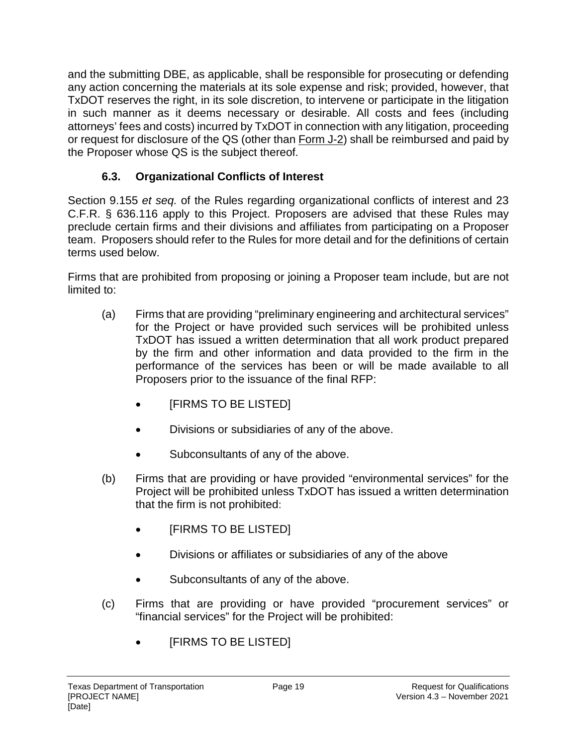and the submitting DBE, as applicable, shall be responsible for prosecuting or defending any action concerning the materials at its sole expense and risk; provided, however, that TxDOT reserves the right, in its sole discretion, to intervene or participate in the litigation in such manner as it deems necessary or desirable. All costs and fees (including attorneys' fees and costs) incurred by TxDOT in connection with any litigation, proceeding or request for disclosure of the QS (other than Form J-2) shall be reimbursed and paid by the Proposer whose QS is the subject thereof.

# **6.3. Organizational Conflicts of Interest**

Section 9.155 *et seq.* of the Rules regarding organizational conflicts of interest and 23 C.F.R. § 636.116 apply to this Project. Proposers are advised that these Rules may preclude certain firms and their divisions and affiliates from participating on a Proposer team. Proposers should refer to the Rules for more detail and for the definitions of certain terms used below.

Firms that are prohibited from proposing or joining a Proposer team include, but are not limited to:

- (a) Firms that are providing "preliminary engineering and architectural services" for the Project or have provided such services will be prohibited unless TxDOT has issued a written determination that all work product prepared by the firm and other information and data provided to the firm in the performance of the services has been or will be made available to all Proposers prior to the issuance of the final RFP:
	- [FIRMS TO BE LISTED]
	- Divisions or subsidiaries of any of the above.
	- Subconsultants of any of the above.
- (b) Firms that are providing or have provided "environmental services" for the Project will be prohibited unless TxDOT has issued a written determination that the firm is not prohibited:
	- [FIRMS TO BE LISTED]
	- Divisions or affiliates or subsidiaries of any of the above
	- Subconsultants of any of the above.
- (c) Firms that are providing or have provided "procurement services" or "financial services" for the Project will be prohibited:
	- [FIRMS TO BE LISTED]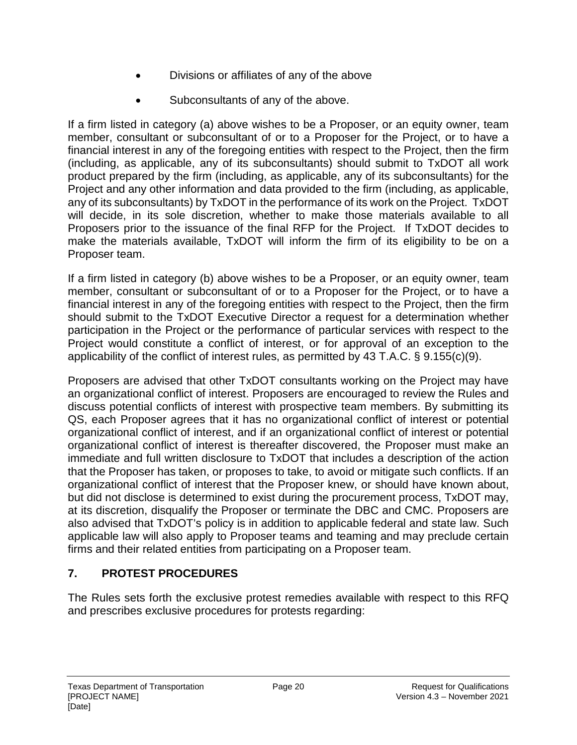- Divisions or affiliates of any of the above
- Subconsultants of any of the above.

If a firm listed in category (a) above wishes to be a Proposer, or an equity owner, team member, consultant or subconsultant of or to a Proposer for the Project, or to have a financial interest in any of the foregoing entities with respect to the Project, then the firm (including, as applicable, any of its subconsultants) should submit to TxDOT all work product prepared by the firm (including, as applicable, any of its subconsultants) for the Project and any other information and data provided to the firm (including, as applicable, any of its subconsultants) by TxDOT in the performance of its work on the Project. TxDOT will decide, in its sole discretion, whether to make those materials available to all Proposers prior to the issuance of the final RFP for the Project. If TxDOT decides to make the materials available, TxDOT will inform the firm of its eligibility to be on a Proposer team.

If a firm listed in category (b) above wishes to be a Proposer, or an equity owner, team member, consultant or subconsultant of or to a Proposer for the Project, or to have a financial interest in any of the foregoing entities with respect to the Project, then the firm should submit to the TxDOT Executive Director a request for a determination whether participation in the Project or the performance of particular services with respect to the Project would constitute a conflict of interest, or for approval of an exception to the applicability of the conflict of interest rules, as permitted by 43 T.A.C. § 9.155(c)(9).

Proposers are advised that other TxDOT consultants working on the Project may have an organizational conflict of interest. Proposers are encouraged to review the Rules and discuss potential conflicts of interest with prospective team members. By submitting its QS, each Proposer agrees that it has no organizational conflict of interest or potential organizational conflict of interest, and if an organizational conflict of interest or potential organizational conflict of interest is thereafter discovered, the Proposer must make an immediate and full written disclosure to TxDOT that includes a description of the action that the Proposer has taken, or proposes to take, to avoid or mitigate such conflicts. If an organizational conflict of interest that the Proposer knew, or should have known about, but did not disclose is determined to exist during the procurement process, TxDOT may, at its discretion, disqualify the Proposer or terminate the DBC and CMC. Proposers are also advised that TxDOT's policy is in addition to applicable federal and state law. Such applicable law will also apply to Proposer teams and teaming and may preclude certain firms and their related entities from participating on a Proposer team.

## **7. PROTEST PROCEDURES**

The Rules sets forth the exclusive protest remedies available with respect to this RFQ and prescribes exclusive procedures for protests regarding: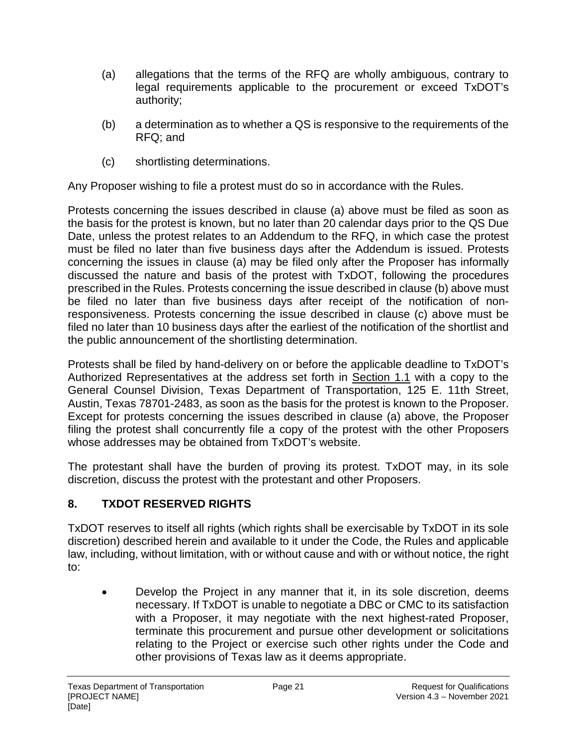- (a) allegations that the terms of the RFQ are wholly ambiguous, contrary to legal requirements applicable to the procurement or exceed TxDOT's authority;
- (b) a determination as to whether a QS is responsive to the requirements of the RFQ; and
- (c) shortlisting determinations.

Any Proposer wishing to file a protest must do so in accordance with the Rules.

Protests concerning the issues described in clause (a) above must be filed as soon as the basis for the protest is known, but no later than 20 calendar days prior to the QS Due Date, unless the protest relates to an Addendum to the RFQ, in which case the protest must be filed no later than five business days after the Addendum is issued. Protests concerning the issues in clause (a) may be filed only after the Proposer has informally discussed the nature and basis of the protest with TxDOT, following the procedures prescribed in the Rules. Protests concerning the issue described in clause (b) above must be filed no later than five business days after receipt of the notification of nonresponsiveness. Protests concerning the issue described in clause (c) above must be filed no later than 10 business days after the earliest of the notification of the shortlist and the public announcement of the shortlisting determination.

Protests shall be filed by hand-delivery on or before the applicable deadline to TxDOT's Authorized Representatives at the address set forth in Section 1.1 with a copy to the General Counsel Division, Texas Department of Transportation, 125 E. 11th Street, Austin, Texas 78701-2483, as soon as the basis for the protest is known to the Proposer. Except for protests concerning the issues described in clause (a) above, the Proposer filing the protest shall concurrently file a copy of the protest with the other Proposers whose addresses may be obtained from TxDOT's website.

The protestant shall have the burden of proving its protest. TxDOT may, in its sole discretion, discuss the protest with the protestant and other Proposers.

## **8. TXDOT RESERVED RIGHTS**

TxDOT reserves to itself all rights (which rights shall be exercisable by TxDOT in its sole discretion) described herein and available to it under the Code, the Rules and applicable law, including, without limitation, with or without cause and with or without notice, the right to:

• Develop the Project in any manner that it, in its sole discretion, deems necessary. If TxDOT is unable to negotiate a DBC or CMC to its satisfaction with a Proposer, it may negotiate with the next highest-rated Proposer, terminate this procurement and pursue other development or solicitations relating to the Project or exercise such other rights under the Code and other provisions of Texas law as it deems appropriate.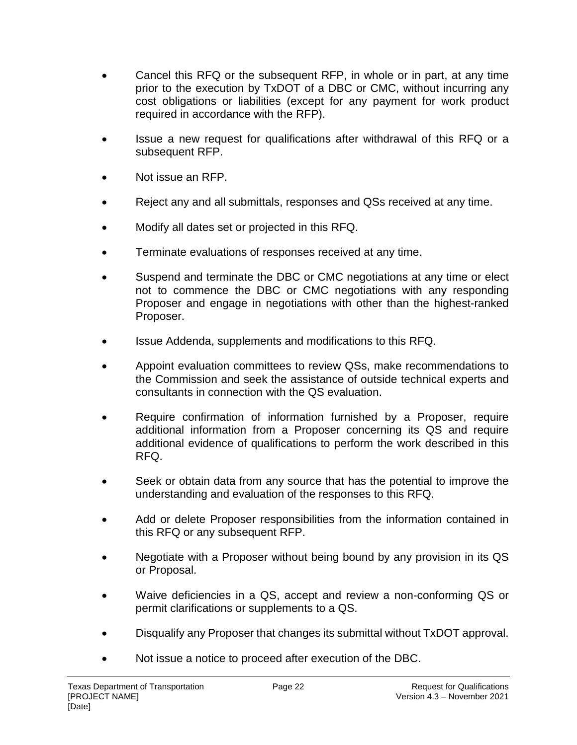- Cancel this RFQ or the subsequent RFP, in whole or in part, at any time prior to the execution by TxDOT of a DBC or CMC, without incurring any cost obligations or liabilities (except for any payment for work product required in accordance with the RFP).
- Issue a new request for qualifications after withdrawal of this RFQ or a subsequent RFP.
- Not issue an RFP.
- Reject any and all submittals, responses and QSs received at any time.
- Modify all dates set or projected in this RFQ.
- Terminate evaluations of responses received at any time.
- Suspend and terminate the DBC or CMC negotiations at any time or elect not to commence the DBC or CMC negotiations with any responding Proposer and engage in negotiations with other than the highest-ranked Proposer.
- Issue Addenda, supplements and modifications to this RFQ.
- Appoint evaluation committees to review QSs, make recommendations to the Commission and seek the assistance of outside technical experts and consultants in connection with the QS evaluation.
- Require confirmation of information furnished by a Proposer, require additional information from a Proposer concerning its QS and require additional evidence of qualifications to perform the work described in this RFQ.
- Seek or obtain data from any source that has the potential to improve the understanding and evaluation of the responses to this RFQ.
- Add or delete Proposer responsibilities from the information contained in this RFQ or any subsequent RFP.
- Negotiate with a Proposer without being bound by any provision in its QS or Proposal.
- Waive deficiencies in a QS, accept and review a non-conforming QS or permit clarifications or supplements to a QS.
- Disqualify any Proposer that changes its submittal without TxDOT approval.
- Not issue a notice to proceed after execution of the DBC.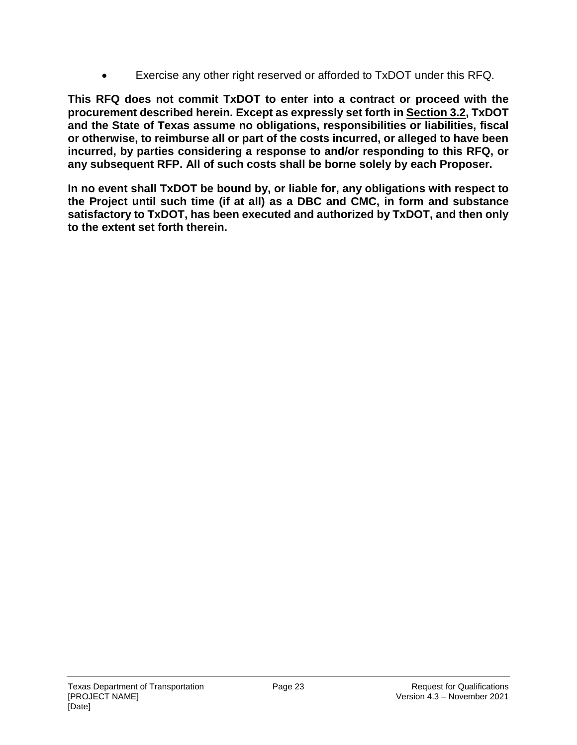• Exercise any other right reserved or afforded to TxDOT under this RFQ.

**This RFQ does not commit TxDOT to enter into a contract or proceed with the procurement described herein. Except as expressly set forth in Section 3.2, TxDOT and the State of Texas assume no obligations, responsibilities or liabilities, fiscal or otherwise, to reimburse all or part of the costs incurred, or alleged to have been incurred, by parties considering a response to and/or responding to this RFQ, or any subsequent RFP. All of such costs shall be borne solely by each Proposer.** 

**In no event shall TxDOT be bound by, or liable for, any obligations with respect to the Project until such time (if at all) as a DBC and CMC, in form and substance satisfactory to TxDOT, has been executed and authorized by TxDOT, and then only to the extent set forth therein.**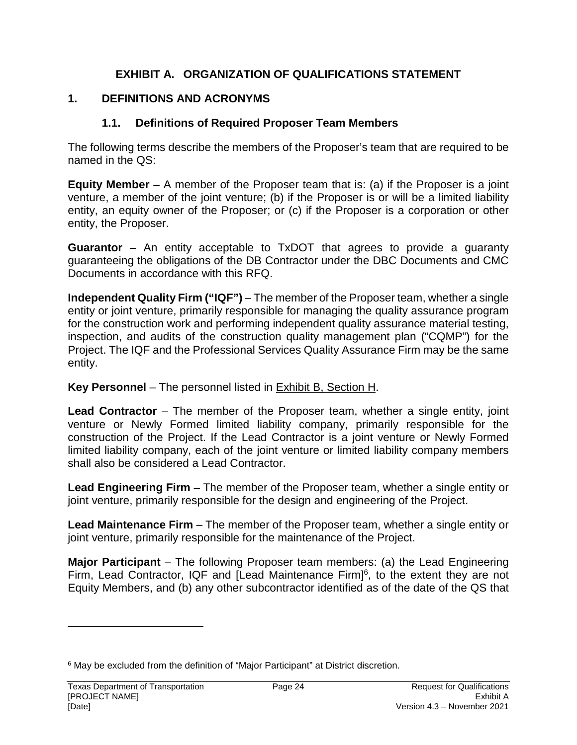### **EXHIBIT A. ORGANIZATION OF QUALIFICATIONS STATEMENT**

### **1. DEFINITIONS AND ACRONYMS**

#### **1.1. Definitions of Required Proposer Team Members**

The following terms describe the members of the Proposer's team that are required to be named in the QS:

**Equity Member** – A member of the Proposer team that is: (a) if the Proposer is a joint venture, a member of the joint venture; (b) if the Proposer is or will be a limited liability entity, an equity owner of the Proposer; or (c) if the Proposer is a corporation or other entity, the Proposer.

**Guarantor** – An entity acceptable to TxDOT that agrees to provide a guaranty guaranteeing the obligations of the DB Contractor under the DBC Documents and CMC Documents in accordance with this RFQ.

**Independent Quality Firm ("IQF")** – The member of the Proposer team, whether a single entity or joint venture, primarily responsible for managing the quality assurance program for the construction work and performing independent quality assurance material testing, inspection, and audits of the construction quality management plan ("CQMP") for the Project. The IQF and the Professional Services Quality Assurance Firm may be the same entity.

#### **Key Personnel** – The personnel listed in Exhibit B, Section H.

**Lead Contractor** – The member of the Proposer team, whether a single entity, joint venture or Newly Formed limited liability company, primarily responsible for the construction of the Project. If the Lead Contractor is a joint venture or Newly Formed limited liability company, each of the joint venture or limited liability company members shall also be considered a Lead Contractor.

**Lead Engineering Firm** – The member of the Proposer team, whether a single entity or joint venture, primarily responsible for the design and engineering of the Project.

**Lead Maintenance Firm** – The member of the Proposer team, whether a single entity or joint venture, primarily responsible for the maintenance of the Project.

**Major Participant** – The following Proposer team members: (a) the Lead Engineering Firm, Lead Contractor, IQF and [Lead Maintenance Firm] $6$ , to the extent they are not Equity Members, and (b) any other subcontractor identified as of the date of the QS that

<sup>&</sup>lt;sup>6</sup> May be excluded from the definition of "Major Participant" at District discretion.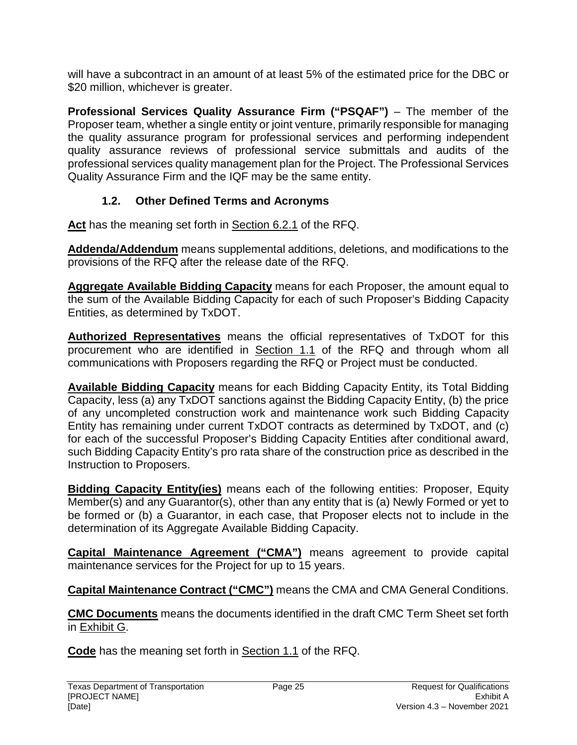will have a subcontract in an amount of at least 5% of the estimated price for the DBC or \$20 million, whichever is greater.

**Professional Services Quality Assurance Firm ("PSQAF")** – The member of the Proposer team, whether a single entity or joint venture, primarily responsible for managing the quality assurance program for professional services and performing independent quality assurance reviews of professional service submittals and audits of the professional services quality management plan for the Project. The Professional Services Quality Assurance Firm and the IQF may be the same entity.

## **1.2. Other Defined Terms and Acronyms**

**Act** has the meaning set forth in Section 6.2.1 of the RFQ.

**Addenda/Addendum** means supplemental additions, deletions, and modifications to the provisions of the RFQ after the release date of the RFQ.

**Aggregate Available Bidding Capacity** means for each Proposer, the amount equal to the sum of the Available Bidding Capacity for each of such Proposer's Bidding Capacity Entities, as determined by TxDOT.

**Authorized Representatives** means the official representatives of TxDOT for this procurement who are identified in Section 1.1 of the RFQ and through whom all communications with Proposers regarding the RFQ or Project must be conducted.

**Available Bidding Capacity** means for each Bidding Capacity Entity, its Total Bidding Capacity, less (a) any TxDOT sanctions against the Bidding Capacity Entity, (b) the price of any uncompleted construction work and maintenance work such Bidding Capacity Entity has remaining under current TxDOT contracts as determined by TxDOT, and (c) for each of the successful Proposer's Bidding Capacity Entities after conditional award, such Bidding Capacity Entity's pro rata share of the construction price as described in the Instruction to Proposers.

**Bidding Capacity Entity(ies)** means each of the following entities: Proposer, Equity Member(s) and any Guarantor(s), other than any entity that is (a) Newly Formed or yet to be formed or (b) a Guarantor, in each case, that Proposer elects not to include in the determination of its Aggregate Available Bidding Capacity.

**Capital Maintenance Agreement ("CMA")** means agreement to provide capital maintenance services for the Project for up to 15 years.

**Capital Maintenance Contract ("CMC")** means the CMA and CMA General Conditions.

**CMC Documents** means the documents identified in the draft CMC Term Sheet set forth in Exhibit G.

**Code** has the meaning set forth in Section 1.1 of the RFQ.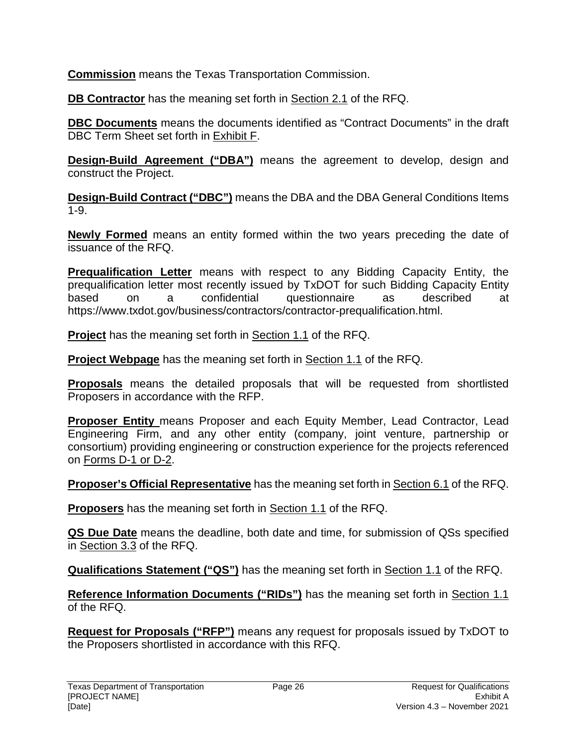**Commission** means the Texas Transportation Commission.

**DB Contractor** has the meaning set forth in Section 2.1 of the RFQ.

**DBC Documents** means the documents identified as "Contract Documents" in the draft DBC Term Sheet set forth in Exhibit F.

**Design-Build Agreement ("DBA")** means the agreement to develop, design and construct the Project.

**Design-Build Contract ("DBC")** means the DBA and the DBA General Conditions Items 1-9.

**Newly Formed** means an entity formed within the two years preceding the date of issuance of the RFQ.

**Prequalification Letter** means with respect to any Bidding Capacity Entity, the prequalification letter most recently issued by TxDOT for such Bidding Capacity Entity based on a confidential questionnaire as described at https://www.txdot.gov/business/contractors/contractor-prequalification.html.

**Project** has the meaning set forth in Section 1.1 of the RFQ.

**Project Webpage** has the meaning set forth in Section 1.1 of the RFQ.

**Proposals** means the detailed proposals that will be requested from shortlisted Proposers in accordance with the RFP.

**Proposer Entity** means Proposer and each Equity Member, Lead Contractor, Lead Engineering Firm, and any other entity (company, joint venture, partnership or consortium) providing engineering or construction experience for the projects referenced on Forms D-1 or D-2.

**Proposer's Official Representative** has the meaning set forth in Section 6.1 of the RFQ.

**Proposers** has the meaning set forth in Section 1.1 of the RFQ.

**QS Due Date** means the deadline, both date and time, for submission of QSs specified in Section 3.3 of the RFQ.

**Qualifications Statement ("QS")** has the meaning set forth in Section 1.1 of the RFQ.

**Reference Information Documents ("RIDs")** has the meaning set forth in Section 1.1 of the RFQ.

**Request for Proposals ("RFP")** means any request for proposals issued by TxDOT to the Proposers shortlisted in accordance with this RFQ.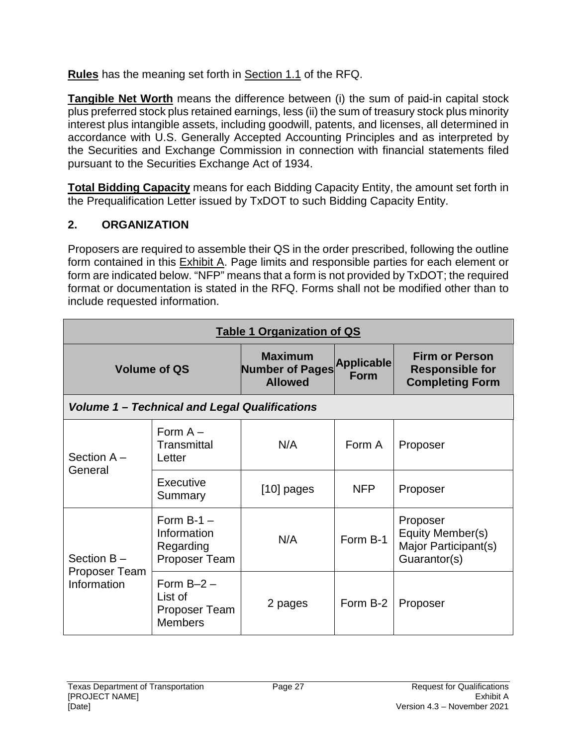**Rules** has the meaning set forth in Section 1.1 of the RFQ.

**Tangible Net Worth** means the difference between (i) the sum of paid-in capital stock plus preferred stock plus retained earnings, less (ii) the sum of treasury stock plus minority interest plus intangible assets, including goodwill, patents, and licenses, all determined in accordance with U.S. Generally Accepted Accounting Principles and as interpreted by the Securities and Exchange Commission in connection with financial statements filed pursuant to the Securities Exchange Act of 1934.

**Total Bidding Capacity** means for each Bidding Capacity Entity, the amount set forth in the Prequalification Letter issued by TxDOT to such Bidding Capacity Entity.

## **2. ORGANIZATION**

Proposers are required to assemble their QS in the order prescribed, following the outline form contained in this Exhibit A. Page limits and responsible parties for each element or form are indicated below. "NFP" means that a form is not provided by TxDOT; the required format or documentation is stated in the RFQ. Forms shall not be modified other than to include requested information.

| <b>Table 1 Organization of QS</b>                    |                                                            |                                                            |                                  |                                                                           |  |
|------------------------------------------------------|------------------------------------------------------------|------------------------------------------------------------|----------------------------------|---------------------------------------------------------------------------|--|
|                                                      | <b>Volume of QS</b>                                        | <b>Maximum</b><br><b>Number of Pages</b><br><b>Allowed</b> | <b>Applicable</b><br><b>Form</b> | <b>Firm or Person</b><br><b>Responsible for</b><br><b>Completing Form</b> |  |
| <b>Volume 1 - Technical and Legal Qualifications</b> |                                                            |                                                            |                                  |                                                                           |  |
| Section $A -$                                        | Form $A -$<br>Transmittal<br>Letter                        | N/A                                                        | Form A                           | Proposer                                                                  |  |
| General                                              | Executive<br>Summary                                       | $[10]$ pages                                               | <b>NFP</b>                       | Proposer                                                                  |  |
| Section $B -$                                        | Form $B-1$ –<br>Information<br>Regarding<br>Proposer Team  | N/A                                                        | Form B-1                         | Proposer<br>Equity Member(s)<br>Major Participant(s)<br>Guarantor(s)      |  |
| Proposer Team<br>Information                         | Form $B-2$ –<br>List of<br>Proposer Team<br><b>Members</b> | 2 pages                                                    | Form B-2                         | Proposer                                                                  |  |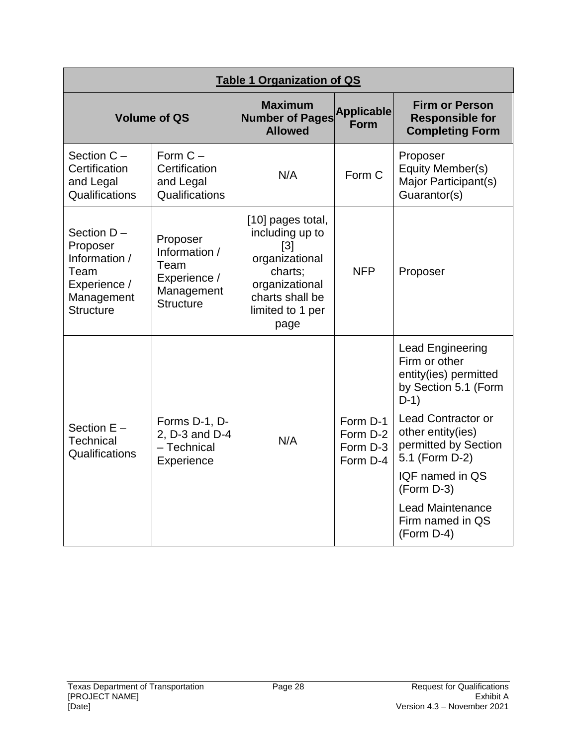| <b>Table 1 Organization of QS</b>                                                                 |                                                                                     |                                                                                                                                                         |                                              |                                                                                                     |
|---------------------------------------------------------------------------------------------------|-------------------------------------------------------------------------------------|---------------------------------------------------------------------------------------------------------------------------------------------------------|----------------------------------------------|-----------------------------------------------------------------------------------------------------|
|                                                                                                   | <b>Volume of QS</b>                                                                 | <b>Maximum</b><br>Number of Pages Applicable<br><b>Allowed</b>                                                                                          |                                              | <b>Firm or Person</b><br><b>Responsible for</b><br><b>Completing Form</b>                           |
| Section $C -$<br>Certification<br>and Legal<br>Qualifications                                     | Form $C -$<br>Certification<br>and Legal<br>Qualifications                          | N/A                                                                                                                                                     | Form C                                       | Proposer<br>Equity Member(s)<br>Major Participant(s)<br>Guarantor(s)                                |
| Section D-<br>Proposer<br>Information /<br>Team<br>Experience /<br>Management<br><b>Structure</b> | Proposer<br>Information /<br>Team<br>Experience /<br>Management<br><b>Structure</b> | [10] pages total,<br>including up to<br>$\lceil 3 \rceil$<br>organizational<br>charts;<br>organizational<br>charts shall be<br>limited to 1 per<br>page | <b>NFP</b>                                   | Proposer                                                                                            |
|                                                                                                   |                                                                                     |                                                                                                                                                         |                                              | <b>Lead Engineering</b><br>Firm or other<br>entity(ies) permitted<br>by Section 5.1 (Form<br>$D-1)$ |
| Section $E -$<br>Technical<br>Qualifications                                                      | Forms D-1, D-<br>2, D-3 and D-4<br>- Technical<br>Experience                        | N/A                                                                                                                                                     | Form D-1<br>Form D-2<br>Form D-3<br>Form D-4 | <b>Lead Contractor or</b><br>other entity(ies)<br>permitted by Section<br>5.1 (Form D-2)            |
|                                                                                                   |                                                                                     |                                                                                                                                                         |                                              | IQF named in QS<br>(Form D-3)                                                                       |
|                                                                                                   |                                                                                     |                                                                                                                                                         |                                              | <b>Lead Maintenance</b><br>Firm named in QS<br>$(Form D-4)$                                         |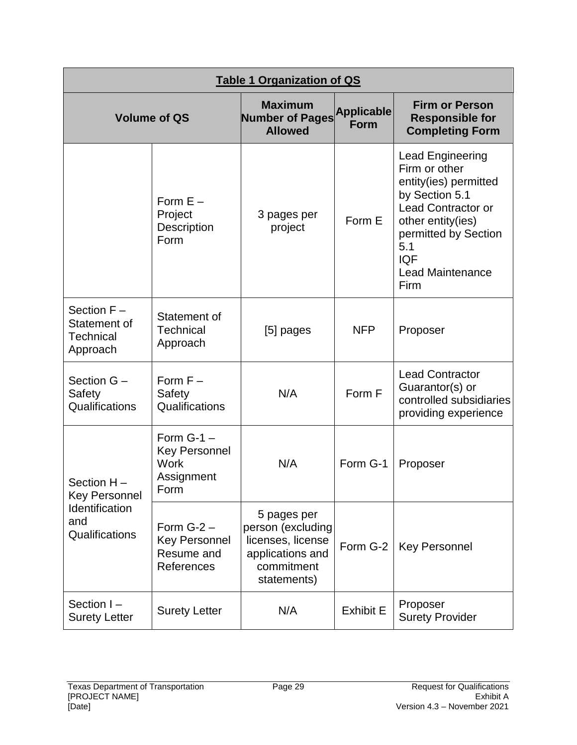| <b>Table 1 Organization of QS</b>                      |                                                                    |                                                                                                        |                                  |                                                                                                                                                                                                                |  |
|--------------------------------------------------------|--------------------------------------------------------------------|--------------------------------------------------------------------------------------------------------|----------------------------------|----------------------------------------------------------------------------------------------------------------------------------------------------------------------------------------------------------------|--|
|                                                        | <b>Volume of QS</b>                                                | <b>Maximum</b><br><b>Number of Pages</b><br><b>Allowed</b>                                             | <b>Applicable</b><br><b>Form</b> | <b>Firm or Person</b><br><b>Responsible for</b><br><b>Completing Form</b>                                                                                                                                      |  |
|                                                        | Form $E -$<br>Project<br><b>Description</b><br>Form                | 3 pages per<br>project                                                                                 | Form E                           | Lead Engineering<br>Firm or other<br>entity(ies) permitted<br>by Section 5.1<br><b>Lead Contractor or</b><br>other entity(ies)<br>permitted by Section<br>5.1<br><b>IQF</b><br><b>Lead Maintenance</b><br>Firm |  |
| Section $F -$<br>Statement of<br>Technical<br>Approach | Statement of<br><b>Technical</b><br>Approach                       | [5] pages                                                                                              | <b>NFP</b>                       | Proposer                                                                                                                                                                                                       |  |
| Section G -<br>Safety<br>Qualifications                | Form $F -$<br>Safety<br>Qualifications                             | N/A                                                                                                    | Form F                           | <b>Lead Contractor</b><br>Guarantor(s) or<br>controlled subsidiaries<br>providing experience                                                                                                                   |  |
| Section H-<br><b>Key Personnel</b>                     | Form $G-1$ –<br><b>Key Personnel</b><br>Work<br>Assignment<br>Form | N/A                                                                                                    | Form G-1                         | Proposer                                                                                                                                                                                                       |  |
| Identification<br>and<br>Qualifications                | Form $G-2$ –<br><b>Key Personnel</b><br>Resume and<br>References   | 5 pages per<br>person (excluding<br>licenses, license<br>applications and<br>commitment<br>statements) | Form G-2                         | <b>Key Personnel</b>                                                                                                                                                                                           |  |
| Section I-<br><b>Surety Letter</b>                     | <b>Surety Letter</b>                                               | N/A                                                                                                    | <b>Exhibit E</b>                 | Proposer<br><b>Surety Provider</b>                                                                                                                                                                             |  |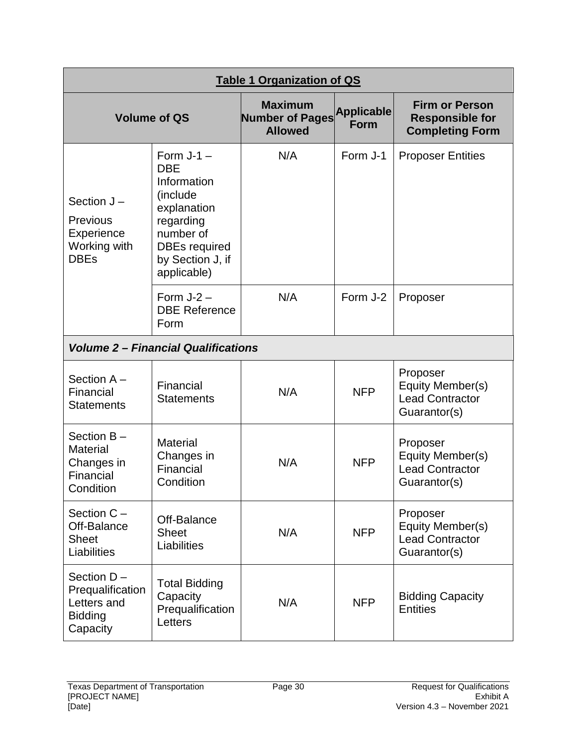| <b>Table 1 Organization of QS</b>                                             |                                                                                                                                                           |                                                            |                                  |                                                                           |  |
|-------------------------------------------------------------------------------|-----------------------------------------------------------------------------------------------------------------------------------------------------------|------------------------------------------------------------|----------------------------------|---------------------------------------------------------------------------|--|
| <b>Volume of QS</b>                                                           |                                                                                                                                                           | <b>Maximum</b><br><b>Number of Pages</b><br><b>Allowed</b> | <b>Applicable</b><br><b>Form</b> | <b>Firm or Person</b><br><b>Responsible for</b><br><b>Completing Form</b> |  |
| Section $J -$<br><b>Previous</b><br>Experience<br>Working with<br><b>DBEs</b> | Form $J-1$ –<br><b>DBE</b><br>Information<br>(include<br>explanation<br>regarding<br>number of<br><b>DBEs required</b><br>by Section J, if<br>applicable) | N/A                                                        | Form J-1                         | <b>Proposer Entities</b>                                                  |  |
|                                                                               | Form $J-2$ –<br><b>DBE Reference</b><br>Form                                                                                                              | N/A                                                        | Form J-2                         | Proposer                                                                  |  |
|                                                                               | <b>Volume 2 – Financial Qualifications</b>                                                                                                                |                                                            |                                  |                                                                           |  |
| Section A-<br>Financial<br><b>Statements</b>                                  | Financial<br><b>Statements</b>                                                                                                                            | N/A                                                        | <b>NFP</b>                       | Proposer<br>Equity Member(s)<br><b>Lead Contractor</b><br>Guarantor(s)    |  |
| Section B-<br><b>Material</b><br>Changes in<br>Financial<br>Condition         | <b>Material</b><br>Changes in<br>Financial<br>Condition                                                                                                   | N/A                                                        | <b>NFP</b>                       | Proposer<br>Equity Member(s)<br><b>Lead Contractor</b><br>Guarantor(s)    |  |
| Section C -<br>Off-Balance<br><b>Sheet</b><br>Liabilities                     | Off-Balance<br><b>Sheet</b><br>Liabilities                                                                                                                | N/A                                                        | <b>NFP</b>                       | Proposer<br>Equity Member(s)<br><b>Lead Contractor</b><br>Guarantor(s)    |  |
| Section D-<br>Prequalification<br>Letters and<br><b>Bidding</b><br>Capacity   | <b>Total Bidding</b><br>Capacity<br>Prequalification<br>Letters                                                                                           | N/A                                                        | <b>NFP</b>                       | <b>Bidding Capacity</b><br><b>Entities</b>                                |  |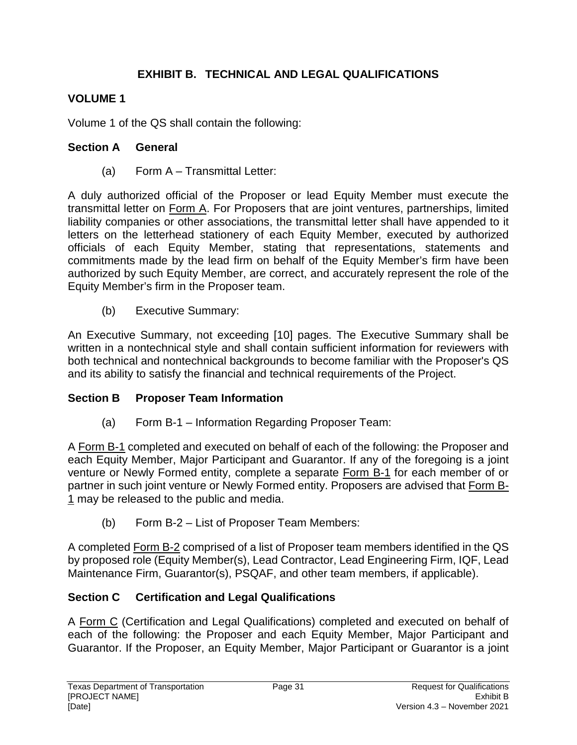## **EXHIBIT B. TECHNICAL AND LEGAL QUALIFICATIONS**

## **VOLUME 1**

Volume 1 of the QS shall contain the following:

### **Section A General**

(a) Form A – Transmittal Letter:

A duly authorized official of the Proposer or lead Equity Member must execute the transmittal letter on Form A. For Proposers that are joint ventures, partnerships, limited liability companies or other associations, the transmittal letter shall have appended to it letters on the letterhead stationery of each Equity Member, executed by authorized officials of each Equity Member, stating that representations, statements and commitments made by the lead firm on behalf of the Equity Member's firm have been authorized by such Equity Member, are correct, and accurately represent the role of the Equity Member's firm in the Proposer team.

(b) Executive Summary:

An Executive Summary, not exceeding [10] pages. The Executive Summary shall be written in a nontechnical style and shall contain sufficient information for reviewers with both technical and nontechnical backgrounds to become familiar with the Proposer's QS and its ability to satisfy the financial and technical requirements of the Project.

#### **Section B** Proposer Team Information

(a) Form B-1 – Information Regarding Proposer Team:

A Form B-1 completed and executed on behalf of each of the following: the Proposer and each Equity Member, Major Participant and Guarantor. If any of the foregoing is a joint venture or Newly Formed entity, complete a separate Form B-1 for each member of or partner in such joint venture or Newly Formed entity. Proposers are advised that Form B-1 may be released to the public and media.

(b) Form B-2 – List of Proposer Team Members:

A completed Form B-2 comprised of a list of Proposer team members identified in the QS by proposed role (Equity Member(s), Lead Contractor, Lead Engineering Firm, IQF, Lead Maintenance Firm, Guarantor(s), PSQAF, and other team members, if applicable).

## **Section C Certification and Legal Qualifications**

A Form C (Certification and Legal Qualifications) completed and executed on behalf of each of the following: the Proposer and each Equity Member, Major Participant and Guarantor. If the Proposer, an Equity Member, Major Participant or Guarantor is a joint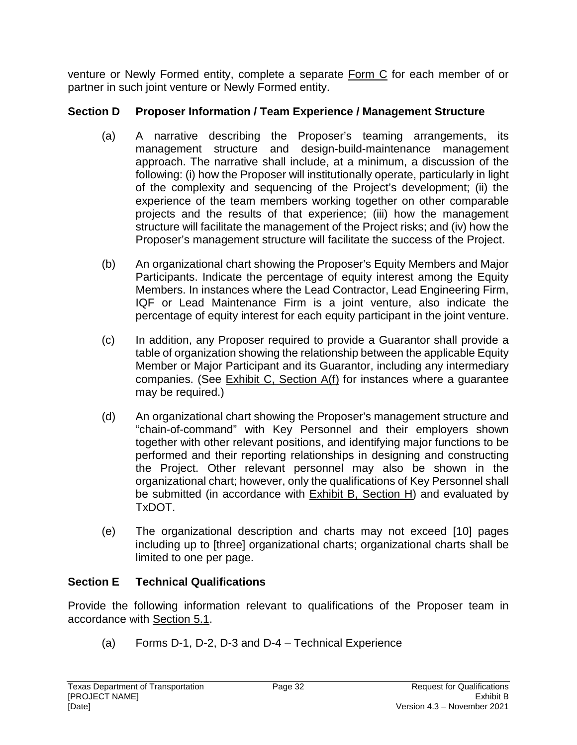venture or Newly Formed entity, complete a separate Form C for each member of or partner in such joint venture or Newly Formed entity.

### **Section D Proposer Information / Team Experience / Management Structure**

- (a) A narrative describing the Proposer's teaming arrangements, its management structure and design-build-maintenance management approach. The narrative shall include, at a minimum, a discussion of the following: (i) how the Proposer will institutionally operate, particularly in light of the complexity and sequencing of the Project's development; (ii) the experience of the team members working together on other comparable projects and the results of that experience; (iii) how the management structure will facilitate the management of the Project risks; and (iv) how the Proposer's management structure will facilitate the success of the Project.
- (b) An organizational chart showing the Proposer's Equity Members and Major Participants. Indicate the percentage of equity interest among the Equity Members. In instances where the Lead Contractor, Lead Engineering Firm, IQF or Lead Maintenance Firm is a joint venture, also indicate the percentage of equity interest for each equity participant in the joint venture.
- (c) In addition, any Proposer required to provide a Guarantor shall provide a table of organization showing the relationship between the applicable Equity Member or Major Participant and its Guarantor, including any intermediary companies. (See Exhibit C, Section A(f) for instances where a guarantee may be required.)
- (d) An organizational chart showing the Proposer's management structure and "chain-of-command" with Key Personnel and their employers shown together with other relevant positions, and identifying major functions to be performed and their reporting relationships in designing and constructing the Project. Other relevant personnel may also be shown in the organizational chart; however, only the qualifications of Key Personnel shall be submitted (in accordance with  $Exhibit B$ , Section H) and evaluated by TxDOT.
- (e) The organizational description and charts may not exceed [10] pages including up to [three] organizational charts; organizational charts shall be limited to one per page.

## **Section E Technical Qualifications**

Provide the following information relevant to qualifications of the Proposer team in accordance with Section 5.1.

(a) Forms D-1, D-2, D-3 and D-4 – Technical Experience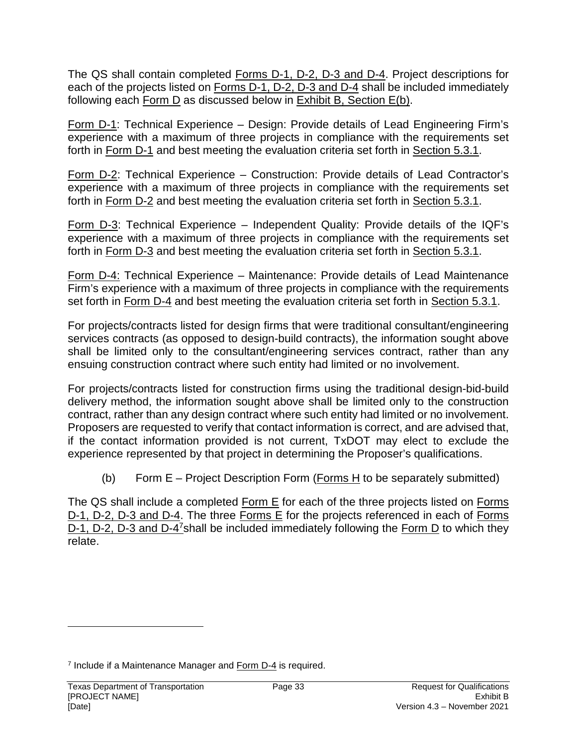The QS shall contain completed Forms D-1, D-2, D-3 and D-4. Project descriptions for each of the projects listed on Forms D-1, D-2, D-3 and D-4 shall be included immediately following each Form D as discussed below in Exhibit B, Section E(b).

Form D-1: Technical Experience – Design: Provide details of Lead Engineering Firm's experience with a maximum of three projects in compliance with the requirements set forth in Form D-1 and best meeting the evaluation criteria set forth in Section 5.3.1.

Form D-2: Technical Experience – Construction: Provide details of Lead Contractor's experience with a maximum of three projects in compliance with the requirements set forth in Form D-2 and best meeting the evaluation criteria set forth in Section 5.3.1.

Form D-3: Technical Experience – Independent Quality: Provide details of the IQF's experience with a maximum of three projects in compliance with the requirements set forth in Form D-3 and best meeting the evaluation criteria set forth in Section 5.3.1.

Form D-4: Technical Experience – Maintenance: Provide details of Lead Maintenance Firm's experience with a maximum of three projects in compliance with the requirements set forth in Form D-4 and best meeting the evaluation criteria set forth in Section 5.3.1.

For projects/contracts listed for design firms that were traditional consultant/engineering services contracts (as opposed to design-build contracts), the information sought above shall be limited only to the consultant/engineering services contract, rather than any ensuing construction contract where such entity had limited or no involvement.

For projects/contracts listed for construction firms using the traditional design-bid-build delivery method, the information sought above shall be limited only to the construction contract, rather than any design contract where such entity had limited or no involvement. Proposers are requested to verify that contact information is correct, and are advised that, if the contact information provided is not current, TxDOT may elect to exclude the experience represented by that project in determining the Proposer's qualifications.

(b) Form E – Project Description Form (Forms H to be separately submitted)

The QS shall include a completed Form E for each of the three projects listed on Forms D-1, D-2, D-3 and D-4. The three Forms E for the projects referenced in each of Forms D-1, D-2, D-3 and D-4<sup>7</sup>shall be included immediately following the Form D to which they relate.

<sup>&</sup>lt;sup>7</sup> Include if a Maintenance Manager and Form D-4 is required.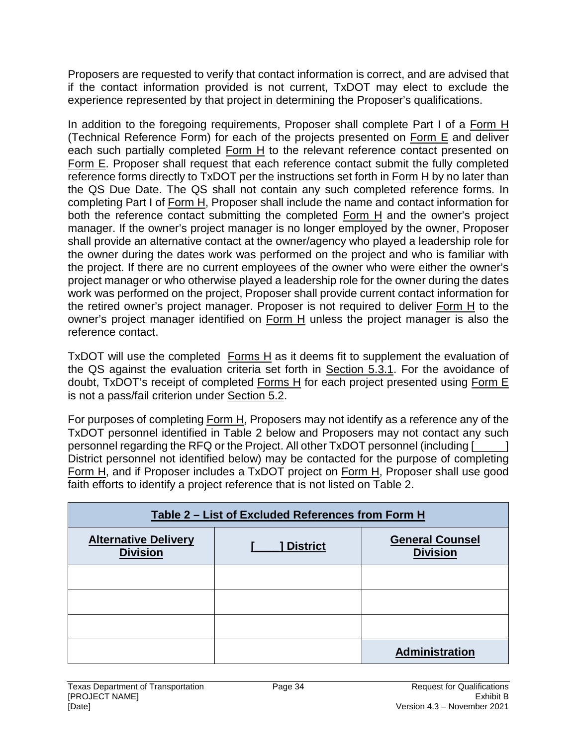Proposers are requested to verify that contact information is correct, and are advised that if the contact information provided is not current, TxDOT may elect to exclude the experience represented by that project in determining the Proposer's qualifications.

In addition to the foregoing requirements, Proposer shall complete Part I of a Form H (Technical Reference Form) for each of the projects presented on Form E and deliver each such partially completed Form H to the relevant reference contact presented on Form E. Proposer shall request that each reference contact submit the fully completed reference forms directly to TxDOT per the instructions set forth in Form H by no later than the QS Due Date. The QS shall not contain any such completed reference forms. In completing Part I of Form H, Proposer shall include the name and contact information for both the reference contact submitting the completed Form H and the owner's project manager. If the owner's project manager is no longer employed by the owner, Proposer shall provide an alternative contact at the owner/agency who played a leadership role for the owner during the dates work was performed on the project and who is familiar with the project. If there are no current employees of the owner who were either the owner's project manager or who otherwise played a leadership role for the owner during the dates work was performed on the project, Proposer shall provide current contact information for the retired owner's project manager. Proposer is not required to deliver Form H to the owner's project manager identified on Form H unless the project manager is also the reference contact.

TxDOT will use the completed Forms  $H$  as it deems fit to supplement the evaluation of the QS against the evaluation criteria set forth in Section 5.3.1. For the avoidance of doubt, TxDOT's receipt of completed Forms H for each project presented using Form E is not a pass/fail criterion under Section 5.2.

For purposes of completing Form H, Proposers may not identify as a reference any of the TxDOT personnel identified in Table 2 below and Proposers may not contact any such personnel regarding the RFQ or the Project. All other TxDOT personnel (including [\_\_\_\_\_] District personnel not identified below) may be contacted for the purpose of completing Form H, and if Proposer includes a TxDOT project on Form H, Proposer shall use good faith efforts to identify a project reference that is not listed on Table 2.

| Table 2 – List of Excluded References from Form H                                                              |  |                |  |  |
|----------------------------------------------------------------------------------------------------------------|--|----------------|--|--|
| <b>Alternative Delivery</b><br><b>General Counsel</b><br><b>District</b><br><b>Division</b><br><b>Division</b> |  |                |  |  |
|                                                                                                                |  |                |  |  |
|                                                                                                                |  |                |  |  |
|                                                                                                                |  |                |  |  |
|                                                                                                                |  | Administration |  |  |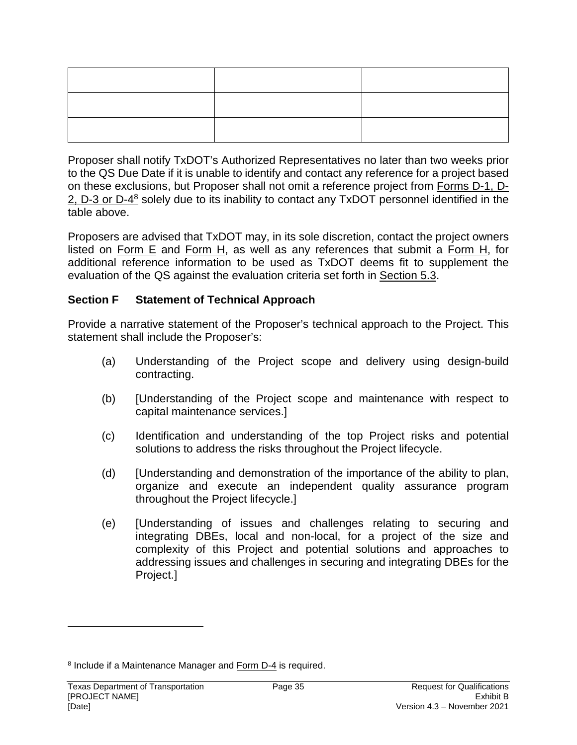Proposer shall notify TxDOT's Authorized Representatives no later than two weeks prior to the QS Due Date if it is unable to identify and contact any reference for a project based on these exclusions, but Proposer shall not omit a reference project from Forms D-1, D-2, D-3 or D-4<sup>8</sup> solely due to its inability to contact any TxDOT personnel identified in the table above.

Proposers are advised that TxDOT may, in its sole discretion, contact the project owners listed on Form E and Form H, as well as any references that submit a Form H, for additional reference information to be used as TxDOT deems fit to supplement the evaluation of the QS against the evaluation criteria set forth in Section 5.3.

#### **Section F Statement of Technical Approach**

Provide a narrative statement of the Proposer's technical approach to the Project. This statement shall include the Proposer's:

- (a) Understanding of the Project scope and delivery using design-build contracting.
- (b) [Understanding of the Project scope and maintenance with respect to capital maintenance services.]
- (c) Identification and understanding of the top Project risks and potential solutions to address the risks throughout the Project lifecycle.
- (d) [Understanding and demonstration of the importance of the ability to plan, organize and execute an independent quality assurance program throughout the Project lifecycle.]
- (e) [Understanding of issues and challenges relating to securing and integrating DBEs, local and non-local, for a project of the size and complexity of this Project and potential solutions and approaches to addressing issues and challenges in securing and integrating DBEs for the Project.]

<sup>&</sup>lt;sup>8</sup> Include if a Maintenance Manager and Form D-4 is required.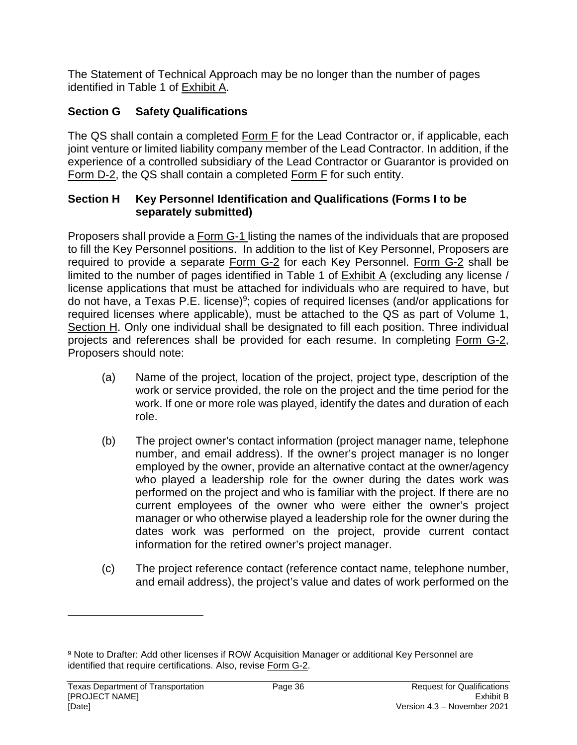The Statement of Technical Approach may be no longer than the number of pages identified in Table 1 of Exhibit A.

# **Section G Safety Qualifications**

The QS shall contain a completed Form F for the Lead Contractor or, if applicable, each joint venture or limited liability company member of the Lead Contractor. In addition, if the experience of a controlled subsidiary of the Lead Contractor or Guarantor is provided on Form D-2, the QS shall contain a completed Form F for such entity.

#### **Section H Key Personnel Identification and Qualifications (Forms I to be separately submitted)**

Proposers shall provide a Form G-1 listing the names of the individuals that are proposed to fill the Key Personnel positions. In addition to the list of Key Personnel, Proposers are required to provide a separate Form G-2 for each Key Personnel. Form G-2 shall be limited to the number of pages identified in Table 1 of  $Exhibit A$  (excluding any license / license applications that must be attached for individuals who are required to have, but do not have, a Texas P.E. license)<sup>9</sup>; copies of required licenses (and/or applications for required licenses where applicable), must be attached to the QS as part of Volume 1, Section H. Only one individual shall be designated to fill each position. Three individual projects and references shall be provided for each resume. In completing Form G-2, Proposers should note:

- (a) Name of the project, location of the project, project type, description of the work or service provided, the role on the project and the time period for the work. If one or more role was played, identify the dates and duration of each role.
- (b) The project owner's contact information (project manager name, telephone number, and email address). If the owner's project manager is no longer employed by the owner, provide an alternative contact at the owner/agency who played a leadership role for the owner during the dates work was performed on the project and who is familiar with the project. If there are no current employees of the owner who were either the owner's project manager or who otherwise played a leadership role for the owner during the dates work was performed on the project, provide current contact information for the retired owner's project manager.
- (c) The project reference contact (reference contact name, telephone number, and email address), the project's value and dates of work performed on the

<sup>&</sup>lt;sup>9</sup> Note to Drafter: Add other licenses if ROW Acquisition Manager or additional Key Personnel are identified that require certifications. Also, revise Form G-2.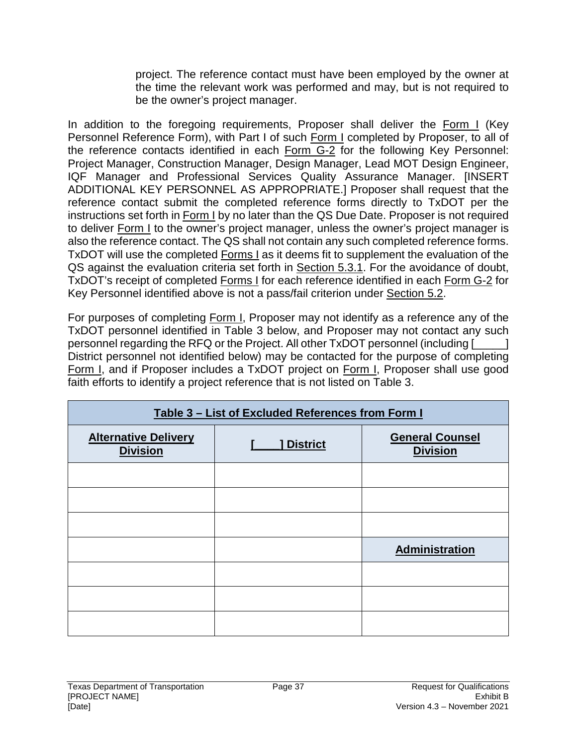project. The reference contact must have been employed by the owner at the time the relevant work was performed and may, but is not required to be the owner's project manager.

In addition to the foregoing requirements, Proposer shall deliver the Form I (Key Personnel Reference Form), with Part I of such Form I completed by Proposer, to all of the reference contacts identified in each Form G-2 for the following Key Personnel: Project Manager, Construction Manager, Design Manager, Lead MOT Design Engineer, IQF Manager and Professional Services Quality Assurance Manager. [INSERT ADDITIONAL KEY PERSONNEL AS APPROPRIATE.] Proposer shall request that the reference contact submit the completed reference forms directly to TxDOT per the instructions set forth in Form I by no later than the QS Due Date. Proposer is not required to deliver Form I to the owner's project manager, unless the owner's project manager is also the reference contact. The QS shall not contain any such completed reference forms. TxDOT will use the completed Forms I as it deems fit to supplement the evaluation of the QS against the evaluation criteria set forth in Section 5.3.1. For the avoidance of doubt, TxDOT's receipt of completed Forms I for each reference identified in each Form G-2 for Key Personnel identified above is not a pass/fail criterion under Section 5.2.

For purposes of completing Form I, Proposer may not identify as a reference any of the TxDOT personnel identified in Table 3 below, and Proposer may not contact any such personnel regarding the RFQ or the Project. All other TxDOT personnel (including [\_\_\_\_\_] District personnel not identified below) may be contacted for the purpose of completing Form I, and if Proposer includes a TxDOT project on Form I, Proposer shall use good faith efforts to identify a project reference that is not listed on Table 3.

| Table 3 - List of Excluded References from Form I |                 |                                           |  |
|---------------------------------------------------|-----------------|-------------------------------------------|--|
| <b>Alternative Delivery</b><br><b>Division</b>    | <b>District</b> | <b>General Counsel</b><br><b>Division</b> |  |
|                                                   |                 |                                           |  |
|                                                   |                 |                                           |  |
|                                                   |                 |                                           |  |
|                                                   |                 | Administration                            |  |
|                                                   |                 |                                           |  |
|                                                   |                 |                                           |  |
|                                                   |                 |                                           |  |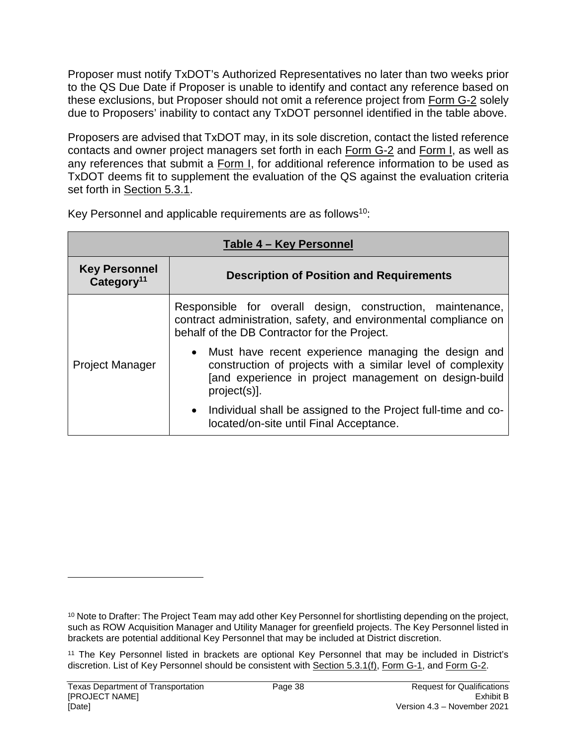Proposer must notify TxDOT's Authorized Representatives no later than two weeks prior to the QS Due Date if Proposer is unable to identify and contact any reference based on these exclusions, but Proposer should not omit a reference project from Form G-2 solely due to Proposers' inability to contact any TxDOT personnel identified in the table above.

Proposers are advised that TxDOT may, in its sole discretion, contact the listed reference contacts and owner project managers set forth in each Form G-2 and Form I, as well as any references that submit a Form I, for additional reference information to be used as TxDOT deems fit to supplement the evaluation of the QS against the evaluation criteria set forth in Section 5.3.1.

| Table 4 - Key Personnel                        |                                                                                                                                                                                               |  |  |
|------------------------------------------------|-----------------------------------------------------------------------------------------------------------------------------------------------------------------------------------------------|--|--|
| <b>Key Personnel</b><br>Category <sup>11</sup> | <b>Description of Position and Requirements</b>                                                                                                                                               |  |  |
|                                                | Responsible for overall design, construction, maintenance,<br>contract administration, safety, and environmental compliance on<br>behalf of the DB Contractor for the Project.                |  |  |
| <b>Project Manager</b>                         | • Must have recent experience managing the design and<br>construction of projects with a similar level of complexity<br>[and experience in project management on design-build<br>project(s)]. |  |  |
|                                                | • Individual shall be assigned to the Project full-time and co-<br>located/on-site until Final Acceptance.                                                                                    |  |  |

Key Personnel and applicable requirements are as follows<sup>10</sup>:

<sup>10</sup> Note to Drafter: The Project Team may add other Key Personnel for shortlisting depending on the project, such as ROW Acquisition Manager and Utility Manager for greenfield projects. The Key Personnel listed in brackets are potential additional Key Personnel that may be included at District discretion.

<sup>11</sup> The Key Personnel listed in brackets are optional Key Personnel that may be included in District's discretion. List of Key Personnel should be consistent with Section 5.3.1(f), Form G-1, and Form G-2.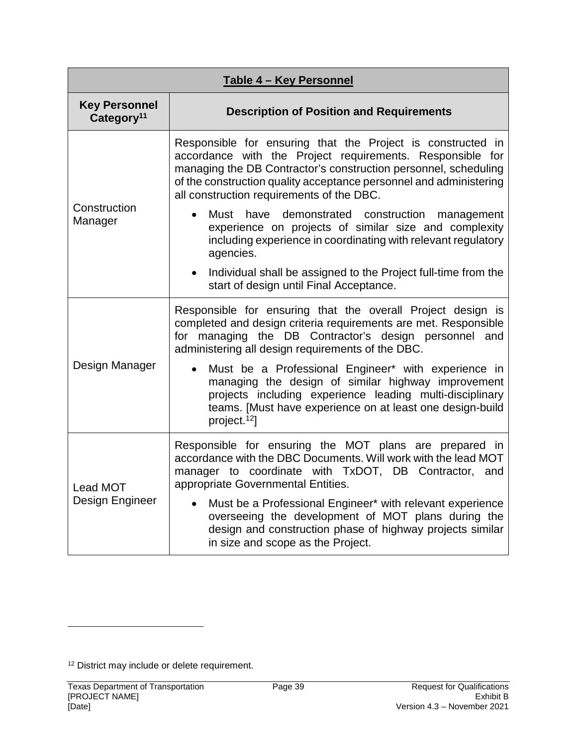| Table 4 - Key Personnel                        |                                                                                                                                                                                                                                                                                                                |  |  |
|------------------------------------------------|----------------------------------------------------------------------------------------------------------------------------------------------------------------------------------------------------------------------------------------------------------------------------------------------------------------|--|--|
| <b>Key Personnel</b><br>Category <sup>11</sup> | <b>Description of Position and Requirements</b>                                                                                                                                                                                                                                                                |  |  |
| Construction<br>Manager                        | Responsible for ensuring that the Project is constructed in<br>accordance with the Project requirements. Responsible for<br>managing the DB Contractor's construction personnel, scheduling<br>of the construction quality acceptance personnel and administering<br>all construction requirements of the DBC. |  |  |
|                                                | Must have demonstrated construction management<br>$\bullet$<br>experience on projects of similar size and complexity<br>including experience in coordinating with relevant regulatory<br>agencies.                                                                                                             |  |  |
|                                                | Individual shall be assigned to the Project full-time from the<br>$\bullet$<br>start of design until Final Acceptance.                                                                                                                                                                                         |  |  |
| Design Manager                                 | Responsible for ensuring that the overall Project design is<br>completed and design criteria requirements are met. Responsible<br>for managing the DB Contractor's design personnel and<br>administering all design requirements of the DBC.                                                                   |  |  |
|                                                | Must be a Professional Engineer* with experience in<br>$\bullet$<br>managing the design of similar highway improvement<br>projects including experience leading multi-disciplinary<br>teams. [Must have experience on at least one design-build<br>project. <sup>12</sup> ]                                    |  |  |
| Lead MOT<br>Design Engineer                    | Responsible for ensuring the MOT plans are prepared in<br>accordance with the DBC Documents. Will work with the lead MOT<br>manager to coordinate with TxDOT, DB Contractor, and<br>appropriate Governmental Entities.                                                                                         |  |  |
|                                                | Must be a Professional Engineer* with relevant experience<br>$\bullet$<br>overseeing the development of MOT plans during the<br>design and construction phase of highway projects similar<br>in size and scope as the Project.                                                                                 |  |  |

<sup>12</sup> District may include or delete requirement.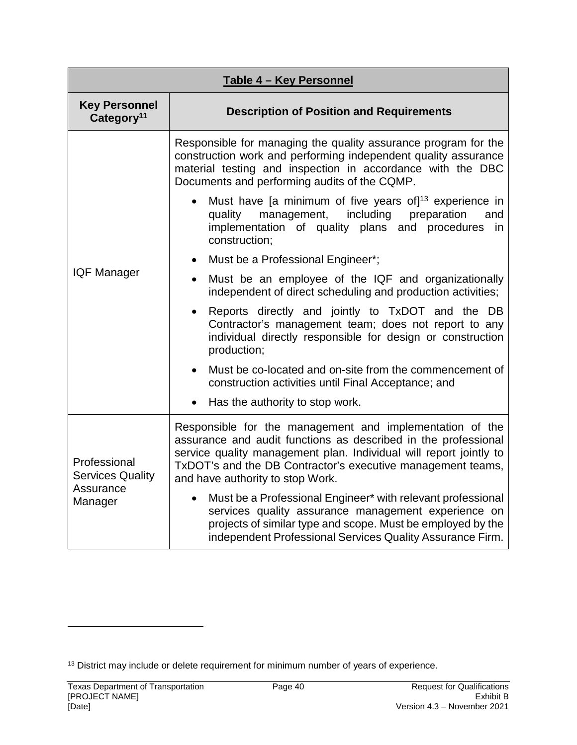| Table 4 - Key Personnel                                         |                                                                                                                                                                                                                                                                                                     |  |  |
|-----------------------------------------------------------------|-----------------------------------------------------------------------------------------------------------------------------------------------------------------------------------------------------------------------------------------------------------------------------------------------------|--|--|
| <b>Key Personnel</b><br>Category <sup>11</sup>                  | <b>Description of Position and Requirements</b>                                                                                                                                                                                                                                                     |  |  |
|                                                                 | Responsible for managing the quality assurance program for the<br>construction work and performing independent quality assurance<br>material testing and inspection in accordance with the DBC<br>Documents and performing audits of the CQMP.                                                      |  |  |
|                                                                 | Must have [a minimum of five years of] $13$ experience in<br>quality management,<br>including<br>preparation<br>and<br>implementation of quality plans and procedures<br>in<br>construction;                                                                                                        |  |  |
|                                                                 | Must be a Professional Engineer*;<br>$\bullet$                                                                                                                                                                                                                                                      |  |  |
| <b>IQF Manager</b>                                              | Must be an employee of the IQF and organizationally<br>independent of direct scheduling and production activities;                                                                                                                                                                                  |  |  |
|                                                                 | Reports directly and jointly to TxDOT and the DB<br>$\bullet$<br>Contractor's management team; does not report to any<br>individual directly responsible for design or construction<br>production;                                                                                                  |  |  |
|                                                                 | Must be co-located and on-site from the commencement of<br>construction activities until Final Acceptance; and                                                                                                                                                                                      |  |  |
|                                                                 | Has the authority to stop work.                                                                                                                                                                                                                                                                     |  |  |
| Professional<br><b>Services Quality</b><br>Assurance<br>Manager | Responsible for the management and implementation of the<br>assurance and audit functions as described in the professional<br>service quality management plan. Individual will report jointly to<br>TxDOT's and the DB Contractor's executive management teams,<br>and have authority to stop Work. |  |  |
|                                                                 | Must be a Professional Engineer* with relevant professional<br>$\bullet$<br>services quality assurance management experience on<br>projects of similar type and scope. Must be employed by the<br>independent Professional Services Quality Assurance Firm.                                         |  |  |

<sup>13</sup> District may include or delete requirement for minimum number of years of experience.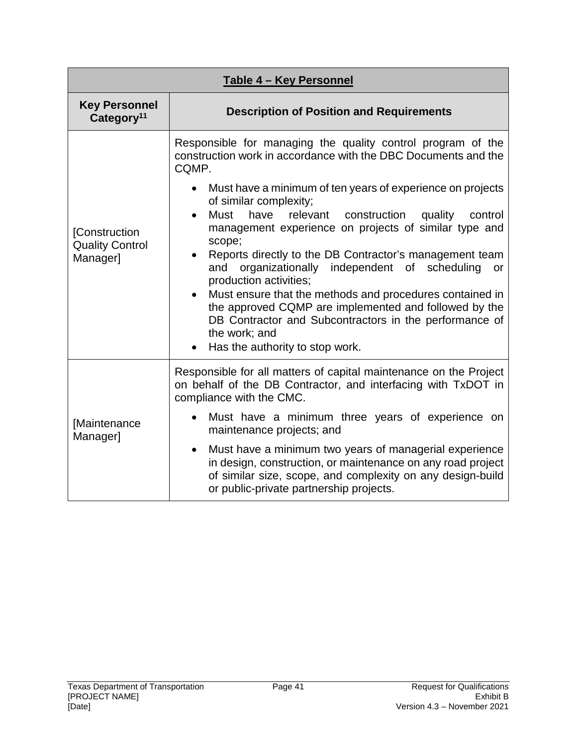| Table 4 - Key Personnel                             |                                                                                                                                                                                                                                                                                                                                                                                                                                                                                                                                                                                                                                                                                                                                                                        |  |  |  |
|-----------------------------------------------------|------------------------------------------------------------------------------------------------------------------------------------------------------------------------------------------------------------------------------------------------------------------------------------------------------------------------------------------------------------------------------------------------------------------------------------------------------------------------------------------------------------------------------------------------------------------------------------------------------------------------------------------------------------------------------------------------------------------------------------------------------------------------|--|--|--|
| <b>Key Personnel</b><br>Category <sup>11</sup>      | <b>Description of Position and Requirements</b>                                                                                                                                                                                                                                                                                                                                                                                                                                                                                                                                                                                                                                                                                                                        |  |  |  |
| [Construction<br><b>Quality Control</b><br>Manager] | Responsible for managing the quality control program of the<br>construction work in accordance with the DBC Documents and the<br>CQMP.<br>Must have a minimum of ten years of experience on projects<br>of similar complexity;<br>Must<br>have<br>relevant<br>construction<br>quality<br>control<br>$\bullet$<br>management experience on projects of similar type and<br>scope;<br>Reports directly to the DB Contractor's management team<br>organizationally independent of<br>scheduling<br>and<br>or<br>production activities;<br>Must ensure that the methods and procedures contained in<br>the approved CQMP are implemented and followed by the<br>DB Contractor and Subcontractors in the performance of<br>the work; and<br>Has the authority to stop work. |  |  |  |
|                                                     | Responsible for all matters of capital maintenance on the Project<br>on behalf of the DB Contractor, and interfacing with TxDOT in<br>compliance with the CMC.                                                                                                                                                                                                                                                                                                                                                                                                                                                                                                                                                                                                         |  |  |  |
| [Maintenance<br>Manager]                            | Must have a minimum three years of experience on<br>maintenance projects; and                                                                                                                                                                                                                                                                                                                                                                                                                                                                                                                                                                                                                                                                                          |  |  |  |
|                                                     | Must have a minimum two years of managerial experience<br>$\bullet$<br>in design, construction, or maintenance on any road project<br>of similar size, scope, and complexity on any design-build<br>or public-private partnership projects.                                                                                                                                                                                                                                                                                                                                                                                                                                                                                                                            |  |  |  |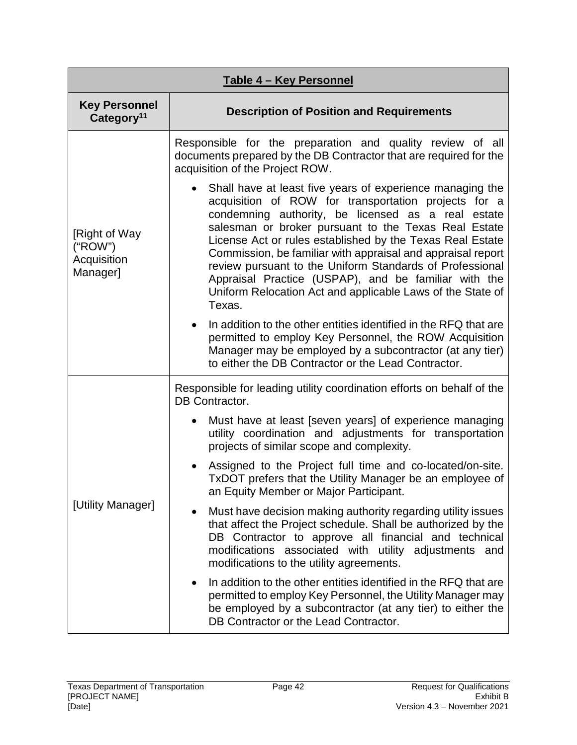| Table 4 - Key Personnel                             |                                                                                                                                                                                                                                                                                                                                                                                                                                                                                                                                                         |  |  |
|-----------------------------------------------------|---------------------------------------------------------------------------------------------------------------------------------------------------------------------------------------------------------------------------------------------------------------------------------------------------------------------------------------------------------------------------------------------------------------------------------------------------------------------------------------------------------------------------------------------------------|--|--|
| <b>Key Personnel</b><br>Category <sup>11</sup>      | <b>Description of Position and Requirements</b>                                                                                                                                                                                                                                                                                                                                                                                                                                                                                                         |  |  |
| [Right of Way<br>("ROW")<br>Acquisition<br>Manager] | Responsible for the preparation and quality review of all<br>documents prepared by the DB Contractor that are required for the<br>acquisition of the Project ROW.                                                                                                                                                                                                                                                                                                                                                                                       |  |  |
|                                                     | Shall have at least five years of experience managing the<br>acquisition of ROW for transportation projects for a<br>condemning authority, be licensed as a real estate<br>salesman or broker pursuant to the Texas Real Estate<br>License Act or rules established by the Texas Real Estate<br>Commission, be familiar with appraisal and appraisal report<br>review pursuant to the Uniform Standards of Professional<br>Appraisal Practice (USPAP), and be familiar with the<br>Uniform Relocation Act and applicable Laws of the State of<br>Texas. |  |  |
|                                                     | In addition to the other entities identified in the RFQ that are<br>$\bullet$<br>permitted to employ Key Personnel, the ROW Acquisition<br>Manager may be employed by a subcontractor (at any tier)<br>to either the DB Contractor or the Lead Contractor.                                                                                                                                                                                                                                                                                              |  |  |
|                                                     | Responsible for leading utility coordination efforts on behalf of the<br><b>DB Contractor.</b>                                                                                                                                                                                                                                                                                                                                                                                                                                                          |  |  |
| [Utility Manager]                                   | Must have at least [seven years] of experience managing<br>$\bullet$<br>utility coordination and adjustments for transportation<br>projects of similar scope and complexity.                                                                                                                                                                                                                                                                                                                                                                            |  |  |
|                                                     | Assigned to the Project full time and co-located/on-site.<br>TxDOT prefers that the Utility Manager be an employee of<br>an Equity Member or Major Participant.                                                                                                                                                                                                                                                                                                                                                                                         |  |  |
|                                                     | Must have decision making authority regarding utility issues<br>$\bullet$<br>that affect the Project schedule. Shall be authorized by the<br>DB Contractor to approve all financial and technical<br>modifications associated with utility adjustments and<br>modifications to the utility agreements.                                                                                                                                                                                                                                                  |  |  |
|                                                     | In addition to the other entities identified in the RFQ that are<br>$\bullet$<br>permitted to employ Key Personnel, the Utility Manager may<br>be employed by a subcontractor (at any tier) to either the<br>DB Contractor or the Lead Contractor.                                                                                                                                                                                                                                                                                                      |  |  |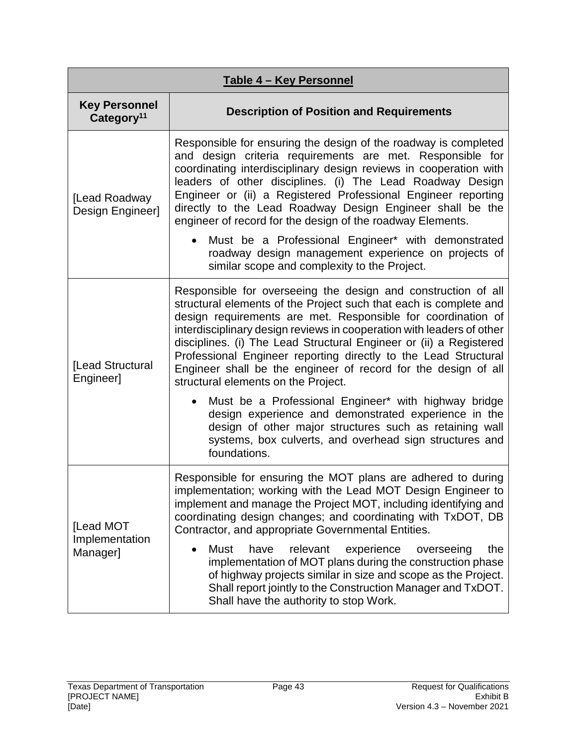| Table 4 - Key Personnel                        |                                                                                                                                                                                                                                                                                                                                                                                                                                                                                                                               |  |  |
|------------------------------------------------|-------------------------------------------------------------------------------------------------------------------------------------------------------------------------------------------------------------------------------------------------------------------------------------------------------------------------------------------------------------------------------------------------------------------------------------------------------------------------------------------------------------------------------|--|--|
| <b>Key Personnel</b><br>Category <sup>11</sup> | <b>Description of Position and Requirements</b>                                                                                                                                                                                                                                                                                                                                                                                                                                                                               |  |  |
| [Lead Roadway<br>Design Engineer]              | Responsible for ensuring the design of the roadway is completed<br>and design criteria requirements are met. Responsible for<br>coordinating interdisciplinary design reviews in cooperation with<br>leaders of other disciplines. (i) The Lead Roadway Design<br>Engineer or (ii) a Registered Professional Engineer reporting<br>directly to the Lead Roadway Design Engineer shall be the<br>engineer of record for the design of the roadway Elements.                                                                    |  |  |
|                                                | Must be a Professional Engineer* with demonstrated<br>roadway design management experience on projects of<br>similar scope and complexity to the Project.                                                                                                                                                                                                                                                                                                                                                                     |  |  |
| [Lead Structural<br>Engineer]                  | Responsible for overseeing the design and construction of all<br>structural elements of the Project such that each is complete and<br>design requirements are met. Responsible for coordination of<br>interdisciplinary design reviews in cooperation with leaders of other<br>disciplines. (i) The Lead Structural Engineer or (ii) a Registered<br>Professional Engineer reporting directly to the Lead Structural<br>Engineer shall be the engineer of record for the design of all<br>structural elements on the Project. |  |  |
|                                                | Must be a Professional Engineer* with highway bridge<br>$\bullet$<br>design experience and demonstrated experience in the<br>design of other major structures such as retaining wall<br>systems, box culverts, and overhead sign structures and<br>foundations.                                                                                                                                                                                                                                                               |  |  |
| [Lead MOT<br>Implementation<br>Manager]        | Responsible for ensuring the MOT plans are adhered to during<br>implementation; working with the Lead MOT Design Engineer to<br>implement and manage the Project MOT, including identifying and<br>coordinating design changes; and coordinating with TxDOT, DB<br>Contractor, and appropriate Governmental Entities.                                                                                                                                                                                                         |  |  |
|                                                | <b>Must</b><br>have<br>relevant<br>the<br>experience<br>overseeing<br>implementation of MOT plans during the construction phase<br>of highway projects similar in size and scope as the Project.<br>Shall report jointly to the Construction Manager and TxDOT.<br>Shall have the authority to stop Work.                                                                                                                                                                                                                     |  |  |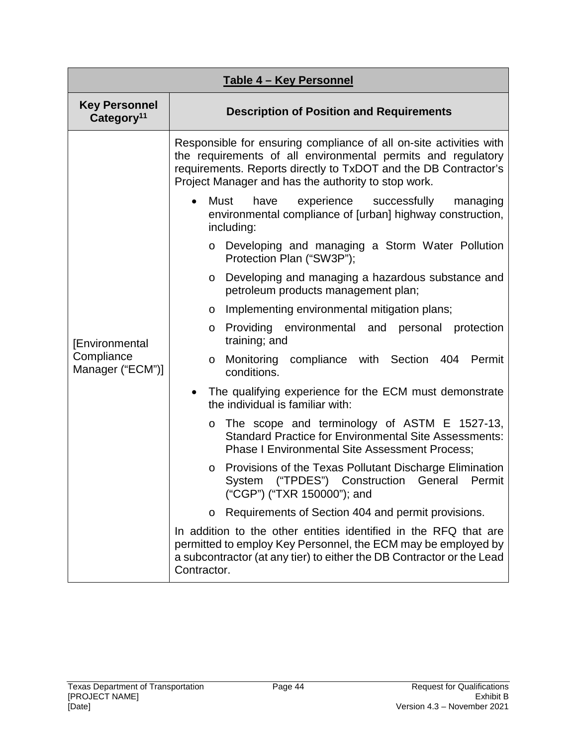| Table 4 - Key Personnel                        |                                                                                                                                                                                                                                                              |  |  |  |
|------------------------------------------------|--------------------------------------------------------------------------------------------------------------------------------------------------------------------------------------------------------------------------------------------------------------|--|--|--|
| <b>Key Personnel</b><br>Category <sup>11</sup> | <b>Description of Position and Requirements</b>                                                                                                                                                                                                              |  |  |  |
|                                                | Responsible for ensuring compliance of all on-site activities with<br>the requirements of all environmental permits and regulatory<br>requirements. Reports directly to TxDOT and the DB Contractor's<br>Project Manager and has the authority to stop work. |  |  |  |
|                                                | experience<br>Must<br>have<br>successfully<br>managing<br>environmental compliance of [urban] highway construction,<br>including:                                                                                                                            |  |  |  |
|                                                | Developing and managing a Storm Water Pollution<br>$\circ$<br>Protection Plan ("SW3P");                                                                                                                                                                      |  |  |  |
|                                                | Developing and managing a hazardous substance and<br>O<br>petroleum products management plan;                                                                                                                                                                |  |  |  |
|                                                | Implementing environmental mitigation plans;<br>O                                                                                                                                                                                                            |  |  |  |
| [Environmental                                 | Providing<br>environmental and<br>personal protection<br>O<br>training; and                                                                                                                                                                                  |  |  |  |
| Compliance<br>Manager ("ECM")]                 | Monitoring compliance with Section 404 Permit<br>O<br>conditions.                                                                                                                                                                                            |  |  |  |
|                                                | The qualifying experience for the ECM must demonstrate<br>the individual is familiar with:                                                                                                                                                                   |  |  |  |
|                                                | The scope and terminology of ASTM E 1527-13,<br>O<br><b>Standard Practice for Environmental Site Assessments:</b><br><b>Phase I Environmental Site Assessment Process;</b>                                                                                   |  |  |  |
|                                                | Provisions of the Texas Pollutant Discharge Elimination<br>$\circ$<br>("TPDES") Construction General<br>System<br>Permit<br>("CGP") ("TXR 150000"); and                                                                                                      |  |  |  |
|                                                | Requirements of Section 404 and permit provisions.<br>O                                                                                                                                                                                                      |  |  |  |
|                                                | In addition to the other entities identified in the RFQ that are<br>permitted to employ Key Personnel, the ECM may be employed by<br>a subcontractor (at any tier) to either the DB Contractor or the Lead<br>Contractor.                                    |  |  |  |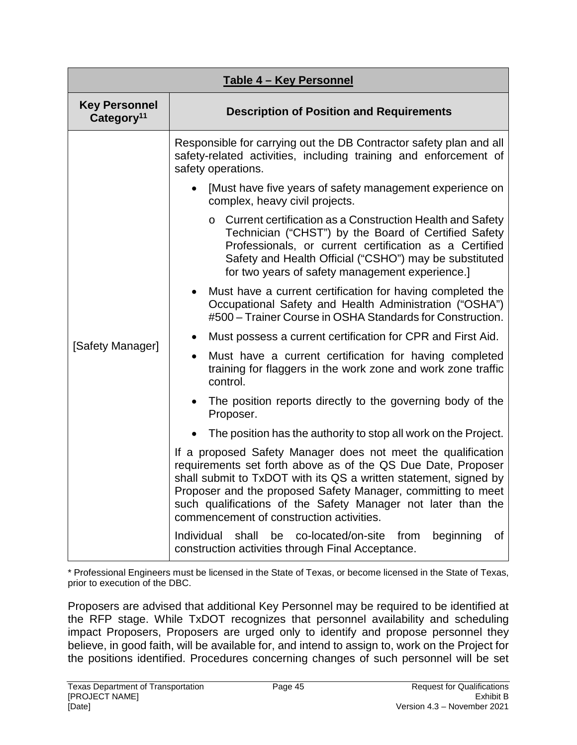| Table 4 - Key Personnel                        |                                                                                                                                                                                                                                                                                                                                                                              |  |  |
|------------------------------------------------|------------------------------------------------------------------------------------------------------------------------------------------------------------------------------------------------------------------------------------------------------------------------------------------------------------------------------------------------------------------------------|--|--|
| <b>Key Personnel</b><br>Category <sup>11</sup> | <b>Description of Position and Requirements</b>                                                                                                                                                                                                                                                                                                                              |  |  |
|                                                | Responsible for carrying out the DB Contractor safety plan and all<br>safety-related activities, including training and enforcement of<br>safety operations.                                                                                                                                                                                                                 |  |  |
|                                                | [Must have five years of safety management experience on<br>complex, heavy civil projects.                                                                                                                                                                                                                                                                                   |  |  |
|                                                | Current certification as a Construction Health and Safety<br>$\circ$<br>Technician ("CHST") by the Board of Certified Safety<br>Professionals, or current certification as a Certified<br>Safety and Health Official ("CSHO") may be substituted<br>for two years of safety management experience.]                                                                          |  |  |
|                                                | Must have a current certification for having completed the<br>$\bullet$<br>Occupational Safety and Health Administration ("OSHA")<br>#500 - Trainer Course in OSHA Standards for Construction.                                                                                                                                                                               |  |  |
|                                                | Must possess a current certification for CPR and First Aid.                                                                                                                                                                                                                                                                                                                  |  |  |
| [Safety Manager]                               | Must have a current certification for having completed<br>$\bullet$<br>training for flaggers in the work zone and work zone traffic<br>control.                                                                                                                                                                                                                              |  |  |
|                                                | The position reports directly to the governing body of the<br>Proposer.                                                                                                                                                                                                                                                                                                      |  |  |
|                                                | The position has the authority to stop all work on the Project.                                                                                                                                                                                                                                                                                                              |  |  |
|                                                | If a proposed Safety Manager does not meet the qualification<br>requirements set forth above as of the QS Due Date, Proposer<br>shall submit to TxDOT with its QS a written statement, signed by<br>Proposer and the proposed Safety Manager, committing to meet<br>such qualifications of the Safety Manager not later than the<br>commencement of construction activities. |  |  |
|                                                | beginning<br>Individual<br>be<br>co-located/on-site<br>shall<br>from<br>of<br>construction activities through Final Acceptance.                                                                                                                                                                                                                                              |  |  |

\* Professional Engineers must be licensed in the State of Texas, or become licensed in the State of Texas, prior to execution of the DBC.

Proposers are advised that additional Key Personnel may be required to be identified at the RFP stage. While TxDOT recognizes that personnel availability and scheduling impact Proposers, Proposers are urged only to identify and propose personnel they believe, in good faith, will be available for, and intend to assign to, work on the Project for the positions identified. Procedures concerning changes of such personnel will be set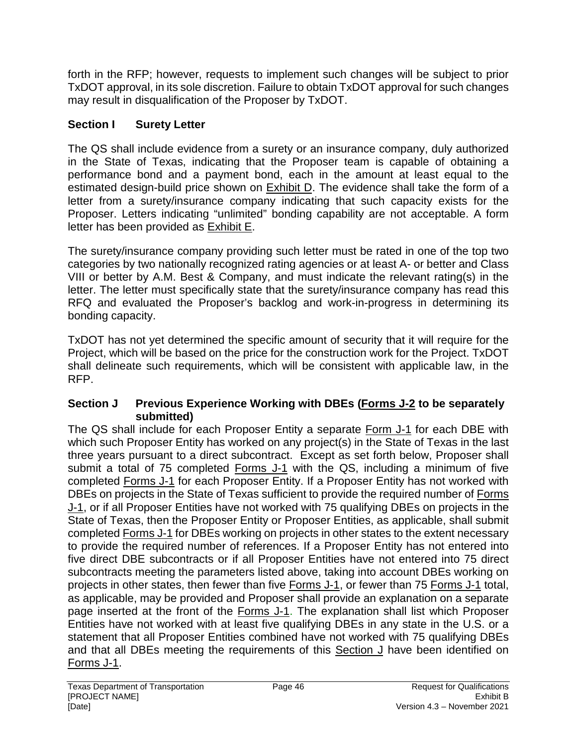forth in the RFP; however, requests to implement such changes will be subject to prior TxDOT approval, in its sole discretion. Failure to obtain TxDOT approval for such changes may result in disqualification of the Proposer by TxDOT.

# **Section I Surety Letter**

The QS shall include evidence from a surety or an insurance company, duly authorized in the State of Texas, indicating that the Proposer team is capable of obtaining a performance bond and a payment bond, each in the amount at least equal to the estimated design-build price shown on Exhibit D. The evidence shall take the form of a letter from a surety/insurance company indicating that such capacity exists for the Proposer. Letters indicating "unlimited" bonding capability are not acceptable. A form letter has been provided as Exhibit E.

The surety/insurance company providing such letter must be rated in one of the top two categories by two nationally recognized rating agencies or at least A- or better and Class VIII or better by A.M. Best & Company, and must indicate the relevant rating(s) in the letter. The letter must specifically state that the surety/insurance company has read this RFQ and evaluated the Proposer's backlog and work-in-progress in determining its bonding capacity.

TxDOT has not yet determined the specific amount of security that it will require for the Project, which will be based on the price for the construction work for the Project. TxDOT shall delineate such requirements, which will be consistent with applicable law, in the RFP.

## **Section J Previous Experience Working with DBEs (Forms J-2 to be separately submitted)**

The QS shall include for each Proposer Entity a separate Form J-1 for each DBE with which such Proposer Entity has worked on any project(s) in the State of Texas in the last three years pursuant to a direct subcontract. Except as set forth below, Proposer shall submit a total of 75 completed Forms J-1 with the QS, including a minimum of five completed Forms J-1 for each Proposer Entity. If a Proposer Entity has not worked with DBEs on projects in the State of Texas sufficient to provide the required number of Forms J-1, or if all Proposer Entities have not worked with 75 qualifying DBEs on projects in the State of Texas, then the Proposer Entity or Proposer Entities, as applicable, shall submit completed Forms J-1 for DBEs working on projects in other states to the extent necessary to provide the required number of references. If a Proposer Entity has not entered into five direct DBE subcontracts or if all Proposer Entities have not entered into 75 direct subcontracts meeting the parameters listed above, taking into account DBEs working on projects in other states, then fewer than five Forms J-1, or fewer than 75 Forms J-1 total, as applicable, may be provided and Proposer shall provide an explanation on a separate page inserted at the front of the Forms J-1. The explanation shall list which Proposer Entities have not worked with at least five qualifying DBEs in any state in the U.S. or a statement that all Proposer Entities combined have not worked with 75 qualifying DBEs and that all DBEs meeting the requirements of this Section J have been identified on Forms J-1.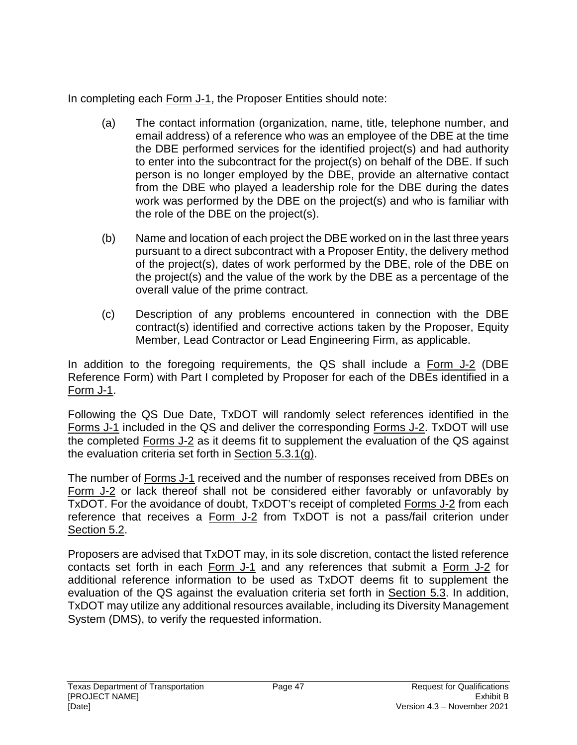In completing each Form J-1, the Proposer Entities should note:

- (a) The contact information (organization, name, title, telephone number, and email address) of a reference who was an employee of the DBE at the time the DBE performed services for the identified project(s) and had authority to enter into the subcontract for the project(s) on behalf of the DBE. If such person is no longer employed by the DBE, provide an alternative contact from the DBE who played a leadership role for the DBE during the dates work was performed by the DBE on the project(s) and who is familiar with the role of the DBE on the project(s).
- (b) Name and location of each project the DBE worked on in the last three years pursuant to a direct subcontract with a Proposer Entity, the delivery method of the project(s), dates of work performed by the DBE, role of the DBE on the project(s) and the value of the work by the DBE as a percentage of the overall value of the prime contract.
- (c) Description of any problems encountered in connection with the DBE contract(s) identified and corrective actions taken by the Proposer, Equity Member, Lead Contractor or Lead Engineering Firm, as applicable.

In addition to the foregoing requirements, the QS shall include a Form J-2 (DBE Reference Form) with Part I completed by Proposer for each of the DBEs identified in a Form J-1.

Following the QS Due Date, TxDOT will randomly select references identified in the Forms J-1 included in the QS and deliver the corresponding Forms J-2. TxDOT will use the completed Forms J-2 as it deems fit to supplement the evaluation of the QS against the evaluation criteria set forth in Section 5.3.1(g).

The number of Forms J-1 received and the number of responses received from DBEs on Form J-2 or lack thereof shall not be considered either favorably or unfavorably by TxDOT. For the avoidance of doubt, TxDOT's receipt of completed Forms J-2 from each reference that receives a Form J-2 from TxDOT is not a pass/fail criterion under Section 5.2.

Proposers are advised that TxDOT may, in its sole discretion, contact the listed reference contacts set forth in each Form J-1 and any references that submit a Form J-2 for additional reference information to be used as TxDOT deems fit to supplement the evaluation of the QS against the evaluation criteria set forth in Section 5.3. In addition, TxDOT may utilize any additional resources available, including its Diversity Management System (DMS), to verify the requested information.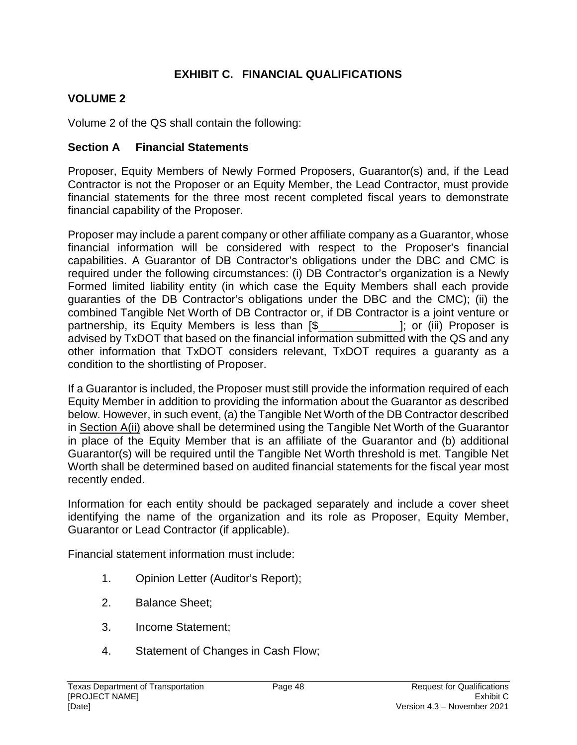## **EXHIBIT C. FINANCIAL QUALIFICATIONS**

# **VOLUME 2**

Volume 2 of the QS shall contain the following:

## **Section A Financial Statements**

Proposer, Equity Members of Newly Formed Proposers, Guarantor(s) and, if the Lead Contractor is not the Proposer or an Equity Member, the Lead Contractor, must provide financial statements for the three most recent completed fiscal years to demonstrate financial capability of the Proposer.

Proposer may include a parent company or other affiliate company as a Guarantor, whose financial information will be considered with respect to the Proposer's financial capabilities. A Guarantor of DB Contractor's obligations under the DBC and CMC is required under the following circumstances: (i) DB Contractor's organization is a Newly Formed limited liability entity (in which case the Equity Members shall each provide guaranties of the DB Contractor's obligations under the DBC and the CMC); (ii) the combined Tangible Net Worth of DB Contractor or, if DB Contractor is a joint venture or partnership, its Equity Members is less than [\$ The Resolution of the Proposer is advised by TxDOT that based on the financial information submitted with the QS and any other information that TxDOT considers relevant, TxDOT requires a guaranty as a condition to the shortlisting of Proposer.

If a Guarantor is included, the Proposer must still provide the information required of each Equity Member in addition to providing the information about the Guarantor as described below. However, in such event, (a) the Tangible Net Worth of the DB Contractor described in Section A(ii) above shall be determined using the Tangible Net Worth of the Guarantor in place of the Equity Member that is an affiliate of the Guarantor and (b) additional Guarantor(s) will be required until the Tangible Net Worth threshold is met. Tangible Net Worth shall be determined based on audited financial statements for the fiscal year most recently ended.

Information for each entity should be packaged separately and include a cover sheet identifying the name of the organization and its role as Proposer, Equity Member, Guarantor or Lead Contractor (if applicable).

Financial statement information must include:

- 1. Opinion Letter (Auditor's Report);
- 2. Balance Sheet;
- 3. Income Statement;
- 4. Statement of Changes in Cash Flow;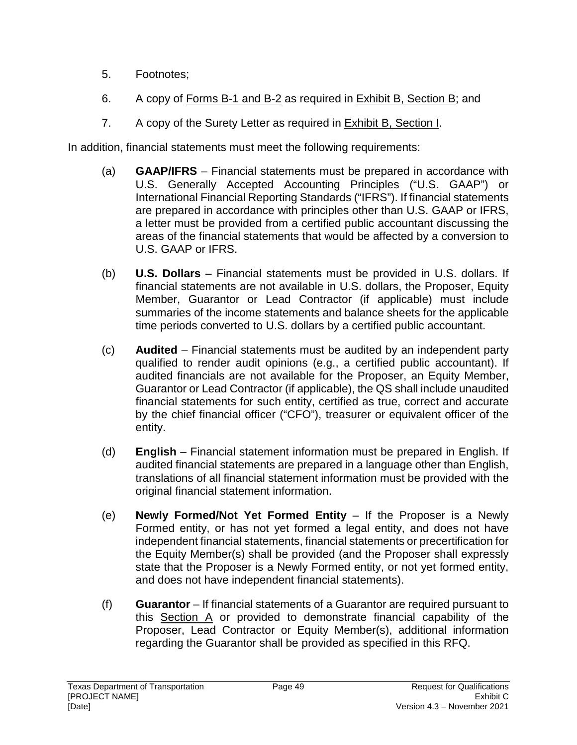- 5. Footnotes;
- 6. A copy of Forms B-1 and B-2 as required in Exhibit B, Section B; and
- 7. A copy of the Surety Letter as required in **Exhibit B**, Section I.

In addition, financial statements must meet the following requirements:

- (a) **GAAP/IFRS**  Financial statements must be prepared in accordance with U.S. Generally Accepted Accounting Principles ("U.S. GAAP") or International Financial Reporting Standards ("IFRS"). If financial statements are prepared in accordance with principles other than U.S. GAAP or IFRS, a letter must be provided from a certified public accountant discussing the areas of the financial statements that would be affected by a conversion to U.S. GAAP or IFRS.
- (b) **U.S. Dollars** Financial statements must be provided in U.S. dollars. If financial statements are not available in U.S. dollars, the Proposer, Equity Member, Guarantor or Lead Contractor (if applicable) must include summaries of the income statements and balance sheets for the applicable time periods converted to U.S. dollars by a certified public accountant.
- (c) **Audited**  Financial statements must be audited by an independent party qualified to render audit opinions (e.g., a certified public accountant). If audited financials are not available for the Proposer, an Equity Member, Guarantor or Lead Contractor (if applicable), the QS shall include unaudited financial statements for such entity, certified as true, correct and accurate by the chief financial officer ("CFO"), treasurer or equivalent officer of the entity.
- (d) **English** Financial statement information must be prepared in English. If audited financial statements are prepared in a language other than English, translations of all financial statement information must be provided with the original financial statement information.
- (e) **Newly Formed/Not Yet Formed Entity**  If the Proposer is a Newly Formed entity, or has not yet formed a legal entity, and does not have independent financial statements, financial statements or precertification for the Equity Member(s) shall be provided (and the Proposer shall expressly state that the Proposer is a Newly Formed entity, or not yet formed entity, and does not have independent financial statements).
- (f) **Guarantor**  If financial statements of a Guarantor are required pursuant to this Section A or provided to demonstrate financial capability of the Proposer, Lead Contractor or Equity Member(s), additional information regarding the Guarantor shall be provided as specified in this RFQ.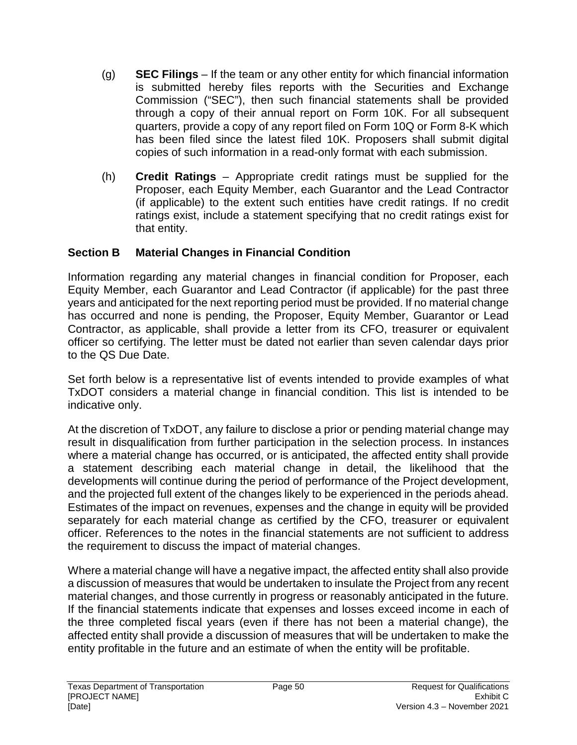- (g) **SEC Filings** If the team or any other entity for which financial information is submitted hereby files reports with the Securities and Exchange Commission ("SEC"), then such financial statements shall be provided through a copy of their annual report on Form 10K. For all subsequent quarters, provide a copy of any report filed on Form 10Q or Form 8-K which has been filed since the latest filed 10K. Proposers shall submit digital copies of such information in a read-only format with each submission.
- (h) **Credit Ratings** Appropriate credit ratings must be supplied for the Proposer, each Equity Member, each Guarantor and the Lead Contractor (if applicable) to the extent such entities have credit ratings. If no credit ratings exist, include a statement specifying that no credit ratings exist for that entity.

## **Section B Material Changes in Financial Condition**

Information regarding any material changes in financial condition for Proposer, each Equity Member, each Guarantor and Lead Contractor (if applicable) for the past three years and anticipated for the next reporting period must be provided. If no material change has occurred and none is pending, the Proposer, Equity Member, Guarantor or Lead Contractor, as applicable, shall provide a letter from its CFO, treasurer or equivalent officer so certifying. The letter must be dated not earlier than seven calendar days prior to the QS Due Date.

Set forth below is a representative list of events intended to provide examples of what TxDOT considers a material change in financial condition. This list is intended to be indicative only.

At the discretion of TxDOT, any failure to disclose a prior or pending material change may result in disqualification from further participation in the selection process. In instances where a material change has occurred, or is anticipated, the affected entity shall provide a statement describing each material change in detail, the likelihood that the developments will continue during the period of performance of the Project development, and the projected full extent of the changes likely to be experienced in the periods ahead. Estimates of the impact on revenues, expenses and the change in equity will be provided separately for each material change as certified by the CFO, treasurer or equivalent officer. References to the notes in the financial statements are not sufficient to address the requirement to discuss the impact of material changes.

Where a material change will have a negative impact, the affected entity shall also provide a discussion of measures that would be undertaken to insulate the Project from any recent material changes, and those currently in progress or reasonably anticipated in the future. If the financial statements indicate that expenses and losses exceed income in each of the three completed fiscal years (even if there has not been a material change), the affected entity shall provide a discussion of measures that will be undertaken to make the entity profitable in the future and an estimate of when the entity will be profitable.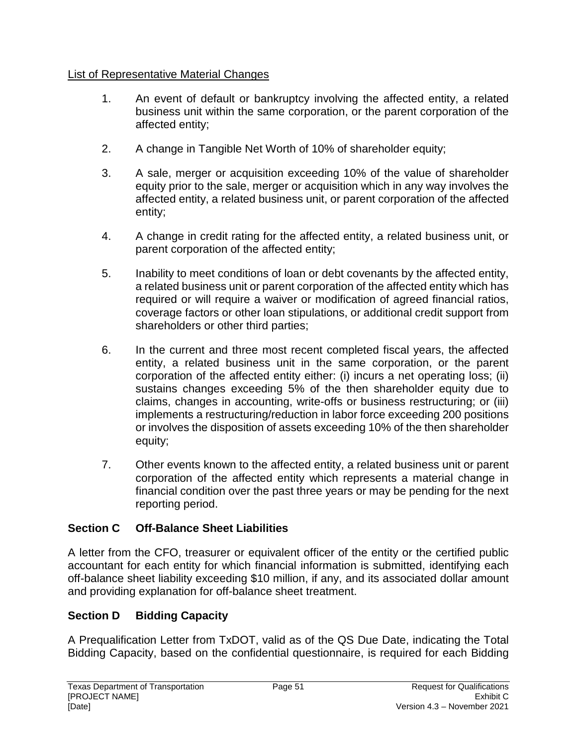## List of Representative Material Changes

- 1. An event of default or bankruptcy involving the affected entity, a related business unit within the same corporation, or the parent corporation of the affected entity;
- 2. A change in Tangible Net Worth of 10% of shareholder equity;
- 3. A sale, merger or acquisition exceeding 10% of the value of shareholder equity prior to the sale, merger or acquisition which in any way involves the affected entity, a related business unit, or parent corporation of the affected entity;
- 4. A change in credit rating for the affected entity, a related business unit, or parent corporation of the affected entity;
- 5. Inability to meet conditions of loan or debt covenants by the affected entity, a related business unit or parent corporation of the affected entity which has required or will require a waiver or modification of agreed financial ratios, coverage factors or other loan stipulations, or additional credit support from shareholders or other third parties;
- 6. In the current and three most recent completed fiscal years, the affected entity, a related business unit in the same corporation, or the parent corporation of the affected entity either: (i) incurs a net operating loss; (ii) sustains changes exceeding 5% of the then shareholder equity due to claims, changes in accounting, write-offs or business restructuring; or (iii) implements a restructuring/reduction in labor force exceeding 200 positions or involves the disposition of assets exceeding 10% of the then shareholder equity;
- 7. Other events known to the affected entity, a related business unit or parent corporation of the affected entity which represents a material change in financial condition over the past three years or may be pending for the next reporting period.

# **Section C Off-Balance Sheet Liabilities**

A letter from the CFO, treasurer or equivalent officer of the entity or the certified public accountant for each entity for which financial information is submitted, identifying each off-balance sheet liability exceeding \$10 million, if any, and its associated dollar amount and providing explanation for off-balance sheet treatment.

# **Section D Bidding Capacity**

A Prequalification Letter from TxDOT, valid as of the QS Due Date, indicating the Total Bidding Capacity, based on the confidential questionnaire, is required for each Bidding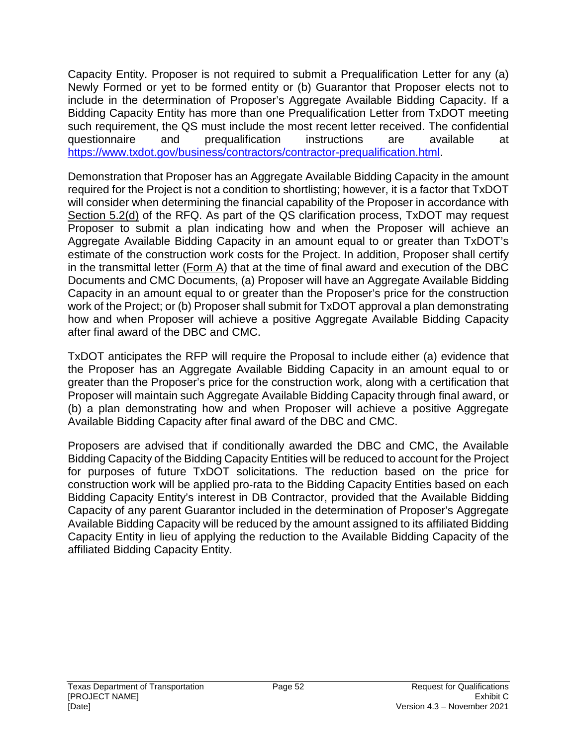Capacity Entity. Proposer is not required to submit a Prequalification Letter for any (a) Newly Formed or yet to be formed entity or (b) Guarantor that Proposer elects not to include in the determination of Proposer's Aggregate Available Bidding Capacity. If a Bidding Capacity Entity has more than one Prequalification Letter from TxDOT meeting such requirement, the QS must include the most recent letter received. The confidential questionnaire and prequalification instructions are available at https://www.txdot.gov/business/contractors/contractor-prequalification.html.

Demonstration that Proposer has an Aggregate Available Bidding Capacity in the amount required for the Project is not a condition to shortlisting; however, it is a factor that TxDOT will consider when determining the financial capability of the Proposer in accordance with Section 5.2(d) of the RFQ. As part of the QS clarification process, TxDOT may request Proposer to submit a plan indicating how and when the Proposer will achieve an Aggregate Available Bidding Capacity in an amount equal to or greater than TxDOT's estimate of the construction work costs for the Project. In addition, Proposer shall certify in the transmittal letter (Form A) that at the time of final award and execution of the DBC Documents and CMC Documents, (a) Proposer will have an Aggregate Available Bidding Capacity in an amount equal to or greater than the Proposer's price for the construction work of the Project; or (b) Proposer shall submit for TxDOT approval a plan demonstrating how and when Proposer will achieve a positive Aggregate Available Bidding Capacity after final award of the DBC and CMC.

TxDOT anticipates the RFP will require the Proposal to include either (a) evidence that the Proposer has an Aggregate Available Bidding Capacity in an amount equal to or greater than the Proposer's price for the construction work, along with a certification that Proposer will maintain such Aggregate Available Bidding Capacity through final award, or (b) a plan demonstrating how and when Proposer will achieve a positive Aggregate Available Bidding Capacity after final award of the DBC and CMC.

Proposers are advised that if conditionally awarded the DBC and CMC, the Available Bidding Capacity of the Bidding Capacity Entities will be reduced to account for the Project for purposes of future TxDOT solicitations. The reduction based on the price for construction work will be applied pro-rata to the Bidding Capacity Entities based on each Bidding Capacity Entity's interest in DB Contractor, provided that the Available Bidding Capacity of any parent Guarantor included in the determination of Proposer's Aggregate Available Bidding Capacity will be reduced by the amount assigned to its affiliated Bidding Capacity Entity in lieu of applying the reduction to the Available Bidding Capacity of the affiliated Bidding Capacity Entity.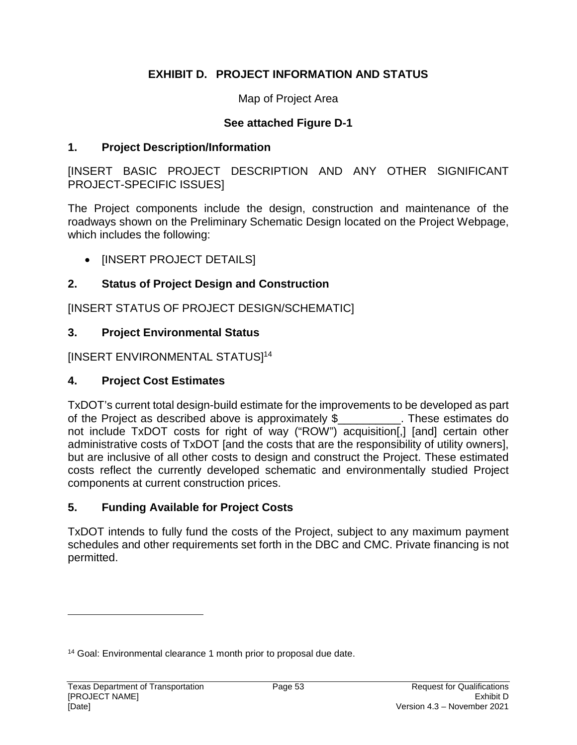## **EXHIBIT D. PROJECT INFORMATION AND STATUS**

Map of Project Area

#### **See attached Figure D-1**

#### **1. Project Description/Information**

[INSERT BASIC PROJECT DESCRIPTION AND ANY OTHER SIGNIFICANT PROJECT-SPECIFIC ISSUES]

The Project components include the design, construction and maintenance of the roadways shown on the Preliminary Schematic Design located on the Project Webpage, which includes the following:

• [INSERT PROJECT DETAILS]

## **2. Status of Project Design and Construction**

[INSERT STATUS OF PROJECT DESIGN/SCHEMATIC]

## **3. Project Environmental Status**

[INSERT ENVIRONMENTAL STATUS]<sup>14</sup>

## **4. Project Cost Estimates**

TxDOT's current total design-build estimate for the improvements to be developed as part of the Project as described above is approximately \$\_\_\_\_\_\_\_\_\_\_. These estimates do not include TxDOT costs for right of way ("ROW") acquisition[,] [and] certain other administrative costs of TxDOT [and the costs that are the responsibility of utility owners], but are inclusive of all other costs to design and construct the Project. These estimated costs reflect the currently developed schematic and environmentally studied Project components at current construction prices.

## **5. Funding Available for Project Costs**

TxDOT intends to fully fund the costs of the Project, subject to any maximum payment schedules and other requirements set forth in the DBC and CMC. Private financing is not permitted.

<sup>14</sup> Goal: Environmental clearance 1 month prior to proposal due date.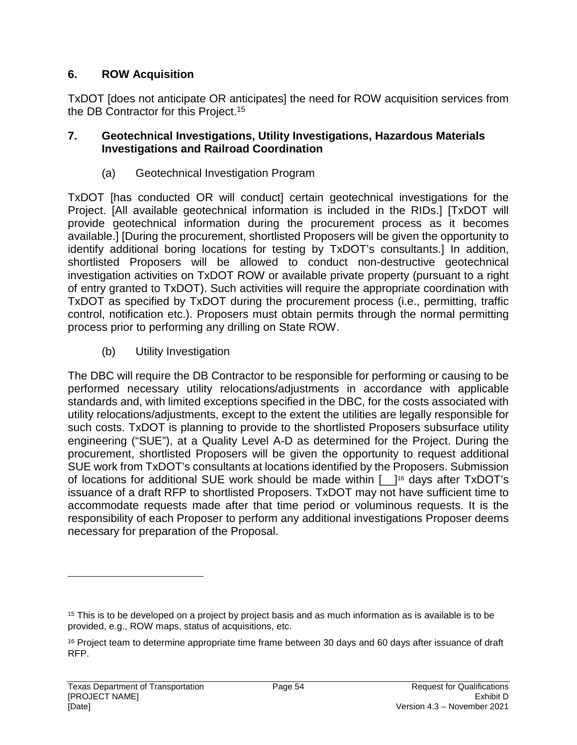## **6. ROW Acquisition**

TxDOT [does not anticipate OR anticipates] the need for ROW acquisition services from the DB Contractor for this Project.<sup>15</sup>

#### **7. Geotechnical Investigations, Utility Investigations, Hazardous Materials Investigations and Railroad Coordination**

(a) Geotechnical Investigation Program

TxDOT [has conducted OR will conduct] certain geotechnical investigations for the Project. [All available geotechnical information is included in the RIDs.] [TxDOT will provide geotechnical information during the procurement process as it becomes available.] [During the procurement, shortlisted Proposers will be given the opportunity to identify additional boring locations for testing by TxDOT's consultants.] In addition, shortlisted Proposers will be allowed to conduct non-destructive geotechnical investigation activities on TxDOT ROW or available private property (pursuant to a right of entry granted to TxDOT). Such activities will require the appropriate coordination with TxDOT as specified by TxDOT during the procurement process (i.e., permitting, traffic control, notification etc.). Proposers must obtain permits through the normal permitting process prior to performing any drilling on State ROW.

(b) Utility Investigation

The DBC will require the DB Contractor to be responsible for performing or causing to be performed necessary utility relocations/adjustments in accordance with applicable standards and, with limited exceptions specified in the DBC, for the costs associated with utility relocations/adjustments, except to the extent the utilities are legally responsible for such costs. TxDOT is planning to provide to the shortlisted Proposers subsurface utility engineering ("SUE"), at a Quality Level A-D as determined for the Project. During the procurement, shortlisted Proposers will be given the opportunity to request additional SUE work from TxDOT's consultants at locations identified by the Proposers. Submission of locations for additional SUE work should be made within [\_\_]16 days after TxDOT's issuance of a draft RFP to shortlisted Proposers. TxDOT may not have sufficient time to accommodate requests made after that time period or voluminous requests. It is the responsibility of each Proposer to perform any additional investigations Proposer deems necessary for preparation of the Proposal.

<sup>&</sup>lt;sup>15</sup> This is to be developed on a project by project basis and as much information as is available is to be provided, e.g., ROW maps, status of acquisitions, etc.

<sup>&</sup>lt;sup>16</sup> Project team to determine appropriate time frame between 30 days and 60 days after issuance of draft RFP.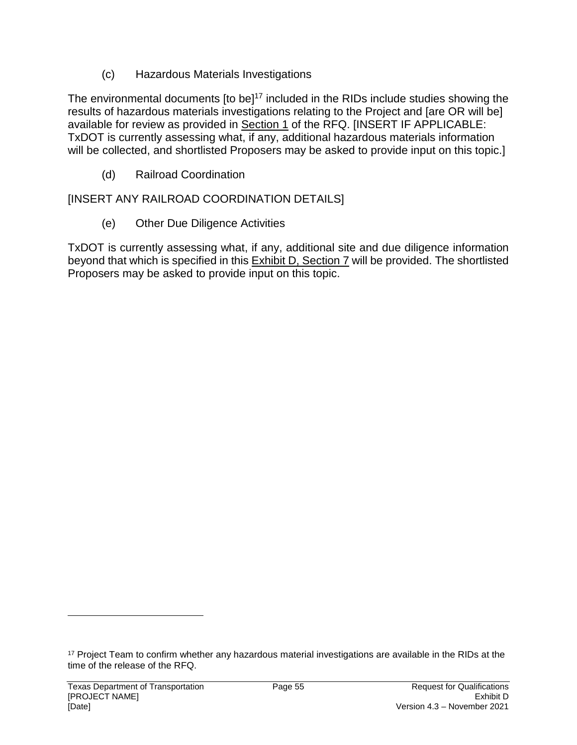(c) Hazardous Materials Investigations

The environmental documents [to be]<sup>17</sup> included in the RIDs include studies showing the results of hazardous materials investigations relating to the Project and [are OR will be] available for review as provided in Section 1 of the RFQ. [INSERT IF APPLICABLE: TxDOT is currently assessing what, if any, additional hazardous materials information will be collected, and shortlisted Proposers may be asked to provide input on this topic.

(d) Railroad Coordination

# [INSERT ANY RAILROAD COORDINATION DETAILS]

(e) Other Due Diligence Activities

TxDOT is currently assessing what, if any, additional site and due diligence information beyond that which is specified in this Exhibit D, Section 7 will be provided. The shortlisted Proposers may be asked to provide input on this topic.

<sup>&</sup>lt;sup>17</sup> Project Team to confirm whether any hazardous material investigations are available in the RIDs at the time of the release of the RFQ.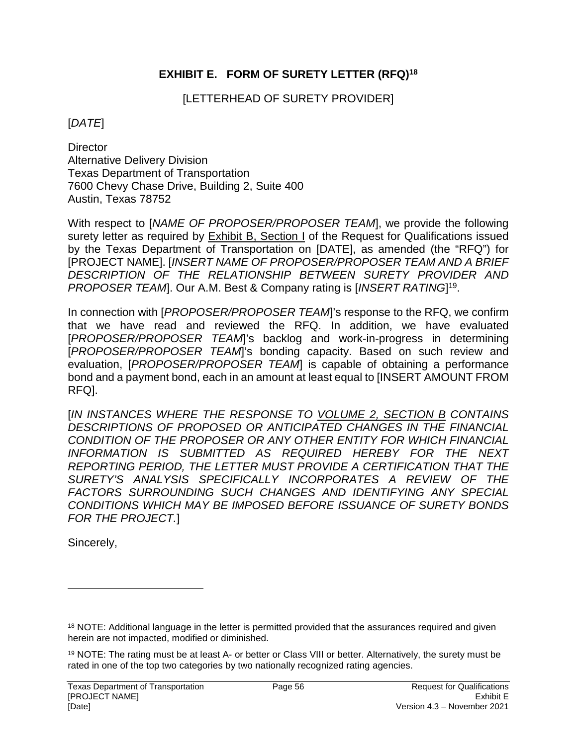## **EXHIBIT E. FORM OF SURETY LETTER (RFQ)<sup>18</sup>**

[LETTERHEAD OF SURETY PROVIDER]

#### [*DATE*]

**Director** Alternative Delivery Division Texas Department of Transportation 7600 Chevy Chase Drive, Building 2, Suite 400 Austin, Texas 78752

With respect to [*NAME OF PROPOSER/PROPOSER TEAM*], we provide the following surety letter as required by Exhibit B, Section I of the Request for Qualifications issued by the Texas Department of Transportation on [DATE], as amended (the "RFQ") for [PROJECT NAME]. [*INSERT NAME OF PROPOSER/PROPOSER TEAM AND A BRIEF DESCRIPTION OF THE RELATIONSHIP BETWEEN SURETY PROVIDER AND*  PROPOSER TEAM]. Our A.M. Best & Company rating is [INSERT RATING]<sup>19</sup>.

In connection with [PROPOSER/PROPOSER TEAM]'s response to the RFQ, we confirm that we have read and reviewed the RFQ. In addition, we have evaluated [*PROPOSER/PROPOSER TEAM*]'s backlog and work-in-progress in determining [*PROPOSER/PROPOSER TEAM*]'s bonding capacity. Based on such review and evaluation, [*PROPOSER/PROPOSER TEAM*] is capable of obtaining a performance bond and a payment bond, each in an amount at least equal to [INSERT AMOUNT FROM RFQ].

[*IN INSTANCES WHERE THE RESPONSE TO VOLUME 2, SECTION B CONTAINS DESCRIPTIONS OF PROPOSED OR ANTICIPATED CHANGES IN THE FINANCIAL CONDITION OF THE PROPOSER OR ANY OTHER ENTITY FOR WHICH FINANCIAL INFORMATION IS SUBMITTED AS REQUIRED HEREBY FOR THE NEXT REPORTING PERIOD, THE LETTER MUST PROVIDE A CERTIFICATION THAT THE SURETY'S ANALYSIS SPECIFICALLY INCORPORATES A REVIEW OF THE FACTORS SURROUNDING SUCH CHANGES AND IDENTIFYING ANY SPECIAL CONDITIONS WHICH MAY BE IMPOSED BEFORE ISSUANCE OF SURETY BONDS FOR THE PROJECT.*]

Sincerely,

<sup>18</sup> NOTE: Additional language in the letter is permitted provided that the assurances required and given herein are not impacted, modified or diminished.

<sup>19</sup> NOTE: The rating must be at least A- or better or Class VIII or better. Alternatively, the surety must be rated in one of the top two categories by two nationally recognized rating agencies.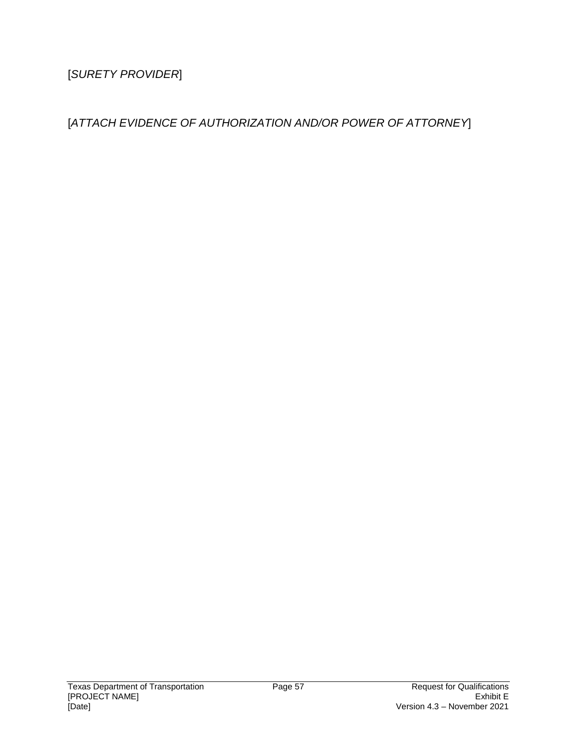[*SURETY PROVIDER*]

[*ATTACH EVIDENCE OF AUTHORIZATION AND/OR POWER OF ATTORNEY*]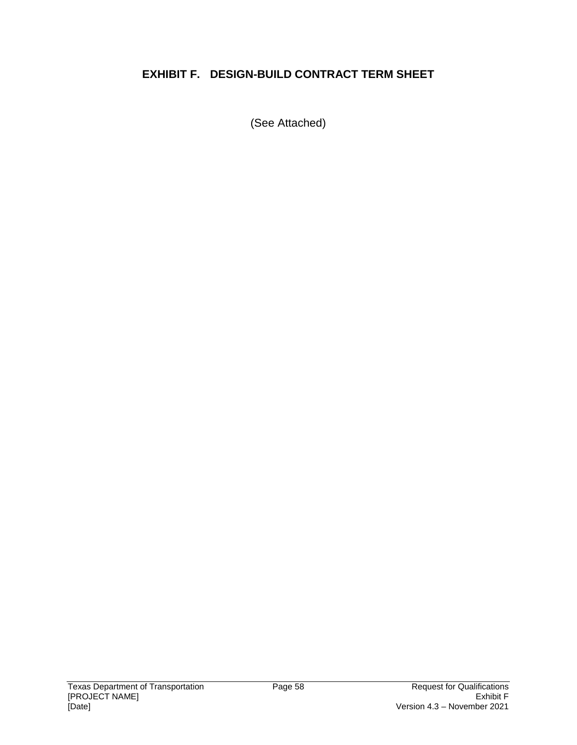# **EXHIBIT F. DESIGN-BUILD CONTRACT TERM SHEET**

(See Attached)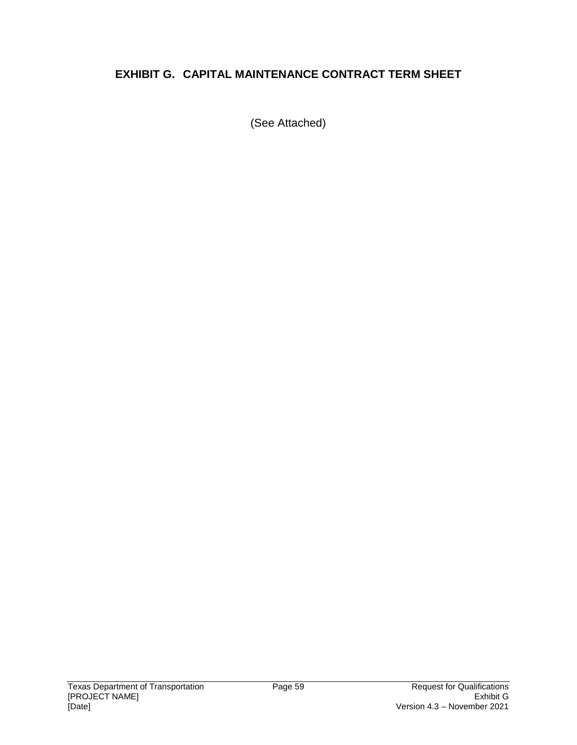# **EXHIBIT G. CAPITAL MAINTENANCE CONTRACT TERM SHEET**

(See Attached)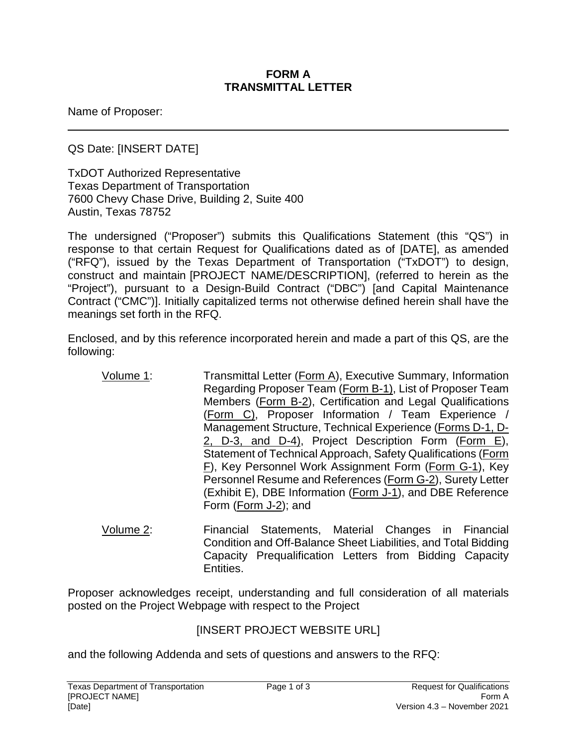#### **FORM A TRANSMITTAL LETTER**

Name of Proposer:

QS Date: [INSERT DATE]

TxDOT Authorized Representative Texas Department of Transportation 7600 Chevy Chase Drive, Building 2, Suite 400 Austin, Texas 78752

The undersigned ("Proposer") submits this Qualifications Statement (this "QS") in response to that certain Request for Qualifications dated as of [DATE], as amended ("RFQ"), issued by the Texas Department of Transportation ("TxDOT") to design, construct and maintain [PROJECT NAME/DESCRIPTION], (referred to herein as the "Project"), pursuant to a Design-Build Contract ("DBC") [and Capital Maintenance Contract ("CMC")]. Initially capitalized terms not otherwise defined herein shall have the meanings set forth in the RFQ.

Enclosed, and by this reference incorporated herein and made a part of this QS, are the following:

- Volume 1: Transmittal Letter (Form A), Executive Summary, Information Regarding Proposer Team (Form B-1), List of Proposer Team Members (Form B-2), Certification and Legal Qualifications (Form C), Proposer Information / Team Experience / Management Structure, Technical Experience (Forms D-1, D-2, D-3, and D-4), Project Description Form (Form E), Statement of Technical Approach, Safety Qualifications (Form F), Key Personnel Work Assignment Form (Form G-1), Key Personnel Resume and References (Form G-2), Surety Letter (Exhibit E), DBE Information (Form J-1), and DBE Reference Form (Form J-2); and
- Volume 2: Financial Statements, Material Changes in Financial Condition and Off-Balance Sheet Liabilities, and Total Bidding Capacity Prequalification Letters from Bidding Capacity Entities.

Proposer acknowledges receipt, understanding and full consideration of all materials posted on the Project Webpage with respect to the Project

## [INSERT PROJECT WEBSITE URL]

and the following Addenda and sets of questions and answers to the RFQ: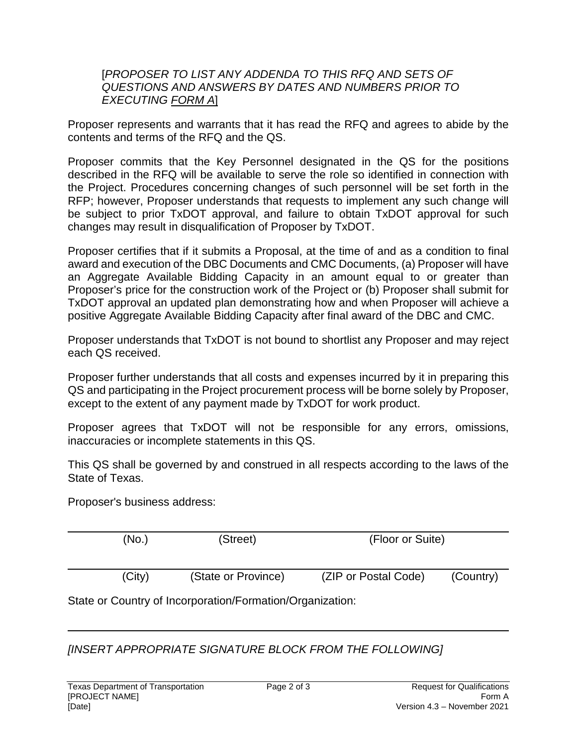#### [*PROPOSER TO LIST ANY ADDENDA TO THIS RFQ AND SETS OF QUESTIONS AND ANSWERS BY DATES AND NUMBERS PRIOR TO EXECUTING FORM A*]

Proposer represents and warrants that it has read the RFQ and agrees to abide by the contents and terms of the RFQ and the QS.

Proposer commits that the Key Personnel designated in the QS for the positions described in the RFQ will be available to serve the role so identified in connection with the Project. Procedures concerning changes of such personnel will be set forth in the RFP; however, Proposer understands that requests to implement any such change will be subject to prior TxDOT approval, and failure to obtain TxDOT approval for such changes may result in disqualification of Proposer by TxDOT.

Proposer certifies that if it submits a Proposal, at the time of and as a condition to final award and execution of the DBC Documents and CMC Documents, (a) Proposer will have an Aggregate Available Bidding Capacity in an amount equal to or greater than Proposer's price for the construction work of the Project or (b) Proposer shall submit for TxDOT approval an updated plan demonstrating how and when Proposer will achieve a positive Aggregate Available Bidding Capacity after final award of the DBC and CMC.

Proposer understands that TxDOT is not bound to shortlist any Proposer and may reject each QS received.

Proposer further understands that all costs and expenses incurred by it in preparing this QS and participating in the Project procurement process will be borne solely by Proposer, except to the extent of any payment made by TxDOT for work product.

Proposer agrees that TxDOT will not be responsible for any errors, omissions, inaccuracies or incomplete statements in this QS.

This QS shall be governed by and construed in all respects according to the laws of the State of Texas.

Proposer's business address:

|                                                           | (No.)  | (Street)            | (Floor or Suite)     |           |
|-----------------------------------------------------------|--------|---------------------|----------------------|-----------|
|                                                           | (City) | (State or Province) | (ZIP or Postal Code) | (Country) |
| State or Country of Incorporation/Formation/Organization: |        |                     |                      |           |

*[INSERT APPROPRIATE SIGNATURE BLOCK FROM THE FOLLOWING]*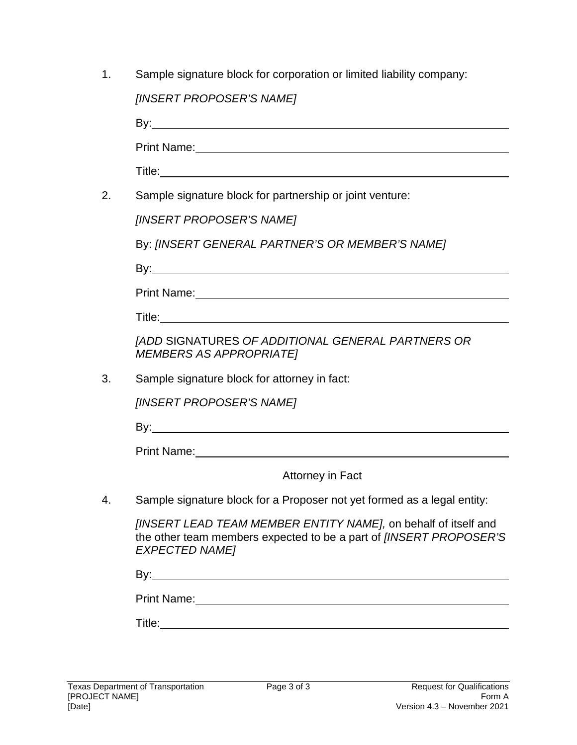|  | Sample signature block for corporation or limited liability company: |
|--|----------------------------------------------------------------------|
|  |                                                                      |

|    | [INSERT PROPOSER'S NAME]                                                                                                                                                                                                            |  |  |
|----|-------------------------------------------------------------------------------------------------------------------------------------------------------------------------------------------------------------------------------------|--|--|
|    |                                                                                                                                                                                                                                     |  |  |
|    | Print Name: 1988 and 2008 and 2008 and 2008 and 2008 and 2008 and 2008 and 2008 and 2008 and 2008 and 2008 and                                                                                                                      |  |  |
|    |                                                                                                                                                                                                                                     |  |  |
| 2. | Sample signature block for partnership or joint venture:                                                                                                                                                                            |  |  |
|    | [INSERT PROPOSER'S NAME]                                                                                                                                                                                                            |  |  |
|    | By: [INSERT GENERAL PARTNER'S OR MEMBER'S NAME]                                                                                                                                                                                     |  |  |
|    |                                                                                                                                                                                                                                     |  |  |
|    | Print Name: <u>Department</u> of the contract of the contract of the contract of the contract of the contract of the contract of the contract of the contract of the contract of the contract of the contract of the contract of th |  |  |
|    |                                                                                                                                                                                                                                     |  |  |
|    | <b>JADD SIGNATURES OF ADDITIONAL GENERAL PARTNERS OR</b><br><b>MEMBERS AS APPROPRIATEI</b>                                                                                                                                          |  |  |
| 3. | Sample signature block for attorney in fact:                                                                                                                                                                                        |  |  |
|    | [INSERT PROPOSER'S NAME]                                                                                                                                                                                                            |  |  |
|    |                                                                                                                                                                                                                                     |  |  |
|    |                                                                                                                                                                                                                                     |  |  |
|    | Attorney in Fact                                                                                                                                                                                                                    |  |  |
|    | Sample signature block for a Proposer not yet formed as a legal entity:                                                                                                                                                             |  |  |
|    | [INSERT LEAD TEAM MEMBER ENTITY NAME], on behalf of itself and<br>the other team members expected to be a part of [INSERT PROPOSER'S<br><b>EXPECTED NAME]</b>                                                                       |  |  |
|    |                                                                                                                                                                                                                                     |  |  |
|    | Print Name: Name and Secretary Annual Accounts and Accounts and Accounts and Accounts and Accounts and Accounts and                                                                                                                 |  |  |
|    |                                                                                                                                                                                                                                     |  |  |
|    |                                                                                                                                                                                                                                     |  |  |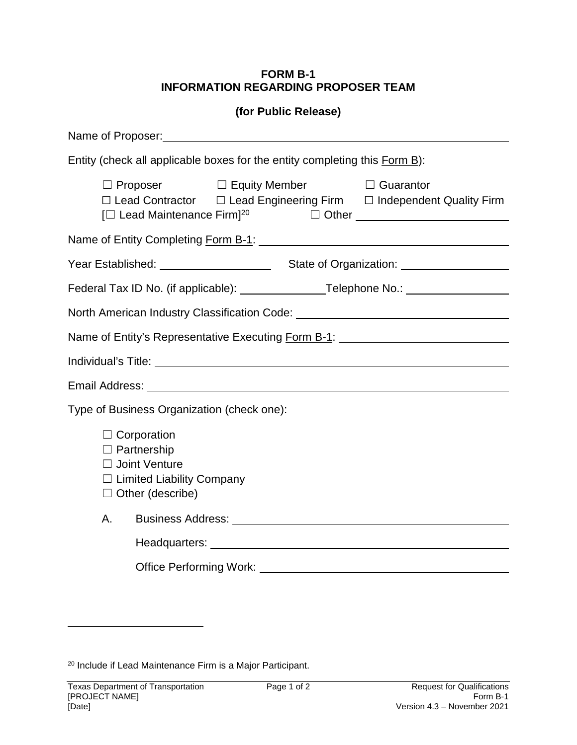#### **FORM B-1 INFORMATION REGARDING PROPOSER TEAM**

#### **(for Public Release)**

| Entity (check all applicable boxes for the entity completing this Form B):                                                                                                                                                           |  |  |
|--------------------------------------------------------------------------------------------------------------------------------------------------------------------------------------------------------------------------------------|--|--|
| $\Box$ Proposer $\Box$ Equity Member $\Box$ Guarantor<br>$\Box$ Lead Contractor $\Box$ Lead Engineering Firm $\Box$ Independent Quality Firm                                                                                         |  |  |
| Name of Entity Completing Form B-1: \\compare \\compare \\compare \\completing Form B-1: \\compare \\compare \\compare \\compare \\completing \\completing \\completing \\completing \\compare \\compare \\compare \\compare \       |  |  |
|                                                                                                                                                                                                                                      |  |  |
| Federal Tax ID No. (if applicable): _______________Telephone No.: ______________                                                                                                                                                     |  |  |
| North American Industry Classification Code: ___________________________________                                                                                                                                                     |  |  |
| Name of Entity's Representative Executing Form B-1: ____________________________                                                                                                                                                     |  |  |
|                                                                                                                                                                                                                                      |  |  |
|                                                                                                                                                                                                                                      |  |  |
| Type of Business Organization (check one):                                                                                                                                                                                           |  |  |
| $\Box$ Corporation<br>$\Box$ Partnership<br>□ Joint Venture<br>$\Box$ Limited Liability Company<br>$\Box$ Other (describe)                                                                                                           |  |  |
| Business Address: National Address and Address and Address and Address and Address and Address and Address and Address and Address and Address and Address and Address and Address and Address and Address and Address and Add<br>Α. |  |  |
|                                                                                                                                                                                                                                      |  |  |
| Office Performing Work: The Contract of the Contract of the Contract of the Contract of the Contract of the Contract of the Contract of the Contract of the Contract of the Contract of the Contract of the Contract of the Co       |  |  |

20 Include if Lead Maintenance Firm is a Major Participant.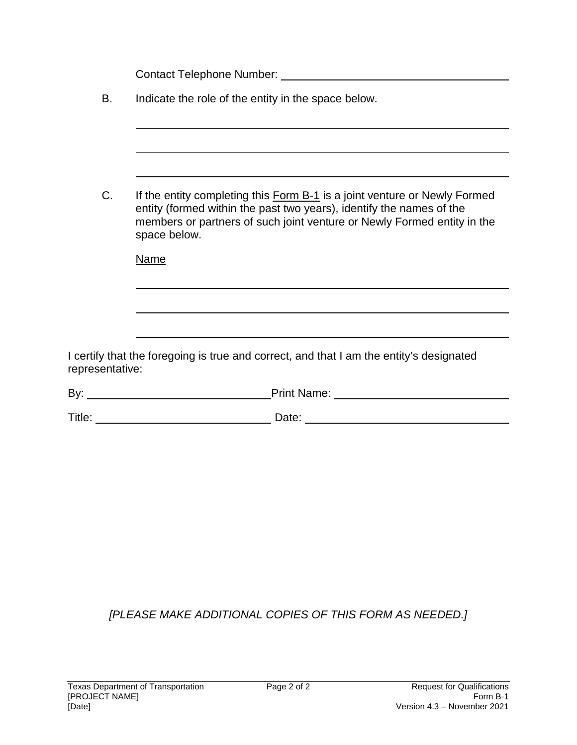Contact Telephone Number: Contact Telephone Number:

| В. |  | Indicate the role of the entity in the space below. |
|----|--|-----------------------------------------------------|
|    |  |                                                     |
|    |  |                                                     |

C. If the entity completing this Form B-1 is a joint venture or Newly Formed entity (formed within the past two years), identify the names of the members or partners of such joint venture or Newly Formed entity in the space below.

Name

I certify that the foregoing is true and correct, and that I am the entity's designated representative:

| By:<br>Name: |
|--------------|
|--------------|

Title: Date:

*[PLEASE MAKE ADDITIONAL COPIES OF THIS FORM AS NEEDED.]*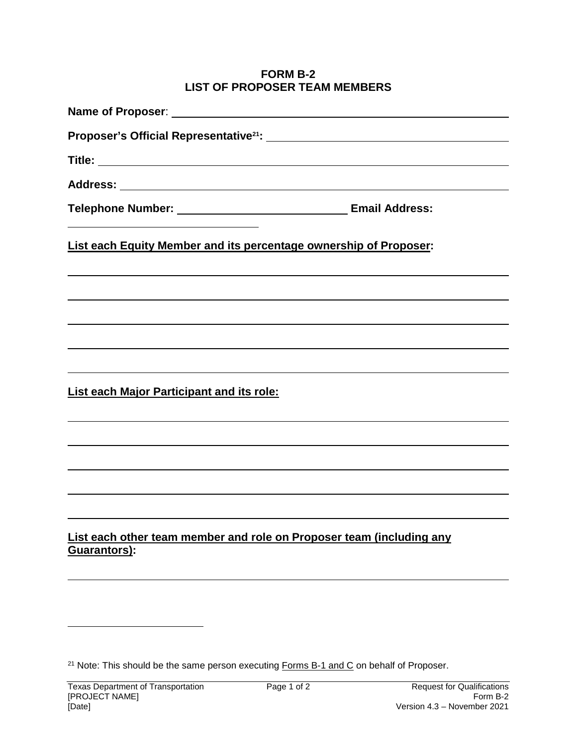#### **FORM B-2 LIST OF PROPOSER TEAM MEMBERS**

| <b>List each Equity Member and its percentage ownership of Proposer:</b>             |
|--------------------------------------------------------------------------------------|
|                                                                                      |
|                                                                                      |
|                                                                                      |
|                                                                                      |
| <b>List each Major Participant and its role:</b>                                     |
|                                                                                      |
|                                                                                      |
|                                                                                      |
|                                                                                      |
| List each other team member and role on Proposer team (including any<br>Guarantors): |
|                                                                                      |

<sup>&</sup>lt;sup>21</sup> Note: This should be the same person executing **Forms B-1 and C** on behalf of Proposer.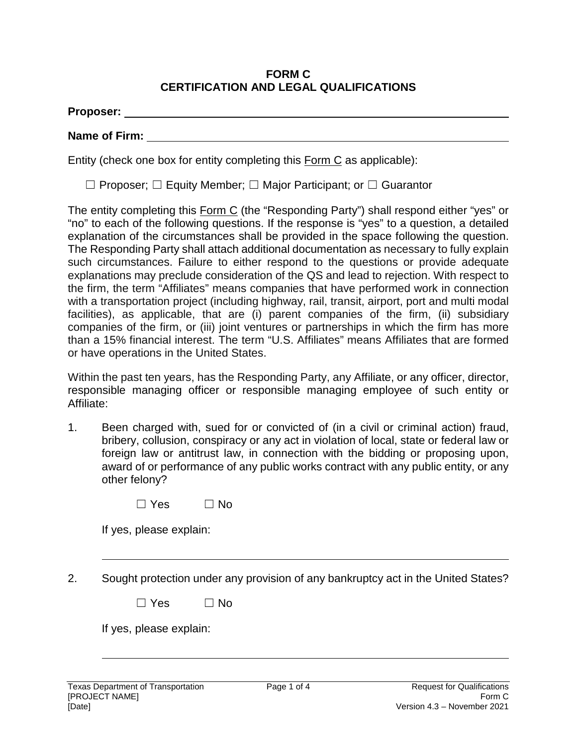#### **FORM C CERTIFICATION AND LEGAL QUALIFICATIONS**

#### **Name of Firm:**

Entity (check one box for entity completing this Form C as applicable):

☐ Proposer; ☐ Equity Member; ☐ Major Participant; or ☐ Guarantor

The entity completing this Form C (the "Responding Party") shall respond either "yes" or "no" to each of the following questions. If the response is "yes" to a question, a detailed explanation of the circumstances shall be provided in the space following the question. The Responding Party shall attach additional documentation as necessary to fully explain such circumstances. Failure to either respond to the questions or provide adequate explanations may preclude consideration of the QS and lead to rejection. With respect to the firm, the term "Affiliates" means companies that have performed work in connection with a transportation project (including highway, rail, transit, airport, port and multi modal facilities), as applicable, that are (i) parent companies of the firm, (ii) subsidiary companies of the firm, or (iii) joint ventures or partnerships in which the firm has more than a 15% financial interest. The term "U.S. Affiliates" means Affiliates that are formed or have operations in the United States.

Within the past ten years, has the Responding Party, any Affiliate, or any officer, director, responsible managing officer or responsible managing employee of such entity or Affiliate:

1. Been charged with, sued for or convicted of (in a civil or criminal action) fraud, bribery, collusion, conspiracy or any act in violation of local, state or federal law or foreign law or antitrust law, in connection with the bidding or proposing upon, award of or performance of any public works contract with any public entity, or any other felony?

| $\Box$ Yes | $\Box$ No |
|------------|-----------|
|------------|-----------|

If yes, please explain:

2. Sought protection under any provision of any bankruptcy act in the United States?

| $\Box$ Yes | $\Box$ No |
|------------|-----------|
|------------|-----------|

If yes, please explain: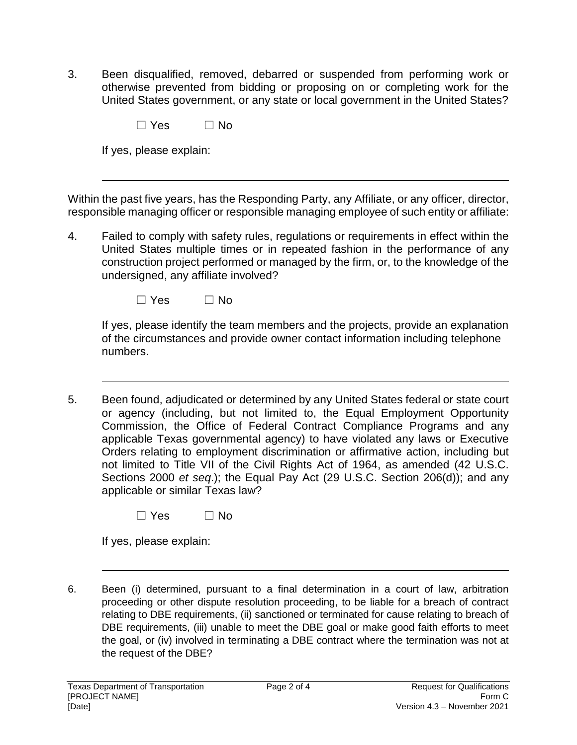3. Been disqualified, removed, debarred or suspended from performing work or otherwise prevented from bidding or proposing on or completing work for the United States government, or any state or local government in the United States?

| $\Box$ Yes | $\Box$ No |
|------------|-----------|
|            |           |

If yes, please explain:

Within the past five years, has the Responding Party, any Affiliate, or any officer, director, responsible managing officer or responsible managing employee of such entity or affiliate:

4. Failed to comply with safety rules, regulations or requirements in effect within the United States multiple times or in repeated fashion in the performance of any construction project performed or managed by the firm, or, to the knowledge of the undersigned, any affiliate involved?

 $\square$  Yes  $\square$  No

If yes, please identify the team members and the projects, provide an explanation of the circumstances and provide owner contact information including telephone numbers.

5. Been found, adjudicated or determined by any United States federal or state court or agency (including, but not limited to, the Equal Employment Opportunity Commission, the Office of Federal Contract Compliance Programs and any applicable Texas governmental agency) to have violated any laws or Executive Orders relating to employment discrimination or affirmative action, including but not limited to Title VII of the Civil Rights Act of 1964, as amended (42 U.S.C. Sections 2000 *et seq*.); the Equal Pay Act (29 U.S.C. Section 206(d)); and any applicable or similar Texas law?

|  | $\Box$ Yes | $\Box$ No |
|--|------------|-----------|
|--|------------|-----------|

If yes, please explain:

6. Been (i) determined, pursuant to a final determination in a court of law, arbitration proceeding or other dispute resolution proceeding, to be liable for a breach of contract relating to DBE requirements, (ii) sanctioned or terminated for cause relating to breach of DBE requirements, (iii) unable to meet the DBE goal or make good faith efforts to meet the goal, or (iv) involved in terminating a DBE contract where the termination was not at the request of the DBE?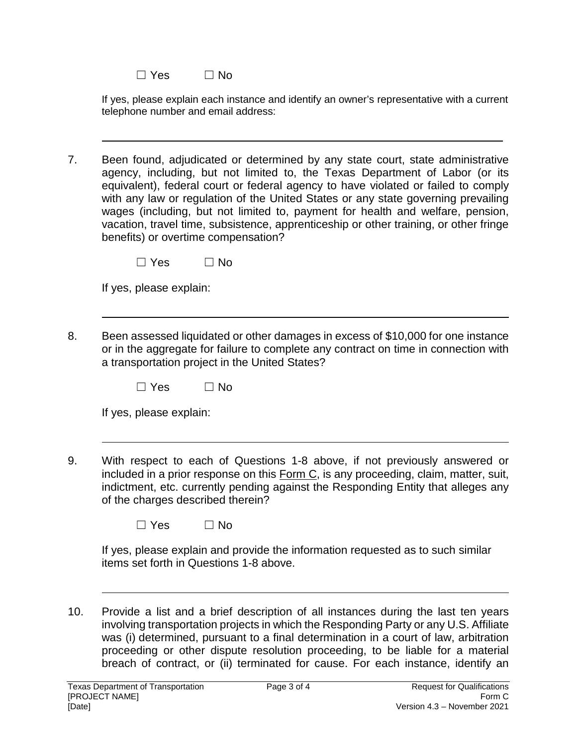| $\Box$ Yes | $\Box$ No |
|------------|-----------|
|------------|-----------|

If yes, please explain each instance and identify an owner's representative with a current telephone number and email address:

 $\_$  , and the set of the set of the set of the set of the set of the set of the set of the set of the set of the set of the set of the set of the set of the set of the set of the set of the set of the set of the set of th

7. Been found, adjudicated or determined by any state court, state administrative agency, including, but not limited to, the Texas Department of Labor (or its equivalent), federal court or federal agency to have violated or failed to comply with any law or regulation of the United States or any state governing prevailing wages (including, but not limited to, payment for health and welfare, pension, vacation, travel time, subsistence, apprenticeship or other training, or other fringe benefits) or overtime compensation?

|--|

If yes, please explain:

8. Been assessed liquidated or other damages in excess of \$10,000 for one instance or in the aggregate for failure to complete any contract on time in connection with a transportation project in the United States?

| $\Box$ Yes | $\Box$ No |
|------------|-----------|
|------------|-----------|

|  | If yes, please explain: |
|--|-------------------------|
|  |                         |

9. With respect to each of Questions 1-8 above, if not previously answered or included in a prior response on this Form C, is any proceeding, claim, matter, suit, indictment, etc. currently pending against the Responding Entity that alleges any of the charges described therein?

| $\Box$ Yes | $\Box$ No |
|------------|-----------|
|------------|-----------|

If yes, please explain and provide the information requested as to such similar items set forth in Questions 1-8 above.

10. Provide a list and a brief description of all instances during the last ten years involving transportation projects in which the Responding Party or any U.S. Affiliate was (i) determined, pursuant to a final determination in a court of law, arbitration proceeding or other dispute resolution proceeding, to be liable for a material breach of contract, or (ii) terminated for cause. For each instance, identify an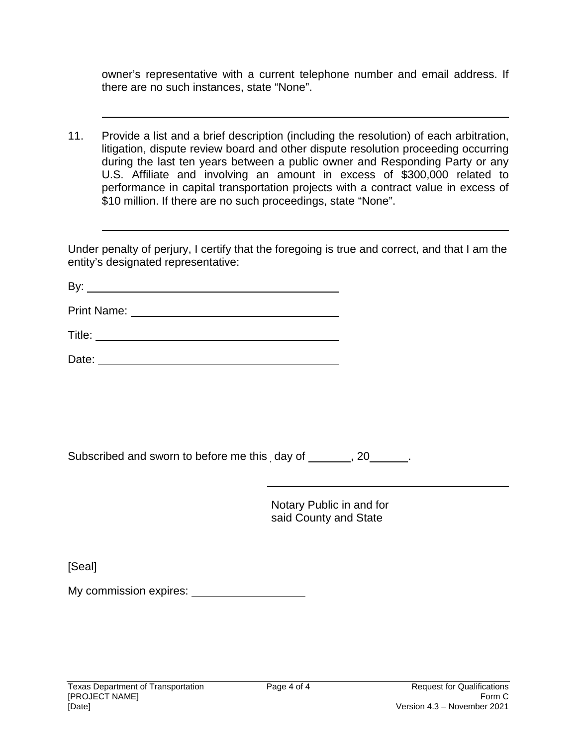owner's representative with a current telephone number and email address. If there are no such instances, state "None".

11. Provide a list and a brief description (including the resolution) of each arbitration, litigation, dispute review board and other dispute resolution proceeding occurring during the last ten years between a public owner and Responding Party or any U.S. Affiliate and involving an amount in excess of \$300,000 related to performance in capital transportation projects with a contract value in excess of \$10 million. If there are no such proceedings, state "None".

Under penalty of perjury, I certify that the foregoing is true and correct, and that I am the entity's designated representative:

By:

Print Name:

Title:

Date:

Subscribed and sworn to before me this day of \_\_\_\_\_, 20\_\_\_\_\_.

Notary Public in and for said County and State

[Seal]

My commission expires: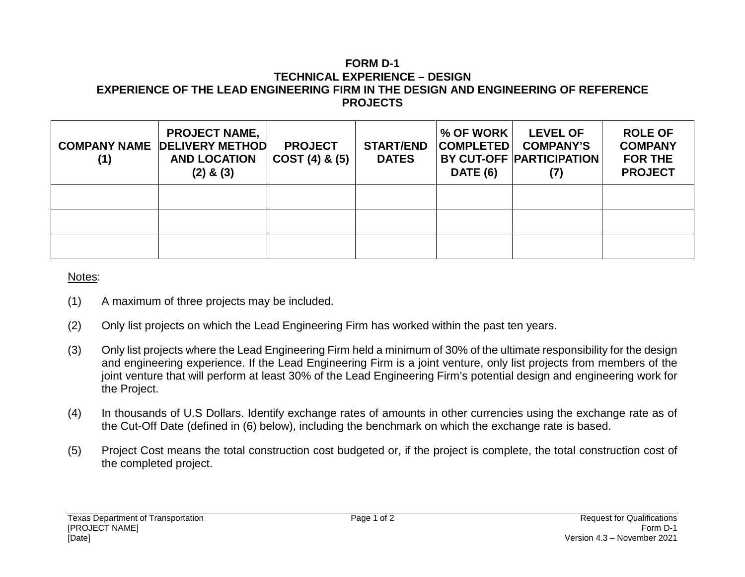#### **FORM D-1 TECHNICAL EXPERIENCE – DESIGN EXPERIENCE OF THE LEAD ENGINEERING FIRM IN THE DESIGN AND ENGINEERING OF REFERENCE PROJECTS**

| (1) | <b>PROJECT NAME,</b><br><b>COMPANY NAME DELIVERY METHOD</b><br><b>AND LOCATION</b><br>$(2)$ & $(3)$ | <b>PROJECT</b><br>$COST(4)$ & $(5)$ | <b>START/END</b><br><b>DATES</b> | $\%$ OF WORK $\parallel$<br><b>COMPLETED</b><br><b>DATE (6)</b> | <b>LEVEL OF</b><br><b>COMPANY'S</b><br><b>BY CUT-OFF PARTICIPATION</b> | <b>ROLE OF</b><br><b>COMPANY</b><br><b>FOR THE</b><br><b>PROJECT</b> |
|-----|-----------------------------------------------------------------------------------------------------|-------------------------------------|----------------------------------|-----------------------------------------------------------------|------------------------------------------------------------------------|----------------------------------------------------------------------|
|     |                                                                                                     |                                     |                                  |                                                                 |                                                                        |                                                                      |
|     |                                                                                                     |                                     |                                  |                                                                 |                                                                        |                                                                      |
|     |                                                                                                     |                                     |                                  |                                                                 |                                                                        |                                                                      |

#### Notes:

- (1) A maximum of three projects may be included.
- (2) Only list projects on which the Lead Engineering Firm has worked within the past ten years.
- (3) Only list projects where the Lead Engineering Firm held a minimum of 30% of the ultimate responsibility for the design and engineering experience. If the Lead Engineering Firm is a joint venture, only list projects from members of the joint venture that will perform at least 30% of the Lead Engineering Firm's potential design and engineering work for the Project.
- (4) In thousands of U.S Dollars. Identify exchange rates of amounts in other currencies using the exchange rate as of the Cut-Off Date (defined in (6) below), including the benchmark on which the exchange rate is based.
- (5) Project Cost means the total construction cost budgeted or, if the project is complete, the total construction cost of the completed project.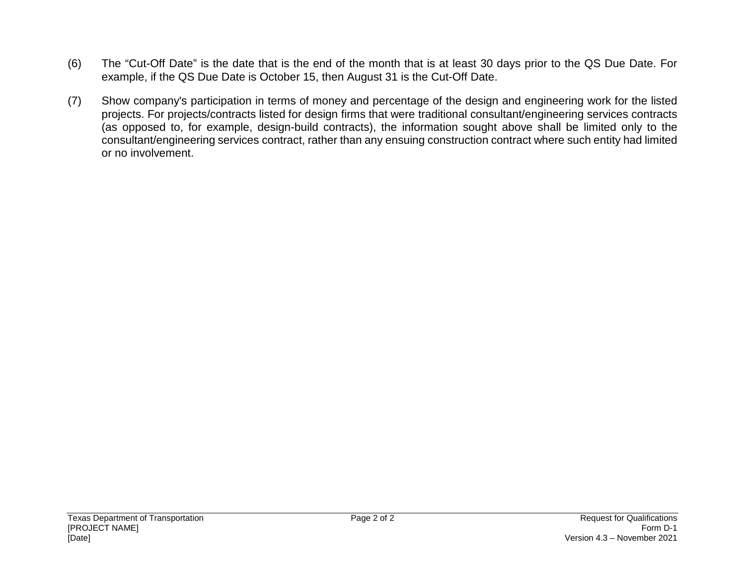- (6) The "Cut-Off Date" is the date that is the end of the month that is at least 30 days prior to the QS Due Date. For example, if the QS Due Date is October 15, then August 31 is the Cut-Off Date.
- (7) Show company's participation in terms of money and percentage of the design and engineering work for the listed projects. For projects/contracts listed for design firms that were traditional consultant/engineering services contracts (as opposed to, for example, design-build contracts), the information sought above shall be limited only to the consultant/engineering services contract, rather than any ensuing construction contract where such entity had limited or no involvement.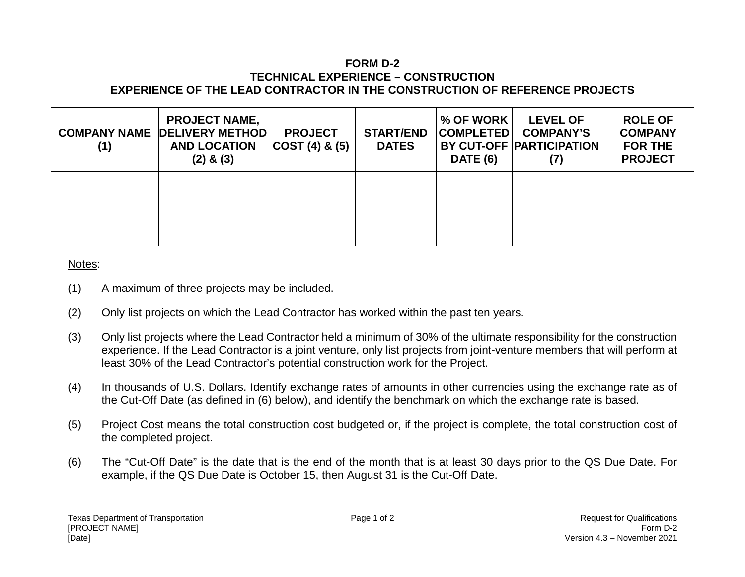#### **FORM D-2 TECHNICAL EXPERIENCE – CONSTRUCTION EXPERIENCE OF THE LEAD CONTRACTOR IN THE CONSTRUCTION OF REFERENCE PROJECTS**

| (1) | <b>PROJECT NAME,</b><br><b>COMPANY NAME DELIVERY METHOD</b><br><b>AND LOCATION</b><br>$(2)$ & $(3)$ | <b>PROJECT</b><br>COST(4) & (5) | <b>START/END</b><br><b>DATES</b> | $%$ OF WORK $ $<br><b>COMPLETED</b><br><b>DATE (6)</b> | <b>LEVEL OF</b><br><b>COMPANY'S</b><br><b>BY CUT-OFF PARTICIPATION</b> | <b>ROLE OF</b><br><b>COMPANY</b><br><b>FOR THE</b><br><b>PROJECT</b> |
|-----|-----------------------------------------------------------------------------------------------------|---------------------------------|----------------------------------|--------------------------------------------------------|------------------------------------------------------------------------|----------------------------------------------------------------------|
|     |                                                                                                     |                                 |                                  |                                                        |                                                                        |                                                                      |
|     |                                                                                                     |                                 |                                  |                                                        |                                                                        |                                                                      |
|     |                                                                                                     |                                 |                                  |                                                        |                                                                        |                                                                      |

#### Notes:

- (1) A maximum of three projects may be included.
- (2) Only list projects on which the Lead Contractor has worked within the past ten years.
- (3) Only list projects where the Lead Contractor held a minimum of 30% of the ultimate responsibility for the construction experience. If the Lead Contractor is a joint venture, only list projects from joint-venture members that will perform at least 30% of the Lead Contractor's potential construction work for the Project.
- (4) In thousands of U.S. Dollars. Identify exchange rates of amounts in other currencies using the exchange rate as of the Cut-Off Date (as defined in (6) below), and identify the benchmark on which the exchange rate is based.
- (5) Project Cost means the total construction cost budgeted or, if the project is complete, the total construction cost of the completed project.
- (6) The "Cut-Off Date" is the date that is the end of the month that is at least 30 days prior to the QS Due Date. For example, if the QS Due Date is October 15, then August 31 is the Cut-Off Date.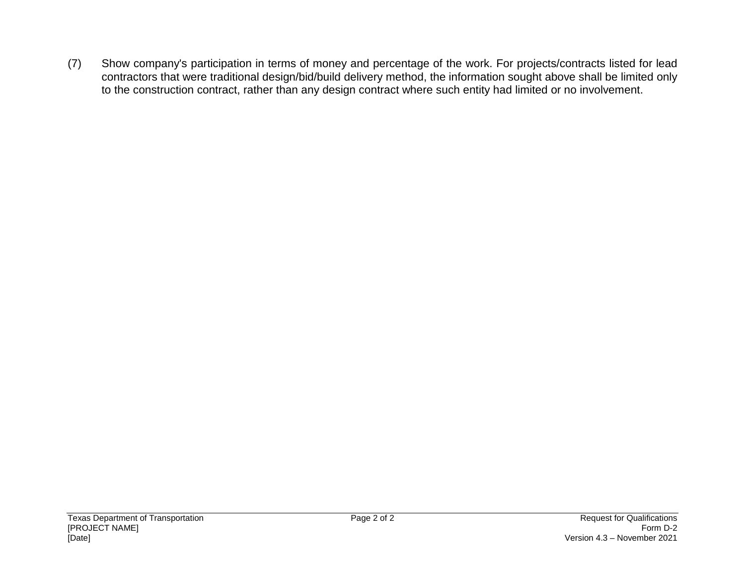(7) Show company's participation in terms of money and percentage of the work. For projects/contracts listed for lead contractors that were traditional design/bid/build delivery method, the information sought above shall be limited only to the construction contract, rather than any design contract where such entity had limited or no involvement.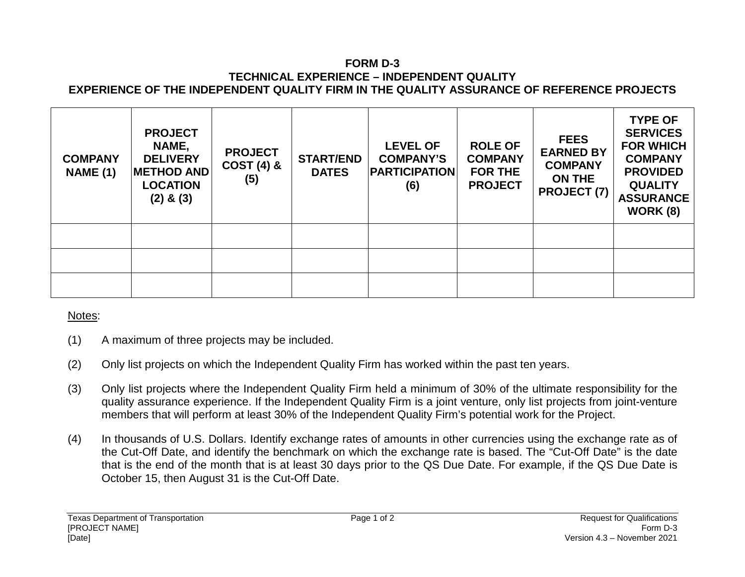#### **FORM D-3 TECHNICAL EXPERIENCE – INDEPENDENT QUALITY EXPERIENCE OF THE INDEPENDENT QUALITY FIRM IN THE QUALITY ASSURANCE OF REFERENCE PROJECTS**

| <b>COMPANY</b><br><b>NAME (1)</b> | <b>PROJECT</b><br>NAME,<br><b>DELIVERY</b><br><b>METHOD AND</b><br><b>LOCATION</b><br>$(2)$ & $(3)$ | <b>PROJECT</b><br><b>COST (4) &amp;</b><br>(5) | <b>START/END</b><br><b>DATES</b> | <b>LEVEL OF</b><br><b>COMPANY'S</b><br><b>PARTICIPATION</b><br>(6) | <b>ROLE OF</b><br><b>COMPANY</b><br><b>FOR THE</b><br><b>PROJECT</b> | <b>FEES</b><br><b>EARNED BY</b><br><b>COMPANY</b><br><b>ON THE</b><br><b>PROJECT (7)</b> | <b>TYPE OF</b><br><b>SERVICES</b><br><b>FOR WHICH</b><br><b>COMPANY</b><br><b>PROVIDED</b><br><b>QUALITY</b><br><b>ASSURANCE</b><br><b>WORK (8)</b> |
|-----------------------------------|-----------------------------------------------------------------------------------------------------|------------------------------------------------|----------------------------------|--------------------------------------------------------------------|----------------------------------------------------------------------|------------------------------------------------------------------------------------------|-----------------------------------------------------------------------------------------------------------------------------------------------------|
|                                   |                                                                                                     |                                                |                                  |                                                                    |                                                                      |                                                                                          |                                                                                                                                                     |
|                                   |                                                                                                     |                                                |                                  |                                                                    |                                                                      |                                                                                          |                                                                                                                                                     |
|                                   |                                                                                                     |                                                |                                  |                                                                    |                                                                      |                                                                                          |                                                                                                                                                     |

### Notes:

- (1) A maximum of three projects may be included.
- (2) Only list projects on which the Independent Quality Firm has worked within the past ten years.
- (3) Only list projects where the Independent Quality Firm held a minimum of 30% of the ultimate responsibility for the quality assurance experience. If the Independent Quality Firm is a joint venture, only list projects from joint-venture members that will perform at least 30% of the Independent Quality Firm's potential work for the Project.
- (4) In thousands of U.S. Dollars. Identify exchange rates of amounts in other currencies using the exchange rate as of the Cut-Off Date, and identify the benchmark on which the exchange rate is based. The "Cut-Off Date" is the date that is the end of the month that is at least 30 days prior to the QS Due Date. For example, if the QS Due Date is October 15, then August 31 is the Cut-Off Date.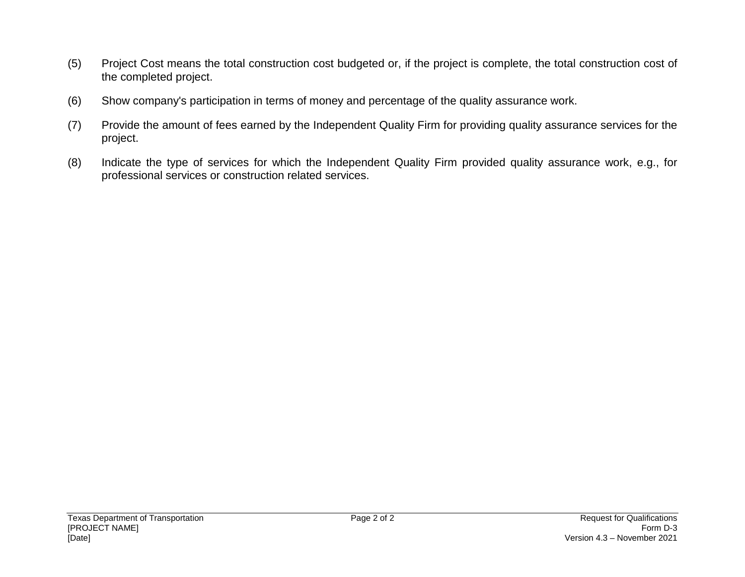- (5) Project Cost means the total construction cost budgeted or, if the project is complete, the total construction cost of the completed project.
- (6) Show company's participation in terms of money and percentage of the quality assurance work.
- (7) Provide the amount of fees earned by the Independent Quality Firm for providing quality assurance services for the project.
- (8) Indicate the type of services for which the Independent Quality Firm provided quality assurance work, e.g., for professional services or construction related services.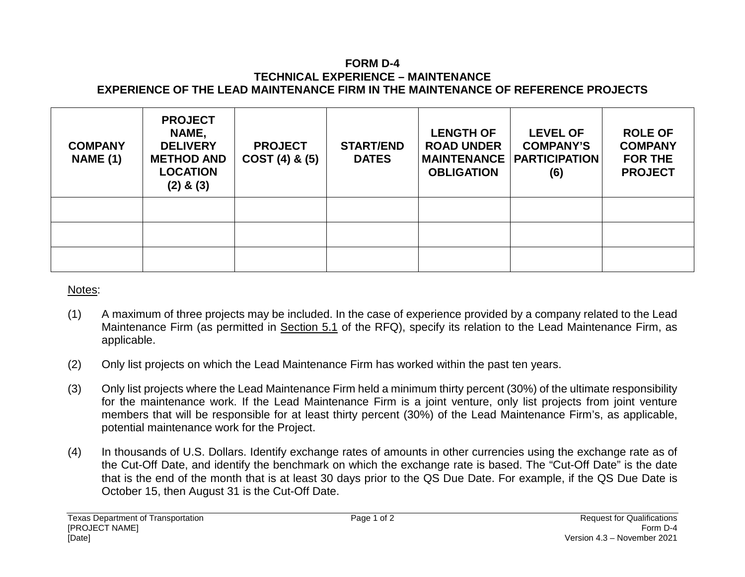#### **FORM D-4 TECHNICAL EXPERIENCE – MAINTENANCE EXPERIENCE OF THE LEAD MAINTENANCE FIRM IN THE MAINTENANCE OF REFERENCE PROJECTS**

| <b>COMPANY</b><br><b>NAME (1)</b> | <b>PROJECT</b><br>NAME,<br><b>DELIVERY</b><br><b>METHOD AND</b><br><b>LOCATION</b><br>$(2)$ & $(3)$ | <b>PROJECT</b><br>$COST(4)$ & $(5)$ | <b>START/END</b><br><b>DATES</b> | <b>LENGTH OF</b><br><b>ROAD UNDER</b><br><b>MAINTENANCE</b><br><b>OBLIGATION</b> | <b>LEVEL OF</b><br><b>COMPANY'S</b><br><b>PARTICIPATION</b><br>(6) | <b>ROLE OF</b><br><b>COMPANY</b><br><b>FOR THE</b><br><b>PROJECT</b> |
|-----------------------------------|-----------------------------------------------------------------------------------------------------|-------------------------------------|----------------------------------|----------------------------------------------------------------------------------|--------------------------------------------------------------------|----------------------------------------------------------------------|
|                                   |                                                                                                     |                                     |                                  |                                                                                  |                                                                    |                                                                      |
|                                   |                                                                                                     |                                     |                                  |                                                                                  |                                                                    |                                                                      |
|                                   |                                                                                                     |                                     |                                  |                                                                                  |                                                                    |                                                                      |

### Notes:

- (1) A maximum of three projects may be included. In the case of experience provided by a company related to the Lead Maintenance Firm (as permitted in Section 5.1 of the RFQ), specify its relation to the Lead Maintenance Firm, as applicable.
- (2) Only list projects on which the Lead Maintenance Firm has worked within the past ten years.
- (3) Only list projects where the Lead Maintenance Firm held a minimum thirty percent (30%) of the ultimate responsibility for the maintenance work. If the Lead Maintenance Firm is a joint venture, only list projects from joint venture members that will be responsible for at least thirty percent (30%) of the Lead Maintenance Firm's, as applicable, potential maintenance work for the Project.
- (4) In thousands of U.S. Dollars. Identify exchange rates of amounts in other currencies using the exchange rate as of the Cut-Off Date, and identify the benchmark on which the exchange rate is based. The "Cut-Off Date" is the date that is the end of the month that is at least 30 days prior to the QS Due Date. For example, if the QS Due Date is October 15, then August 31 is the Cut-Off Date.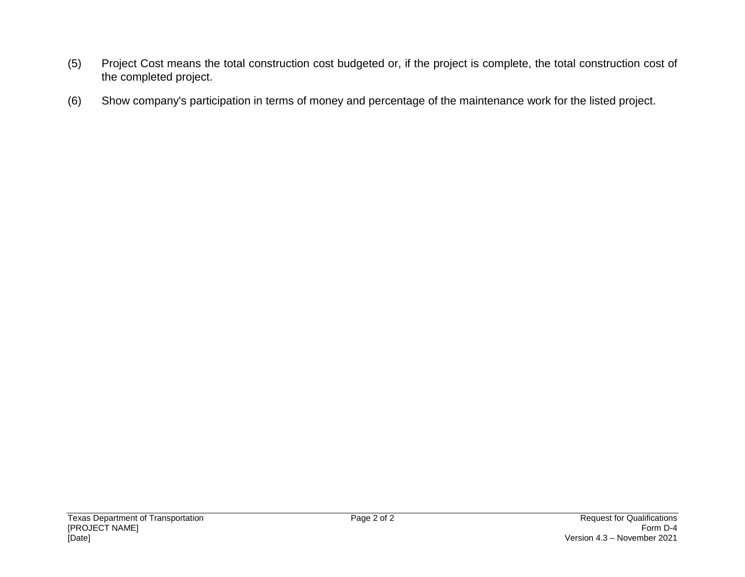- (5) Project Cost means the total construction cost budgeted or, if the project is complete, the total construction cost of the completed project.
- (6) Show company's participation in terms of money and percentage of the maintenance work for the listed project.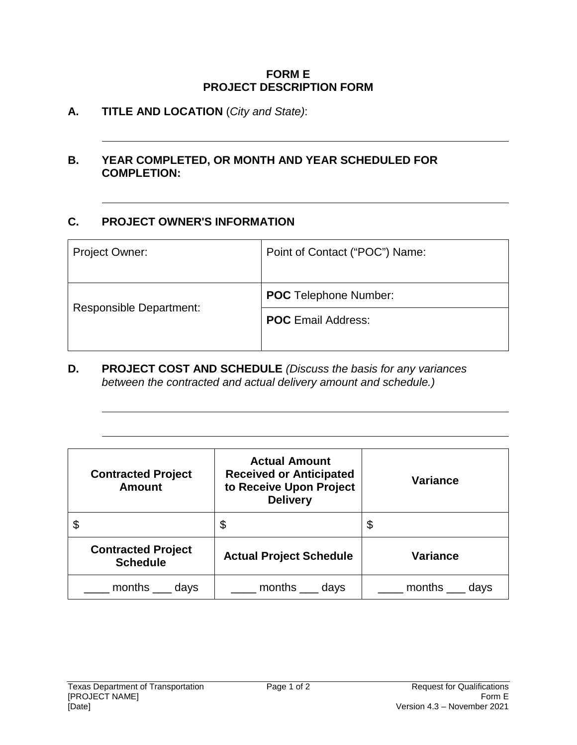#### **FORM E PROJECT DESCRIPTION FORM**

## **A. TITLE AND LOCATION** (*City and State)*:

### **B. YEAR COMPLETED, OR MONTH AND YEAR SCHEDULED FOR COMPLETION:**

## **C. PROJECT OWNER'S INFORMATION**

| Project Owner:                 | Point of Contact ("POC") Name: |  |
|--------------------------------|--------------------------------|--|
|                                |                                |  |
|                                | <b>POC</b> Telephone Number:   |  |
| <b>Responsible Department:</b> | <b>POC</b> Email Address:      |  |
|                                |                                |  |

**D. PROJECT COST AND SCHEDULE** *(Discuss the basis for any variances between the contracted and actual delivery amount and schedule.)*

| <b>Contracted Project</b><br><b>Amount</b>   | <b>Actual Amount</b><br><b>Received or Anticipated</b><br>to Receive Upon Project<br><b>Delivery</b> | <b>Variance</b> |
|----------------------------------------------|------------------------------------------------------------------------------------------------------|-----------------|
| \$                                           | \$                                                                                                   | \$              |
| <b>Contracted Project</b><br><b>Schedule</b> | <b>Actual Project Schedule</b>                                                                       | <b>Variance</b> |
| months<br>days                               | months<br>days                                                                                       | months<br>days  |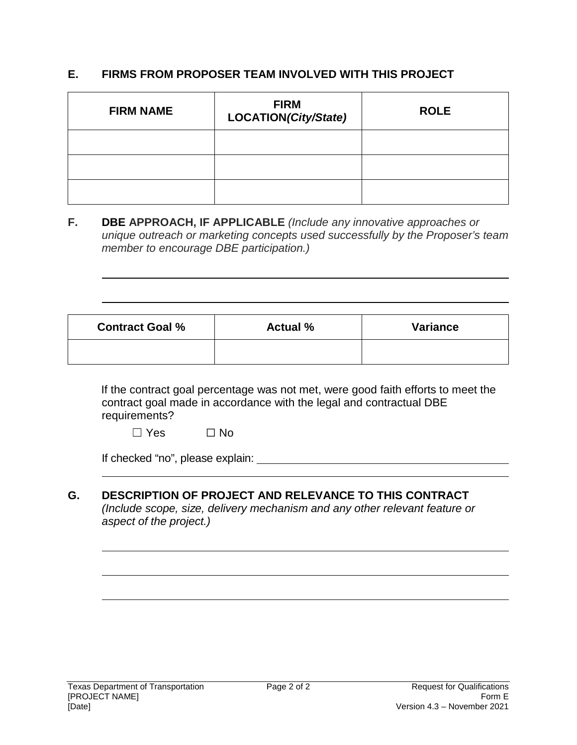## **E. FIRMS FROM PROPOSER TEAM INVOLVED WITH THIS PROJECT**

| <b>FIRM NAME</b> | <b>FIRM</b><br>LOCATION(City/State) | <b>ROLE</b> |
|------------------|-------------------------------------|-------------|
|                  |                                     |             |
|                  |                                     |             |
|                  |                                     |             |

**F. DBE APPROACH, IF APPLICABLE** *(Include any innovative approaches or unique outreach or marketing concepts used successfully by the Proposer's team member to encourage DBE participation.)* 

| <b>Contract Goal %</b> | <b>Actual %</b> | <b>Variance</b> |
|------------------------|-----------------|-----------------|
|                        |                 |                 |

If the contract goal percentage was not met, were good faith efforts to meet the contract goal made in accordance with the legal and contractual DBE requirements?

☐ Yes ☐ No

| If checked "no", please explain: |  |
|----------------------------------|--|
|                                  |  |

## **G. DESCRIPTION OF PROJECT AND RELEVANCE TO THIS CONTRACT**

*(Include scope, size, delivery mechanism and any other relevant feature or aspect of the project.)*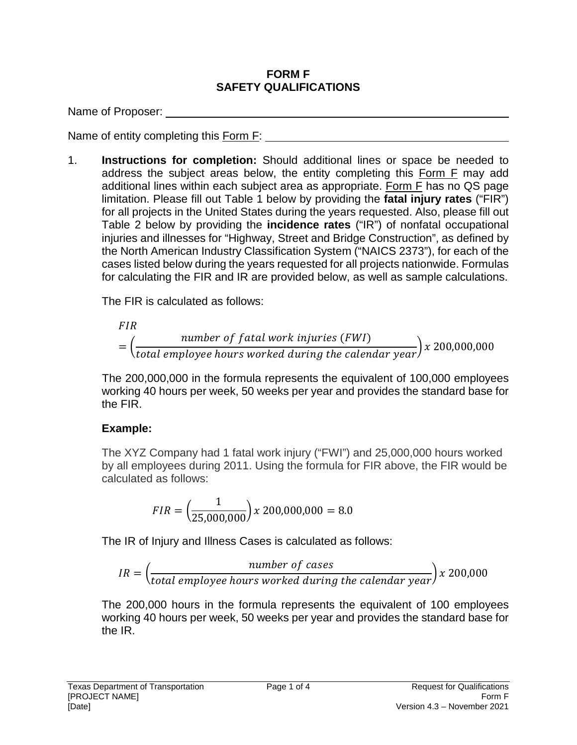### **FORM F SAFETY QUALIFICATIONS**

Name of Proposer:

Name of entity completing this **Form F:** 

1. **Instructions for completion:** Should additional lines or space be needed to address the subject areas below, the entity completing this Form F may add additional lines within each subject area as appropriate. Form F has no QS page limitation. Please fill out Table 1 below by providing the **fatal injury rates** ("FIR") for all projects in the United States during the years requested. Also, please fill out Table 2 below by providing the **incidence rates** ("IR") of nonfatal occupational injuries and illnesses for "Highway, Street and Bridge Construction", as defined by the North American Industry Classification System ("NAICS 2373"), for each of the cases listed below during the years requested for all projects nationwide. Formulas for calculating the FIR and IR are provided below, as well as sample calculations.

The FIR is calculated as follows:

*FIR*

\n
$$
= \left( \frac{number \ of \ fatal \ work \ injuries \ (FWI)}{total \ employee \ hours \ worked \ during \ the \ calendar \ year} \right) x \, 200,000,000
$$

The 200,000,000 in the formula represents the equivalent of 100,000 employees working 40 hours per week, 50 weeks per year and provides the standard base for the FIR.

# **Example:**

The XYZ Company had 1 fatal work injury ("FWI") and 25,000,000 hours worked by all employees during 2011. Using the formula for FIR above, the FIR would be calculated as follows:

$$
FIR = \left(\frac{1}{25,000,000}\right) \times 200,000,000 = 8.0
$$

The IR of Injury and Illness Cases is calculated as follows:

$$
IR = \left(\frac{number\ of\ cases}{total\ employee\ hours\ worked\ during\ the\ calendar\ year}\right) \times 200,000
$$

The 200,000 hours in the formula represents the equivalent of 100 employees working 40 hours per week, 50 weeks per year and provides the standard base for the IR.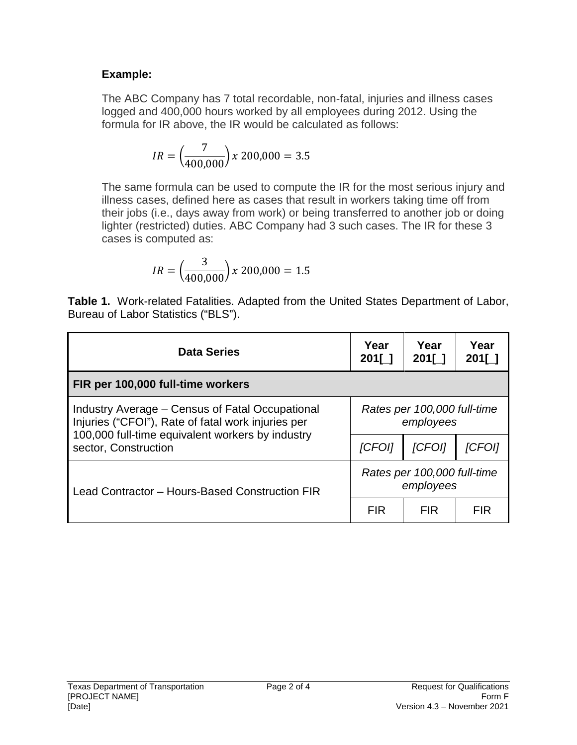## **Example:**

The ABC Company has 7 total recordable, non-fatal, injuries and illness cases logged and 400,000 hours worked by all employees during 2012. Using the formula for IR above, the IR would be calculated as follows:

$$
IR = \left(\frac{7}{400,000}\right) x \, 200,000 = 3.5
$$

The same formula can be used to compute the IR for the most serious injury and illness cases, defined here as cases that result in workers taking time off from their jobs (i.e., days away from work) or being transferred to another job or doing lighter (restricted) duties. ABC Company had 3 such cases. The IR for these 3 cases is computed as:

$$
IR = \left(\frac{3}{400,000}\right) x \, 200,000 = 1.5
$$

**Table 1.** Work-related Fatalities. Adapted from the United States Department of Labor, Bureau of Labor Statistics ("BLS").

| <b>Data Series</b>                                                                                    | Year<br>$201$ [ ] | Year<br>$201$ [ ]                        | Year<br><b>201[</b> 1 |  |
|-------------------------------------------------------------------------------------------------------|-------------------|------------------------------------------|-----------------------|--|
| FIR per 100,000 full-time workers                                                                     |                   |                                          |                       |  |
| Industry Average – Census of Fatal Occupational<br>Injuries ("CFOI"), Rate of fatal work injuries per |                   | Rates per 100,000 full-time<br>employees |                       |  |
| 100,000 full-time equivalent workers by industry<br>sector, Construction                              | <i>[CFOI]</i>     | <b>ICFOII</b>                            | ICFOII                |  |
| Lead Contractor - Hours-Based Construction FIR                                                        |                   | Rates per 100,000 full-time<br>employees |                       |  |
|                                                                                                       | <b>FIR</b>        | FIR.                                     | <b>FIR</b>            |  |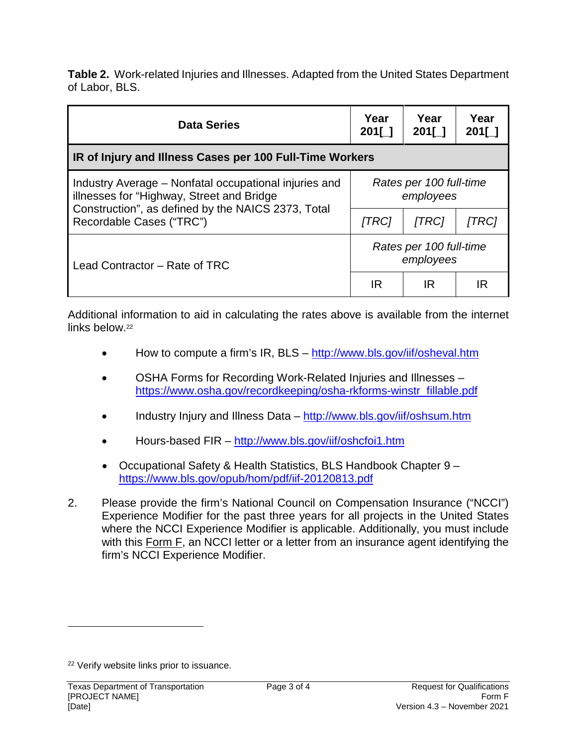**Table 2.** Work-related Injuries and Illnesses. Adapted from the United States Department of Labor, BLS.

| <b>Data Series</b>                                                                                 | Year<br>$201$ [ ]                    | Year<br>$201$ [ ]                    | Year<br>201[ 1 |
|----------------------------------------------------------------------------------------------------|--------------------------------------|--------------------------------------|----------------|
| IR of Injury and Illness Cases per 100 Full-Time Workers                                           |                                      |                                      |                |
| Industry Average – Nonfatal occupational injuries and<br>illnesses for "Highway, Street and Bridge | Rates per 100 full-time<br>employees |                                      |                |
| Construction", as defined by the NAICS 2373, Total<br>Recordable Cases ("TRC")                     | [TRC]                                | [TRC]                                | [TRC]          |
| Lead Contractor - Rate of TRC                                                                      |                                      | Rates per 100 full-time<br>employees |                |
|                                                                                                    | IR                                   | IR                                   | IR             |

Additional information to aid in calculating the rates above is available from the internet links below.<sup>22</sup>

- How to compute a firm's IR, BLS http://www.bls.gov/iif/osheval.htm
- OSHA Forms for Recording Work-Related Injuries and Illnesses https://www.osha.gov/recordkeeping/osha-rkforms-winstr\_fillable.pdf
- Industry Injury and Illness Data http://www.bls.gov/iif/oshsum.htm
- Hours-based FIR http://www.bls.gov/iif/oshcfoi1.htm
- Occupational Safety & Health Statistics, BLS Handbook Chapter 9 https://www.bls.gov/opub/hom/pdf/iif-20120813.pdf
- 2. Please provide the firm's National Council on Compensation Insurance ("NCCI") Experience Modifier for the past three years for all projects in the United States where the NCCI Experience Modifier is applicable. Additionally, you must include with this Form F, an NCCI letter or a letter from an insurance agent identifying the firm's NCCI Experience Modifier.

<sup>22</sup> Verify website links prior to issuance.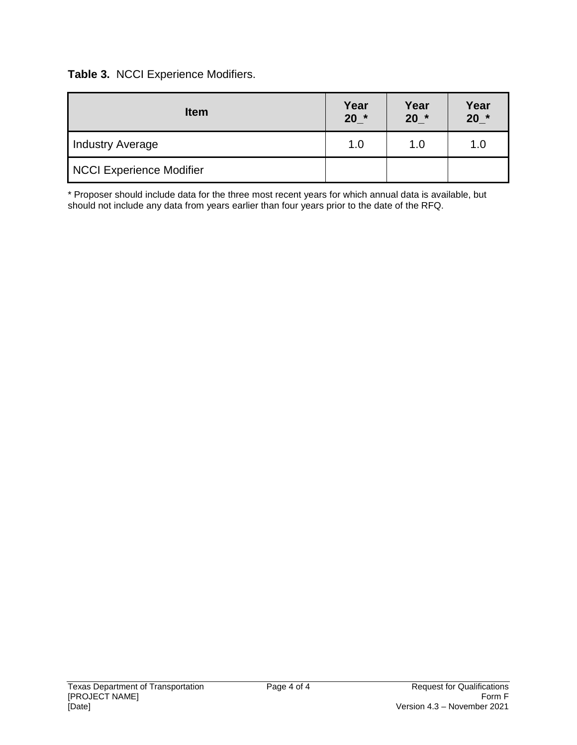**Table 3.** NCCI Experience Modifiers.

| <b>Item</b>              | Year<br>$20^*$ | Year<br>$20^*$ | Year<br>$20^{\star}$ |
|--------------------------|----------------|----------------|----------------------|
| <b>Industry Average</b>  | 1.0            | 1.0            | 1.0                  |
| NCCI Experience Modifier |                |                |                      |

\* Proposer should include data for the three most recent years for which annual data is available, but should not include any data from years earlier than four years prior to the date of the RFQ.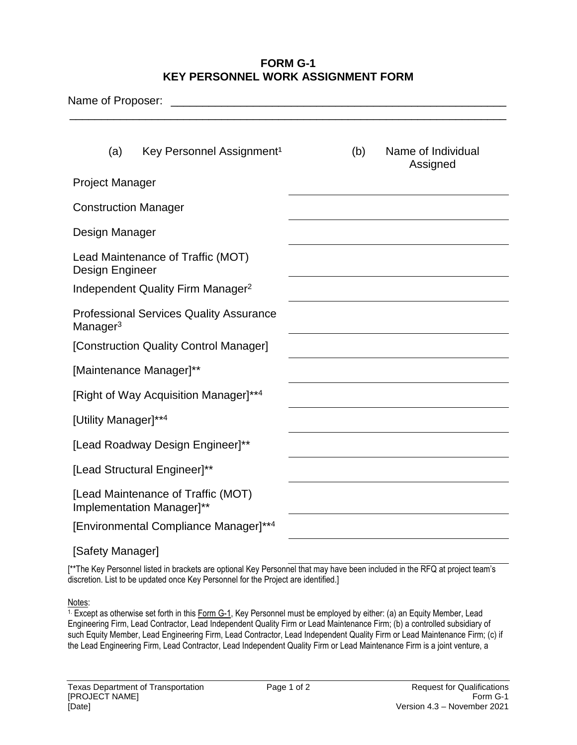#### **FORM G-1 KEY PERSONNEL WORK ASSIGNMENT FORM**

| Name of Proposer:                                                      |                                               |     |  |                                |
|------------------------------------------------------------------------|-----------------------------------------------|-----|--|--------------------------------|
| (a)                                                                    | Key Personnel Assignment <sup>1</sup>         | (b) |  | Name of Individual<br>Assigned |
| <b>Project Manager</b>                                                 |                                               |     |  |                                |
| <b>Construction Manager</b>                                            |                                               |     |  |                                |
| Design Manager                                                         |                                               |     |  |                                |
| Design Engineer                                                        | Lead Maintenance of Traffic (MOT)             |     |  |                                |
|                                                                        | Independent Quality Firm Manager <sup>2</sup> |     |  |                                |
| <b>Professional Services Quality Assurance</b><br>Manager <sup>3</sup> |                                               |     |  |                                |
|                                                                        | [Construction Quality Control Manager]        |     |  |                                |
|                                                                        | [Maintenance Manager]**                       |     |  |                                |
|                                                                        | [Right of Way Acquisition Manager]**4         |     |  |                                |
| [Utility Manager]**4                                                   |                                               |     |  |                                |
| [Lead Roadway Design Engineer]**                                       |                                               |     |  |                                |
| [Lead Structural Engineer]**                                           |                                               |     |  |                                |
| [Lead Maintenance of Traffic (MOT)<br>Implementation Manager]**        |                                               |     |  |                                |
| [Environmental Compliance Manager]**4                                  |                                               |     |  |                                |

[Safety Manager]

[\*\*The Key Personnel listed in brackets are optional Key Personnel that may have been included in the RFQ at project team's discretion. List to be updated once Key Personnel for the Project are identified.]

Notes:

1. Except as otherwise set forth in this Form G-1, Key Personnel must be employed by either: (a) an Equity Member, Lead Engineering Firm, Lead Contractor, Lead Independent Quality Firm or Lead Maintenance Firm; (b) a controlled subsidiary of such Equity Member, Lead Engineering Firm, Lead Contractor, Lead Independent Quality Firm or Lead Maintenance Firm; (c) if the Lead Engineering Firm, Lead Contractor, Lead Independent Quality Firm or Lead Maintenance Firm is a joint venture, a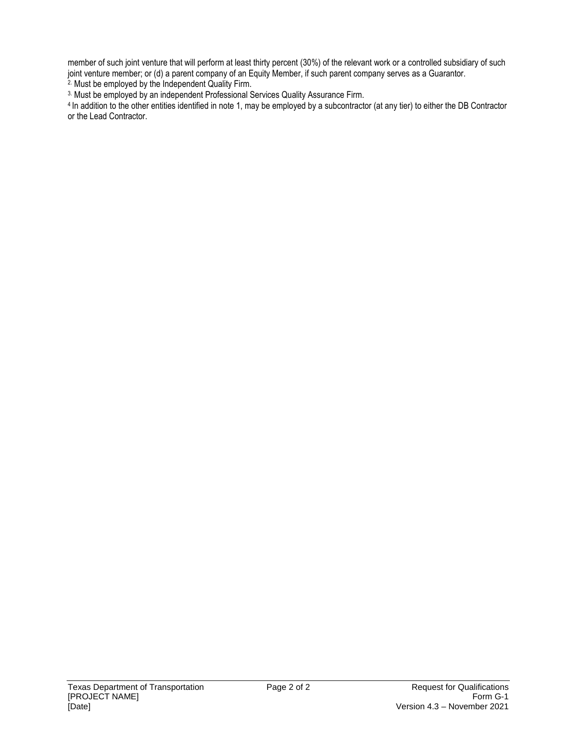member of such joint venture that will perform at least thirty percent (30%) of the relevant work or a controlled subsidiary of such joint venture member; or (d) a parent company of an Equity Member, if such parent company serves as a Guarantor.

<sup>2</sup>. Must be employed by the Independent Quality Firm.

3. Must be employed by an independent Professional Services Quality Assurance Firm.

<sup>4</sup> In addition to the other entities identified in note 1, may be employed by a subcontractor (at any tier) to either the DB Contractor or the Lead Contractor.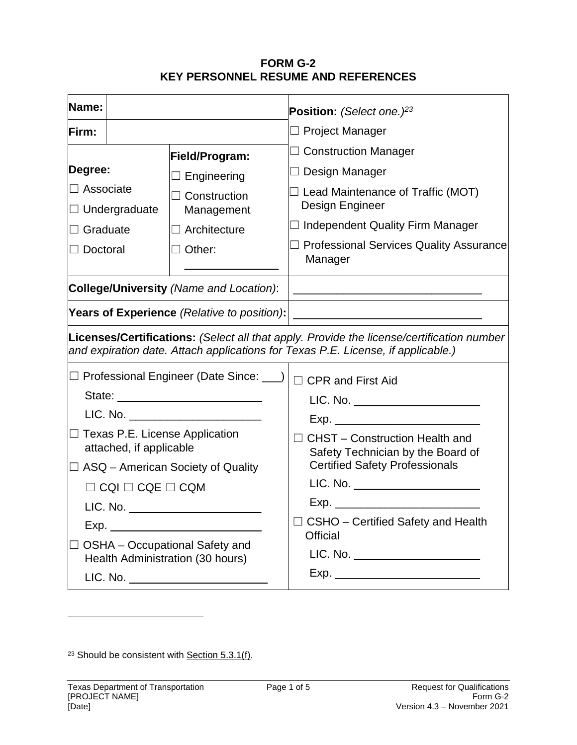## **FORM G-2 KEY PERSONNEL RESUME AND REFERENCES**

| Name:                            |                         |                                                                    | <b>Position:</b> (Select one.) $23$                                                                                                                                           |  |
|----------------------------------|-------------------------|--------------------------------------------------------------------|-------------------------------------------------------------------------------------------------------------------------------------------------------------------------------|--|
| Firm:                            |                         |                                                                    | $\Box$ Project Manager                                                                                                                                                        |  |
|                                  |                         | Field/Program:                                                     | $\Box$ Construction Manager                                                                                                                                                   |  |
| Degree:                          |                         | $\Box$ Engineering                                                 | $\Box$ Design Manager                                                                                                                                                         |  |
| $\Box$ Associate                 | $\Box$ Undergraduate    | $\Box$ Construction<br>Management                                  | $\Box$ Lead Maintenance of Traffic (MOT)<br>Design Engineer                                                                                                                   |  |
| $\Box$ Graduate                  |                         | $\Box$ Architecture                                                | $\Box$ Independent Quality Firm Manager                                                                                                                                       |  |
| $\Box$ Doctoral                  |                         | $\Box$ Other:                                                      | $\Box$ Professional Services Quality Assurance<br>Manager                                                                                                                     |  |
|                                  |                         | College/University (Name and Location):                            |                                                                                                                                                                               |  |
|                                  |                         |                                                                    | Years of Experience (Relative to position):   __________________________________                                                                                              |  |
|                                  |                         |                                                                    | Licenses/Certifications: (Select all that apply. Provide the license/certification number<br>and expiration date. Attach applications for Texas P.E. License, if applicable.) |  |
|                                  |                         | □ Professional Engineer (Date Since: ___)                          | $\Box$ CPR and First Aid                                                                                                                                                      |  |
|                                  |                         |                                                                    | LIC. No. _______________________                                                                                                                                              |  |
|                                  |                         | LIC. No. _________________________                                 |                                                                                                                                                                               |  |
|                                  | attached, if applicable | □ Texas P.E. License Application                                   | CHST - Construction Health and<br>Safety Technician by the Board of                                                                                                           |  |
|                                  |                         | $\Box$ ASQ – American Society of Quality                           | <b>Certified Safety Professionals</b>                                                                                                                                         |  |
| $\Box$ CQI $\Box$ CQE $\Box$ CQM |                         |                                                                    | LIC. No. ________________________                                                                                                                                             |  |
|                                  |                         | LIC. No. ______________________                                    | Exp. _______________________________                                                                                                                                          |  |
|                                  |                         |                                                                    | $\Box$ CSHO – Certified Safety and Health                                                                                                                                     |  |
|                                  |                         | OSHA - Occupational Safety and<br>Health Administration (30 hours) | <b>Official</b><br>LIC. No. _______________________                                                                                                                           |  |
|                                  |                         |                                                                    |                                                                                                                                                                               |  |

<sup>&</sup>lt;sup>23</sup> Should be consistent with **Section 5.3.1(f)**.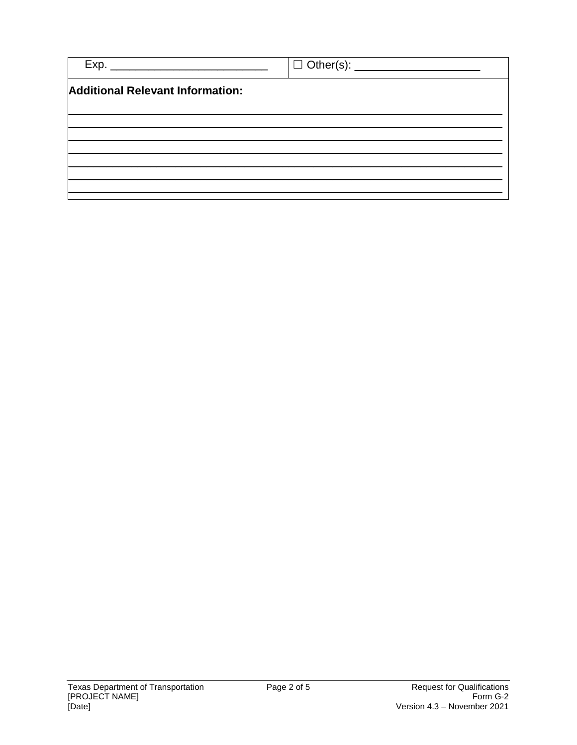|                                         | □ Other(s): _____________________ |
|-----------------------------------------|-----------------------------------|
| <b>Additional Relevant Information:</b> |                                   |
|                                         |                                   |
|                                         |                                   |
|                                         |                                   |
|                                         |                                   |
|                                         |                                   |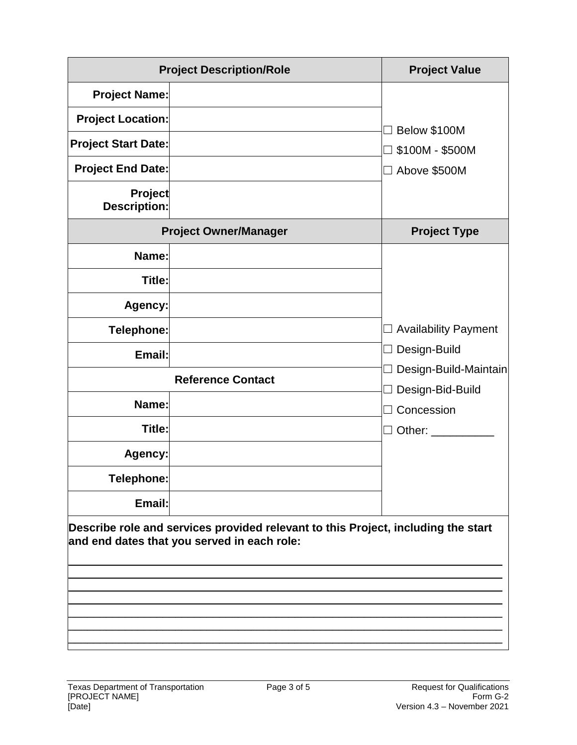|                                | <b>Project Description/Role</b>                                                                                                  | <b>Project Value</b>           |
|--------------------------------|----------------------------------------------------------------------------------------------------------------------------------|--------------------------------|
| <b>Project Name:</b>           |                                                                                                                                  |                                |
| <b>Project Location:</b>       |                                                                                                                                  |                                |
| <b>Project Start Date:</b>     |                                                                                                                                  | Below \$100M<br>$\Box$         |
| <b>Project End Date:</b>       |                                                                                                                                  | \$100M - \$500M                |
|                                |                                                                                                                                  | □ Above \$500M                 |
| <b>Project</b><br>Description: |                                                                                                                                  |                                |
|                                | <b>Project Owner/Manager</b>                                                                                                     | <b>Project Type</b>            |
| Name:                          |                                                                                                                                  |                                |
| Title:                         |                                                                                                                                  |                                |
| Agency:                        |                                                                                                                                  |                                |
| Telephone:                     |                                                                                                                                  | $\Box$ Availability Payment    |
| Email:                         |                                                                                                                                  | Design-Build<br>$\Box$         |
|                                | <b>Reference Contact</b>                                                                                                         | Design-Build-Maintain          |
| Name:                          |                                                                                                                                  | Design-Bid-Build<br>Concession |
| Title:                         |                                                                                                                                  | $\Box$ Other: $\_\_$           |
| Agency:                        |                                                                                                                                  |                                |
| Telephone:                     |                                                                                                                                  |                                |
| Email:                         |                                                                                                                                  |                                |
|                                | Describe role and services provided relevant to this Project, including the start<br>and end dates that you served in each role: |                                |
|                                |                                                                                                                                  |                                |
|                                |                                                                                                                                  |                                |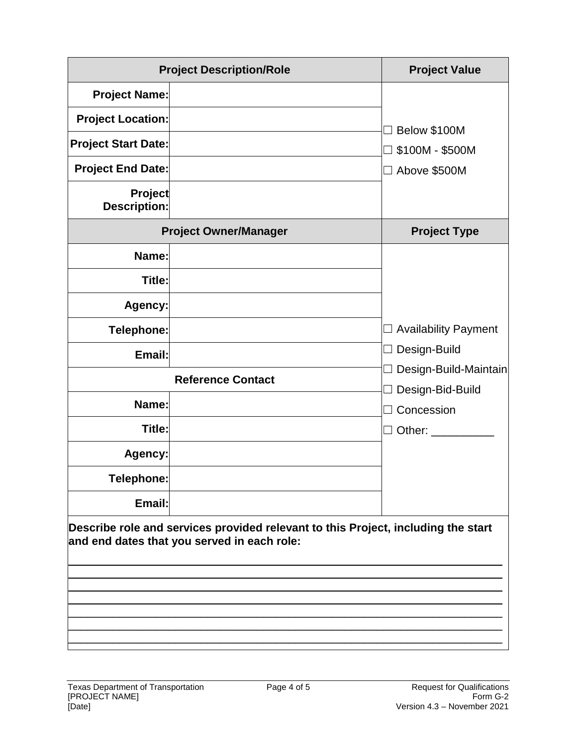|                                       | <b>Project Description/Role</b>                                                                                                  | <b>Project Value</b>              |
|---------------------------------------|----------------------------------------------------------------------------------------------------------------------------------|-----------------------------------|
| <b>Project Name:</b>                  |                                                                                                                                  |                                   |
| <b>Project Location:</b>              |                                                                                                                                  |                                   |
| <b>Project Start Date:</b>            |                                                                                                                                  | Below \$100M                      |
| <b>Project End Date:</b>              |                                                                                                                                  | \$100M - \$500M<br>□ Above \$500M |
| <b>Project</b><br><b>Description:</b> |                                                                                                                                  |                                   |
|                                       | <b>Project Owner/Manager</b>                                                                                                     | <b>Project Type</b>               |
| Name:                                 |                                                                                                                                  |                                   |
| Title:                                |                                                                                                                                  |                                   |
| Agency:                               |                                                                                                                                  |                                   |
| Telephone:                            |                                                                                                                                  | $\Box$ Availability Payment       |
| Email:                                |                                                                                                                                  | Design-Build<br>$\Box$            |
|                                       | <b>Reference Contact</b>                                                                                                         | Design-Build-Maintain             |
|                                       |                                                                                                                                  | Design-Bid-Build                  |
| Name:                                 |                                                                                                                                  | Concession                        |
| Title:                                |                                                                                                                                  | $\Box$ Other: $\_\_$              |
| Agency:                               |                                                                                                                                  |                                   |
| <b>Telephone:</b>                     |                                                                                                                                  |                                   |
| Email:                                |                                                                                                                                  |                                   |
|                                       | Describe role and services provided relevant to this Project, including the start<br>and end dates that you served in each role: |                                   |
|                                       |                                                                                                                                  |                                   |
|                                       |                                                                                                                                  |                                   |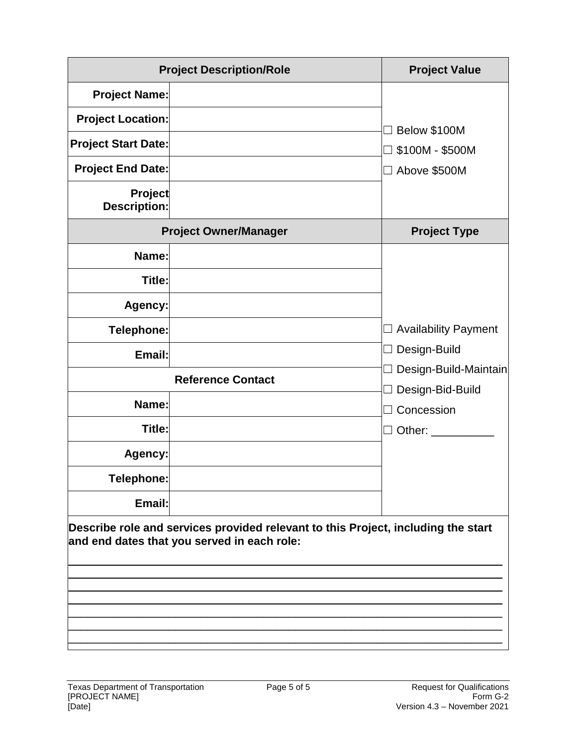|                                       | <b>Project Description/Role</b>                                                                                                  | <b>Project Value</b>              |
|---------------------------------------|----------------------------------------------------------------------------------------------------------------------------------|-----------------------------------|
| <b>Project Name:</b>                  |                                                                                                                                  |                                   |
| <b>Project Location:</b>              |                                                                                                                                  |                                   |
| <b>Project Start Date:</b>            |                                                                                                                                  | Below \$100M                      |
| <b>Project End Date:</b>              |                                                                                                                                  | \$100M - \$500M<br>□ Above \$500M |
| <b>Project</b><br><b>Description:</b> |                                                                                                                                  |                                   |
|                                       | <b>Project Owner/Manager</b>                                                                                                     | <b>Project Type</b>               |
| Name:                                 |                                                                                                                                  |                                   |
| Title:                                |                                                                                                                                  |                                   |
| Agency:                               |                                                                                                                                  |                                   |
| Telephone:                            |                                                                                                                                  | $\Box$ Availability Payment       |
| Email:                                |                                                                                                                                  | Design-Build<br>$\Box$            |
|                                       | <b>Reference Contact</b>                                                                                                         | Design-Build-Maintain             |
|                                       |                                                                                                                                  | Design-Bid-Build                  |
| Name:                                 |                                                                                                                                  | Concession                        |
| Title:                                |                                                                                                                                  | $\Box$ Other: $\_\_$              |
| Agency:                               |                                                                                                                                  |                                   |
| <b>Telephone:</b>                     |                                                                                                                                  |                                   |
| Email:                                |                                                                                                                                  |                                   |
|                                       | Describe role and services provided relevant to this Project, including the start<br>and end dates that you served in each role: |                                   |
|                                       |                                                                                                                                  |                                   |
|                                       |                                                                                                                                  |                                   |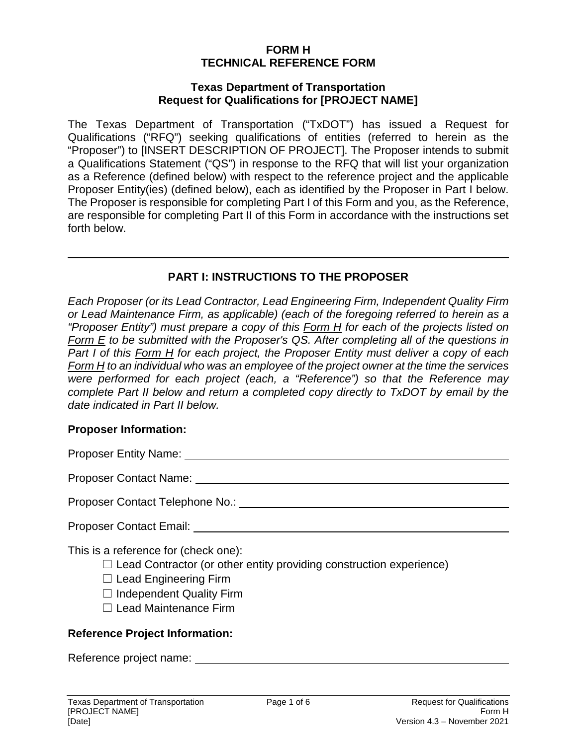### **FORM H TECHNICAL REFERENCE FORM**

#### **Texas Department of Transportation Request for Qualifications for [PROJECT NAME]**

The Texas Department of Transportation ("TxDOT") has issued a Request for Qualifications ("RFQ") seeking qualifications of entities (referred to herein as the "Proposer") to [INSERT DESCRIPTION OF PROJECT]. The Proposer intends to submit a Qualifications Statement ("QS") in response to the RFQ that will list your organization as a Reference (defined below) with respect to the reference project and the applicable Proposer Entity(ies) (defined below), each as identified by the Proposer in Part I below. The Proposer is responsible for completing Part I of this Form and you, as the Reference, are responsible for completing Part II of this Form in accordance with the instructions set forth below.

## **PART I: INSTRUCTIONS TO THE PROPOSER**

 $\mathcal{L} = \{ \mathcal{L} \mid \mathcal{L} \in \mathcal{L} \}$  , where  $\mathcal{L} = \{ \mathcal{L} \mid \mathcal{L} \in \mathcal{L} \}$  , where  $\mathcal{L} = \{ \mathcal{L} \mid \mathcal{L} \in \mathcal{L} \}$ 

*Each Proposer (or its Lead Contractor, Lead Engineering Firm, Independent Quality Firm or Lead Maintenance Firm, as applicable) (each of the foregoing referred to herein as a "Proposer Entity") must prepare a copy of this Form H for each of the projects listed on Form E to be submitted with the Proposer's QS. After completing all of the questions in Part I of this Form H for each project, the Proposer Entity must deliver a copy of each Form H to an individual who was an employee of the project owner at the time the services were performed for each project (each, a "Reference") so that the Reference may complete Part II below and return a completed copy directly to TxDOT by email by the date indicated in Part II below.*

## **Proposer Information:**

| Proposer Entity Name: |  |
|-----------------------|--|
|                       |  |

Proposer Contact Name:

Proposer Contact Telephone No.:

| <b>Proposer Contact Email:</b> |  |
|--------------------------------|--|
|                                |  |

This is a reference for (check one):

- $\Box$  Lead Contractor (or other entity providing construction experience)
- $\Box$  Lead Engineering Firm
- $\Box$  Independent Quality Firm
- ☐ Lead Maintenance Firm

## **Reference Project Information:**

Reference project name:  $\overline{a}$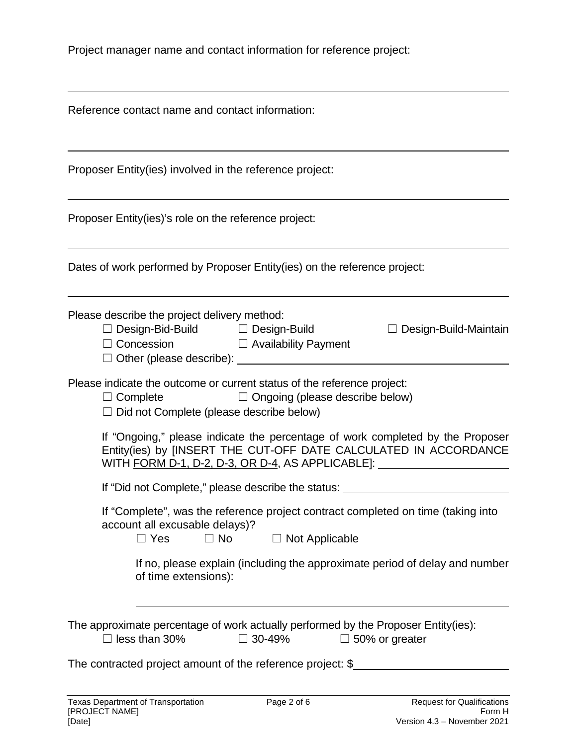Project manager name and contact information for reference project:

| Reference contact name and contact information:                                                                                                                                                                                        |  |  |  |  |  |  |  |
|----------------------------------------------------------------------------------------------------------------------------------------------------------------------------------------------------------------------------------------|--|--|--|--|--|--|--|
| Proposer Entity(ies) involved in the reference project:                                                                                                                                                                                |  |  |  |  |  |  |  |
| Proposer Entity(ies)'s role on the reference project:                                                                                                                                                                                  |  |  |  |  |  |  |  |
| Dates of work performed by Proposer Entity(ies) on the reference project:                                                                                                                                                              |  |  |  |  |  |  |  |
| Please describe the project delivery method:<br>$\Box$ Design-Bid-Build $\Box$ Design-Build<br>$\Box$ Design-Build-Maintain<br>□ Concession □ Availability Payment                                                                     |  |  |  |  |  |  |  |
| Please indicate the outcome or current status of the reference project:<br>$\Box$ Ongoing (please describe below)<br>$\Box$ Complete<br>$\Box$ Did not Complete (please describe below)                                                |  |  |  |  |  |  |  |
| If "Ongoing," please indicate the percentage of work completed by the Proposer<br>Entity(ies) by [INSERT THE CUT-OFF DATE CALCULATED IN ACCORDANCE<br>WITH FORM D-1, D-2, D-3, OR D-4, AS APPLICABLE]: _______________________________ |  |  |  |  |  |  |  |
| If "Did not Complete," please describe the status:                                                                                                                                                                                     |  |  |  |  |  |  |  |
| If "Complete", was the reference project contract completed on time (taking into<br>account all excusable delays)?<br>$\Box$ Yes<br>$\Box$ Not Applicable<br>$\Box$ No                                                                 |  |  |  |  |  |  |  |
| If no, please explain (including the approximate period of delay and number<br>of time extensions):                                                                                                                                    |  |  |  |  |  |  |  |
| The approximate percentage of work actually performed by the Proposer Entity(ies):<br>$\Box$ less than 30%<br>$\Box$ 30-49%<br>$\Box$ 50% or greater                                                                                   |  |  |  |  |  |  |  |
| The contracted project amount of the reference project: \$                                                                                                                                                                             |  |  |  |  |  |  |  |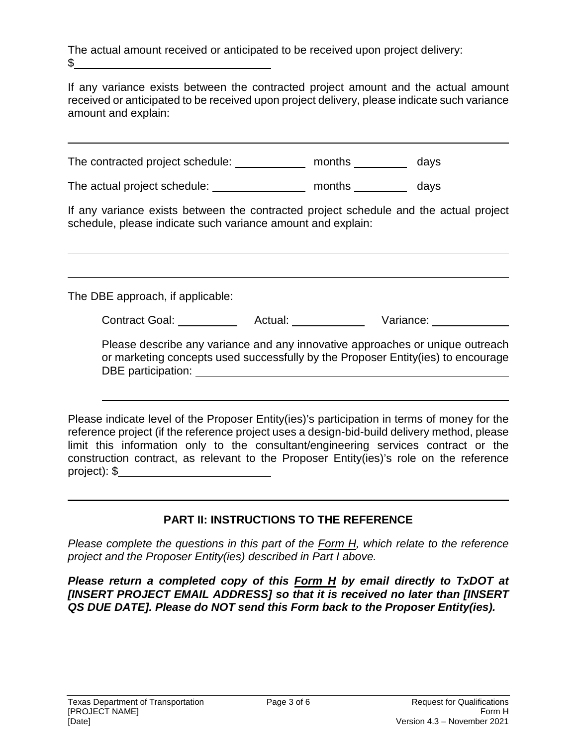The actual amount received or anticipated to be received upon project delivery:  $\mathbb S$ 

If any variance exists between the contracted project amount and the actual amount received or anticipated to be received upon project delivery, please indicate such variance amount and explain:

The contracted project schedule: \_\_\_\_\_\_\_\_\_\_\_\_ months \_\_\_\_\_\_\_\_\_\_ days

The actual project schedule: months days

If any variance exists between the contracted project schedule and the actual project schedule, please indicate such variance amount and explain:

The DBE approach, if applicable:

Contract Goal: Actual: Variance:

Please describe any variance and any innovative approaches or unique outreach or marketing concepts used successfully by the Proposer Entity(ies) to encourage DBE participation:

Please indicate level of the Proposer Entity(ies)'s participation in terms of money for the reference project (if the reference project uses a design-bid-build delivery method, please limit this information only to the consultant/engineering services contract or the construction contract, as relevant to the Proposer Entity(ies)'s role on the reference project): \$

## **PART II: INSTRUCTIONS TO THE REFERENCE**

*Please complete the questions in this part of the Form H, which relate to the reference project and the Proposer Entity(ies) described in Part I above.* 

*Please return a completed copy of this Form H by email directly to TxDOT at [INSERT PROJECT EMAIL ADDRESS] so that it is received no later than [INSERT QS DUE DATE]. Please do NOT send this Form back to the Proposer Entity(ies).*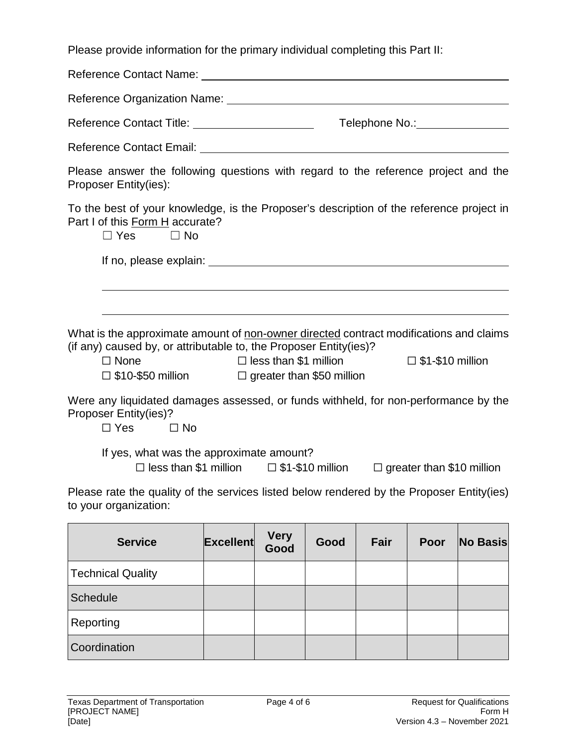Please provide information for the primary individual completing this Part II:

Reference Contact Name: Reference Organization Name: Reference Contact Title: Telephone No.: Reference Contact Email: **Example 2018** Please answer the following questions with regard to the reference project and the Proposer Entity(ies): To the best of your knowledge, is the Proposer's description of the reference project in Part I of this Form H accurate?  $\Box$  Yes  $\Box$  No If no, please explain: What is the approximate amount of non-owner directed contract modifications and claims (if any) caused by, or attributable to, the Proposer Entity(ies)? ☐ None ☐ less than \$1 million ☐ \$1-\$10 million ☐ \$10-\$50 million ☐ greater than \$50 million Were any liquidated damages assessed, or funds withheld, for non-performance by the Proposer Entity(ies)?  $\Box$  Yes  $\Box$  No If yes, what was the approximate amount? ☐ less than \$1 million ☐ \$1-\$10 million ☐ greater than \$10 million Please rate the quality of the services listed below rendered by the Proposer Entity(ies) to your organization: **Service Excellent Very Good Good Fair Poor No Basis**

|                          | ouu |  |  |
|--------------------------|-----|--|--|
| <b>Technical Quality</b> |     |  |  |
| Schedule                 |     |  |  |
| Reporting                |     |  |  |
| Coordination             |     |  |  |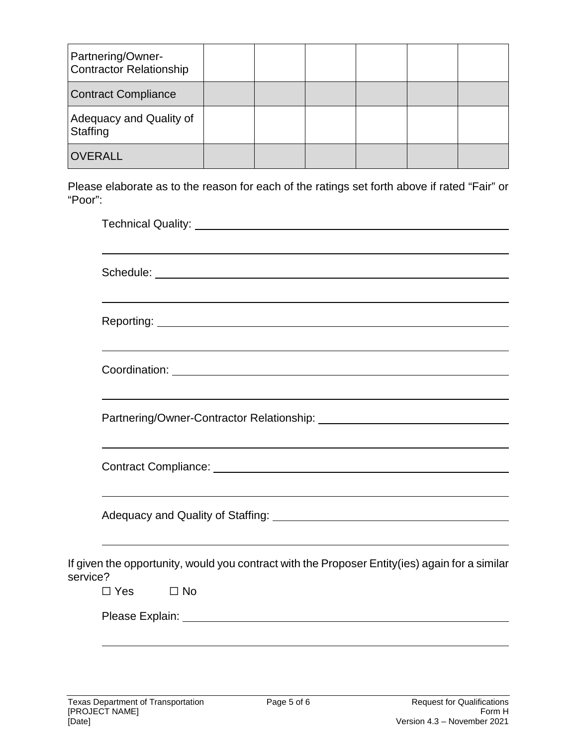| Partnering/Owner-<br><b>Contractor Relationship</b> |  |  |  |
|-----------------------------------------------------|--|--|--|
| <b>Contract Compliance</b>                          |  |  |  |
| Adequacy and Quality of<br>Staffing                 |  |  |  |
| <b>OVERALL</b>                                      |  |  |  |

Please elaborate as to the reason for each of the ratings set forth above if rated "Fair" or "Poor":

|          | <u> 1989 - Johann Stoff, deutscher Stoffen und der Stoffen und der Stoffen und der Stoffen und der Stoffen und de</u>                                                                                      |
|----------|------------------------------------------------------------------------------------------------------------------------------------------------------------------------------------------------------------|
|          |                                                                                                                                                                                                            |
| service? | ,我们也不会有什么。""我们的人,我们也不会有什么?""我们的人,我们也不会有什么?""我们的人,我们也不会有什么?""我们的人,我们也不会有什么?""我们的人<br>If given the opportunity, would you contract with the Proposer Entity(ies) again for a similar<br>$\Box$ Yes $\Box$ No |
|          |                                                                                                                                                                                                            |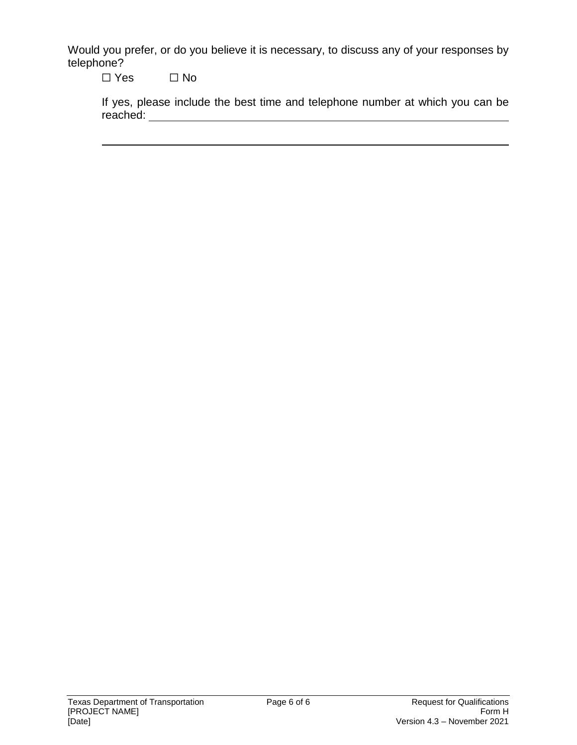Would you prefer, or do you believe it is necessary, to discuss any of your responses by telephone?

☐ Yes ☐ No

|          |  |  |  | If yes, please include the best time and telephone number at which you can be |  |  |  |
|----------|--|--|--|-------------------------------------------------------------------------------|--|--|--|
| reached: |  |  |  |                                                                               |  |  |  |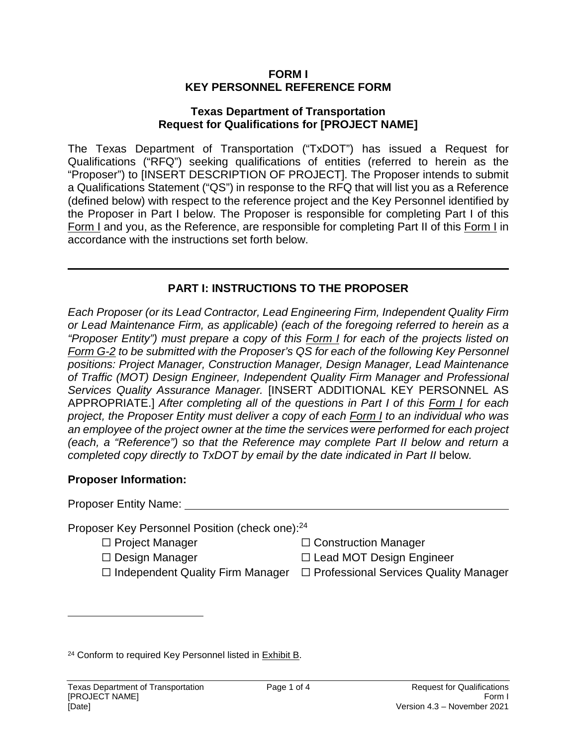#### **FORM I KEY PERSONNEL REFERENCE FORM**

#### **Texas Department of Transportation Request for Qualifications for [PROJECT NAME]**

The Texas Department of Transportation ("TxDOT") has issued a Request for Qualifications ("RFQ") seeking qualifications of entities (referred to herein as the "Proposer") to [INSERT DESCRIPTION OF PROJECT]. The Proposer intends to submit a Qualifications Statement ("QS") in response to the RFQ that will list you as a Reference (defined below) with respect to the reference project and the Key Personnel identified by the Proposer in Part I below. The Proposer is responsible for completing Part I of this Form I and you, as the Reference, are responsible for completing Part II of this Form I in accordance with the instructions set forth below.

## **PART I: INSTRUCTIONS TO THE PROPOSER**

*Each Proposer (or its Lead Contractor, Lead Engineering Firm, Independent Quality Firm or Lead Maintenance Firm, as applicable) (each of the foregoing referred to herein as a "Proposer Entity") must prepare a copy of this Form I for each of the projects listed on Form G-2 to be submitted with the Proposer's QS for each of the following Key Personnel positions: Project Manager, Construction Manager, Design Manager, Lead Maintenance of Traffic (MOT) Design Engineer, Independent Quality Firm Manager and Professional Services Quality Assurance Manager.* [INSERT ADDITIONAL KEY PERSONNEL AS APPROPRIATE.] *After completing all of the questions in Part I of this Form I for each project, the Proposer Entity must deliver a copy of each Form I to an individual who was an employee of the project owner at the time the services were performed for each project (each, a "Reference") so that the Reference may complete Part II below and return a completed copy directly to TxDOT by email by the date indicated in Part II below.* 

#### **Proposer Information:**

| Proposer Entity Name: |  |
|-----------------------|--|
|                       |  |

Proposer Key Personnel Position (check one):<sup>24</sup>

- ☐ Project Manager ☐ Construction Manager
- 
- 
- ☐ Design Manager ☐ Lead MOT Design Engineer
- ☐ Independent Quality Firm Manager ☐ Professional Services Quality Manager

<sup>24</sup> Conform to required Key Personnel listed in Exhibit B.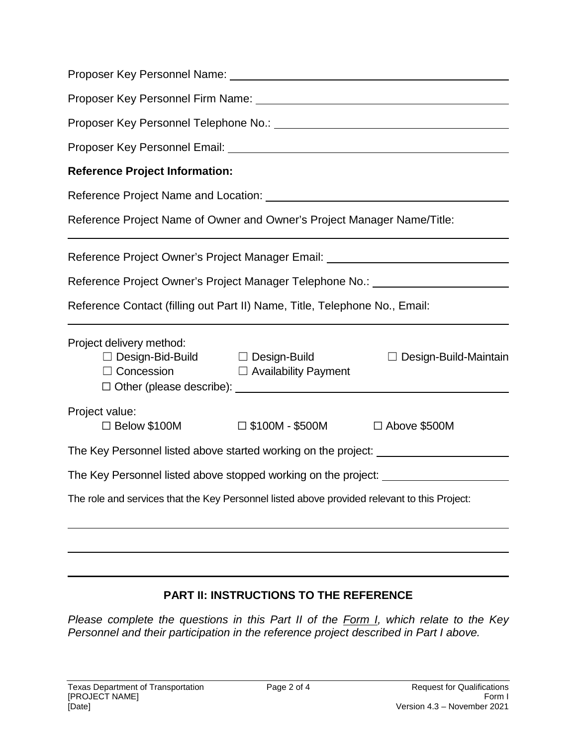| <b>Reference Project Information:</b>                                                        |                             |                              |  |  |  |  |  |  |  |
|----------------------------------------------------------------------------------------------|-----------------------------|------------------------------|--|--|--|--|--|--|--|
|                                                                                              |                             |                              |  |  |  |  |  |  |  |
| Reference Project Name of Owner and Owner's Project Manager Name/Title:                      |                             |                              |  |  |  |  |  |  |  |
| Reference Project Owner's Project Manager Email: _______________________________             |                             |                              |  |  |  |  |  |  |  |
| Reference Project Owner's Project Manager Telephone No.: _______________________             |                             |                              |  |  |  |  |  |  |  |
| Reference Contact (filling out Part II) Name, Title, Telephone No., Email:                   |                             |                              |  |  |  |  |  |  |  |
| Project delivery method:<br>$\Box$ Design-Bid-Build $\Box$ Design-Build<br>$\Box$ Concession | $\Box$ Availability Payment | $\Box$ Design-Build-Maintain |  |  |  |  |  |  |  |
| Project value:<br>$\Box$ Below \$100M                                                        | $\square$ \$100M - \$500M   | □ Above \$500M               |  |  |  |  |  |  |  |
| The Key Personnel listed above started working on the project: _________________             |                             |                              |  |  |  |  |  |  |  |
| The Key Personnel listed above stopped working on the project: _________________             |                             |                              |  |  |  |  |  |  |  |
| The role and services that the Key Personnel listed above provided relevant to this Project: |                             |                              |  |  |  |  |  |  |  |
|                                                                                              |                             |                              |  |  |  |  |  |  |  |
|                                                                                              |                             |                              |  |  |  |  |  |  |  |

## **PART II: INSTRUCTIONS TO THE REFERENCE**

*Please complete the questions in this Part II of the Form I, which relate to the Key Personnel and their participation in the reference project described in Part I above.*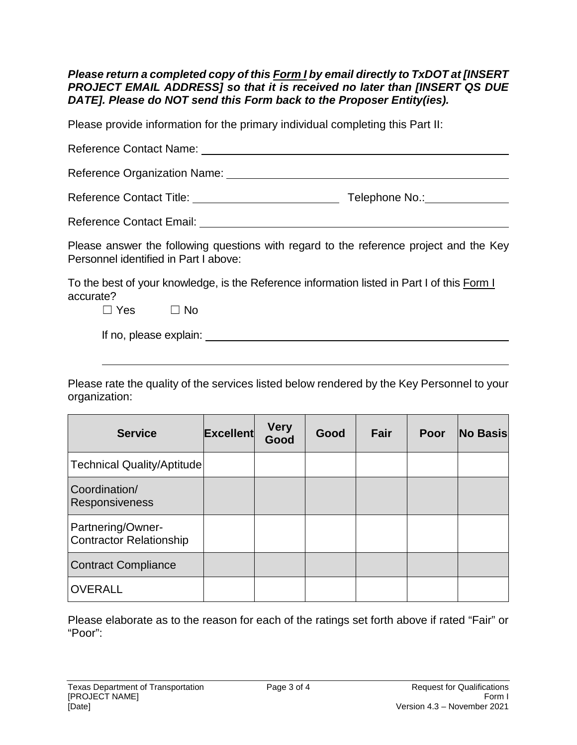### *Please return a completed copy of this Form I by email directly to TxDOT at [INSERT PROJECT EMAIL ADDRESS] so that it is received no later than [INSERT QS DUE DATE]. Please do NOT send this Form back to the Proposer Entity(ies).*

Please provide information for the primary individual completing this Part II:

| Reference Organization Name: Names                                                                                              |                                                                                                                |
|---------------------------------------------------------------------------------------------------------------------------------|----------------------------------------------------------------------------------------------------------------|
|                                                                                                                                 | Telephone No.: No.: Note that the set of the set of the set of the set of the set of the set of the set of the |
|                                                                                                                                 |                                                                                                                |
| Please answer the following questions with regard to the reference project and the Key<br>Personnel identified in Part I above: |                                                                                                                |
| To the best of your knowledge, is the Reference information listed in Part I of this Form I<br>accurate?                        |                                                                                                                |
| $\Box$ Yes $\Box$ No                                                                                                            |                                                                                                                |
| If no, please explain:                                                                                                          |                                                                                                                |

Please rate the quality of the services listed below rendered by the Key Personnel to your organization:

| <b>Service</b>                                      | <b>Excellent</b> | <b>Very</b><br>Good | Good | Fair | Poor | <b>No Basis</b> |
|-----------------------------------------------------|------------------|---------------------|------|------|------|-----------------|
| <b>Technical Quality/Aptitude</b>                   |                  |                     |      |      |      |                 |
| Coordination/<br>Responsiveness                     |                  |                     |      |      |      |                 |
| Partnering/Owner-<br><b>Contractor Relationship</b> |                  |                     |      |      |      |                 |
| <b>Contract Compliance</b>                          |                  |                     |      |      |      |                 |
| <b>OVERALL</b>                                      |                  |                     |      |      |      |                 |

Please elaborate as to the reason for each of the ratings set forth above if rated "Fair" or "Poor":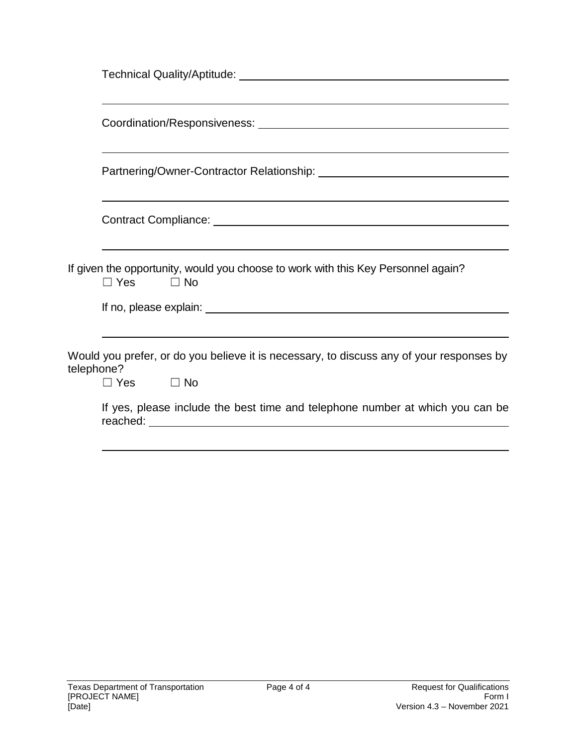|            | ,我们也不能在这里的时候,我们也不能在这里的时候,我们也不能会在这里,我们也不能会不能会不能会不能会不能会不能会不能会。<br>第2012章 我们的时候,我们的时候,我们的时候,我们的时候,我们的时候,我们的时候,我们的时候,我们的时候,我们的时候,我们的时候,我们的时候,我们的时候,我 |
|------------|--------------------------------------------------------------------------------------------------------------------------------------------------|
|            | If given the opportunity, would you choose to work with this Key Personnel again?<br>$\Box$ Yes $\Box$ No                                        |
|            |                                                                                                                                                  |
| telephone? | Would you prefer, or do you believe it is necessary, to discuss any of your responses by<br>$\Box$ Yes $\Box$ No                                 |
|            | If yes, please include the best time and telephone number at which you can be                                                                    |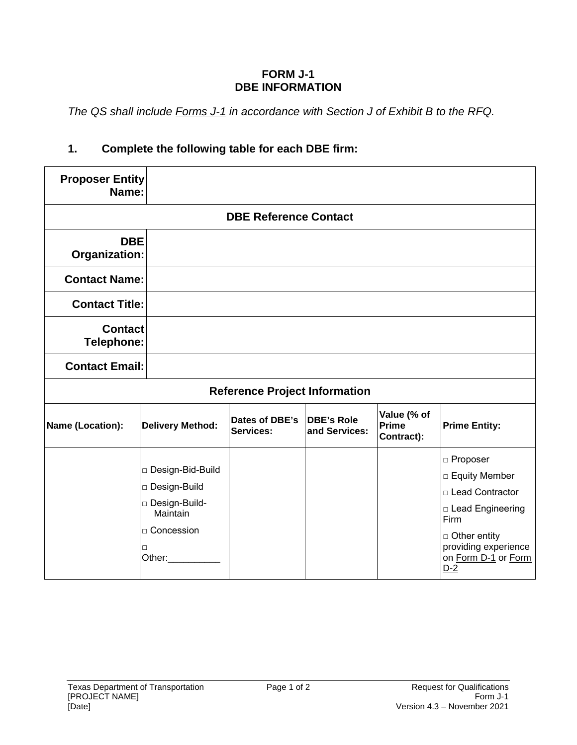### **FORM J-1 DBE INFORMATION**

*The QS shall include Forms J-1 in accordance with Section J of Exhibit B to the RFQ.* 

# **1. Complete the following table for each DBE firm:**

| <b>Proposer Entity</b><br>Name:     |                                                                                                         |                                      |                                    |                                           |                                                                                                                                                            |
|-------------------------------------|---------------------------------------------------------------------------------------------------------|--------------------------------------|------------------------------------|-------------------------------------------|------------------------------------------------------------------------------------------------------------------------------------------------------------|
|                                     |                                                                                                         | <b>DBE Reference Contact</b>         |                                    |                                           |                                                                                                                                                            |
| <b>DBE</b><br><b>Organization:</b>  |                                                                                                         |                                      |                                    |                                           |                                                                                                                                                            |
| <b>Contact Name:</b>                |                                                                                                         |                                      |                                    |                                           |                                                                                                                                                            |
| <b>Contact Title:</b>               |                                                                                                         |                                      |                                    |                                           |                                                                                                                                                            |
| <b>Contact</b><br><b>Telephone:</b> |                                                                                                         |                                      |                                    |                                           |                                                                                                                                                            |
| <b>Contact Email:</b>               |                                                                                                         |                                      |                                    |                                           |                                                                                                                                                            |
|                                     |                                                                                                         | <b>Reference Project Information</b> |                                    |                                           |                                                                                                                                                            |
| Name (Location):                    | <b>Delivery Method:</b>                                                                                 | Dates of DBE's<br>Services:          | <b>DBE's Role</b><br>and Services: | Value (% of<br><b>Prime</b><br>Contract): | <b>Prime Entity:</b>                                                                                                                                       |
|                                     | □ Design-Bid-Build<br>□ Design-Build<br>□ Design-Build-<br>Maintain<br>□ Concession<br>$\Box$<br>Other: |                                      |                                    |                                           | □ Proposer<br>□ Equity Member<br>□ Lead Contractor<br>□ Lead Engineering<br>Firm<br>□ Other entity<br>providing experience<br>on Form D-1 or Form<br>$D-2$ |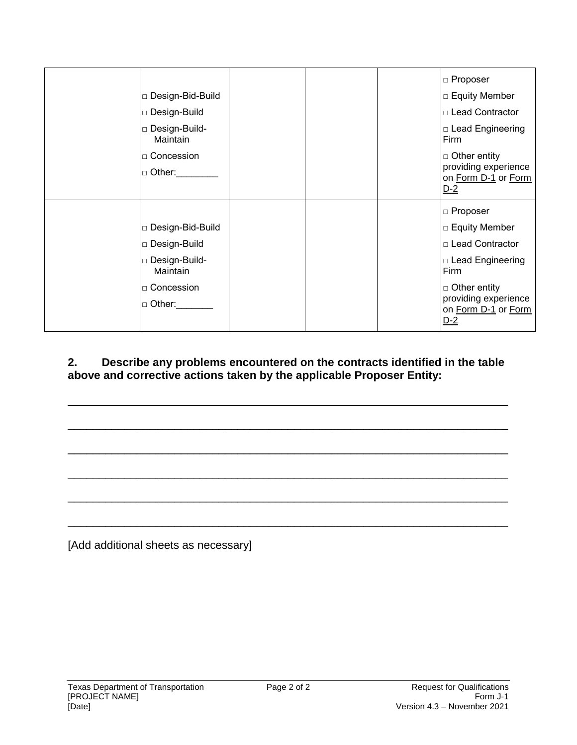|                             |  | □ Proposer                                                |
|-----------------------------|--|-----------------------------------------------------------|
| □ Design-Bid-Build          |  | □ Equity Member                                           |
| □ Design-Build              |  | □ Lead Contractor                                         |
| □ Design-Build-<br>Maintain |  | □ Lead Engineering<br>Firm                                |
| □ Concession                |  | $\Box$ Other entity                                       |
| □ Other:                    |  | providing experience<br>on Form D-1 or Form<br>$D-2$      |
|                             |  | □ Proposer                                                |
| □ Design-Bid-Build          |  | □ Equity Member                                           |
| □ Design-Build              |  | □ Lead Contractor                                         |
| □ Design-Build-<br>Maintain |  | □ Lead Engineering<br>Firm                                |
| □ Concession                |  | □ Other entity                                            |
| □ Other:                    |  | providing experience<br>on Form D-1 or Form<br><u>D-2</u> |

**2. Describe any problems encountered on the contracts identified in the table above and corrective actions taken by the applicable Proposer Entity:** 

 $\overline{\phantom{a}}$  ,  $\overline{\phantom{a}}$  ,  $\overline{\phantom{a}}$  ,  $\overline{\phantom{a}}$  ,  $\overline{\phantom{a}}$  ,  $\overline{\phantom{a}}$  ,  $\overline{\phantom{a}}$  ,  $\overline{\phantom{a}}$  ,  $\overline{\phantom{a}}$  ,  $\overline{\phantom{a}}$  ,  $\overline{\phantom{a}}$  ,  $\overline{\phantom{a}}$  ,  $\overline{\phantom{a}}$  ,  $\overline{\phantom{a}}$  ,  $\overline{\phantom{a}}$  ,  $\overline{\phantom{a}}$ 

\_\_\_\_\_\_\_\_\_\_\_\_\_\_\_\_\_\_\_\_\_\_\_\_\_\_\_\_\_\_\_\_\_\_\_\_\_\_\_\_\_\_\_\_\_\_\_\_\_\_\_\_\_\_\_\_\_\_\_\_\_\_\_\_\_\_\_\_\_\_

\_\_\_\_\_\_\_\_\_\_\_\_\_\_\_\_\_\_\_\_\_\_\_\_\_\_\_\_\_\_\_\_\_\_\_\_\_\_\_\_\_\_\_\_\_\_\_\_\_\_\_\_\_\_\_\_\_\_\_\_\_\_\_\_\_\_\_\_\_\_

\_\_\_\_\_\_\_\_\_\_\_\_\_\_\_\_\_\_\_\_\_\_\_\_\_\_\_\_\_\_\_\_\_\_\_\_\_\_\_\_\_\_\_\_\_\_\_\_\_\_\_\_\_\_\_\_\_\_\_\_\_\_\_\_\_\_\_\_\_\_

\_\_\_\_\_\_\_\_\_\_\_\_\_\_\_\_\_\_\_\_\_\_\_\_\_\_\_\_\_\_\_\_\_\_\_\_\_\_\_\_\_\_\_\_\_\_\_\_\_\_\_\_\_\_\_\_\_\_\_\_\_\_\_\_\_\_\_\_\_\_

\_\_\_\_\_\_\_\_\_\_\_\_\_\_\_\_\_\_\_\_\_\_\_\_\_\_\_\_\_\_\_\_\_\_\_\_\_\_\_\_\_\_\_\_\_\_\_\_\_\_\_\_\_\_\_\_\_\_\_\_\_\_\_\_\_\_\_\_\_\_

[Add additional sheets as necessary]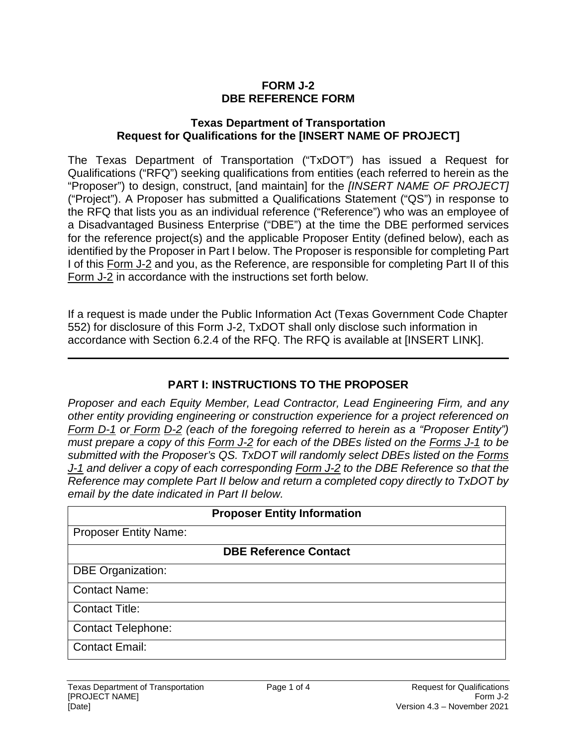### **FORM J-2 DBE REFERENCE FORM**

#### **Texas Department of Transportation Request for Qualifications for the [INSERT NAME OF PROJECT]**

The Texas Department of Transportation ("TxDOT") has issued a Request for Qualifications ("RFQ") seeking qualifications from entities (each referred to herein as the "Proposer") to design, construct, [and maintain] for the *[INSERT NAME OF PROJECT]* ("Project"). A Proposer has submitted a Qualifications Statement ("QS") in response to the RFQ that lists you as an individual reference ("Reference") who was an employee of a Disadvantaged Business Enterprise ("DBE") at the time the DBE performed services for the reference project(s) and the applicable Proposer Entity (defined below), each as identified by the Proposer in Part I below. The Proposer is responsible for completing Part I of this Form J-2 and you, as the Reference, are responsible for completing Part II of this Form J-2 in accordance with the instructions set forth below.

If a request is made under the Public Information Act (Texas Government Code Chapter 552) for disclosure of this Form J-2, TxDOT shall only disclose such information in accordance with Section 6.2.4 of the RFQ. The RFQ is available at [INSERT LINK].

## **PART I: INSTRUCTIONS TO THE PROPOSER**

*Proposer and each Equity Member, Lead Contractor, Lead Engineering Firm, and any other entity providing engineering or construction experience for a project referenced on Form D-1 or Form D-2 (each of the foregoing referred to herein as a "Proposer Entity") must prepare a copy of this Form J-2 for each of the DBEs listed on the Forms J-1 to be submitted with the Proposer's QS. TxDOT will randomly select DBEs listed on the Forms J-1 and deliver a copy of each corresponding Form J-2 to the DBE Reference so that the Reference may complete Part II below and return a completed copy directly to TxDOT by email by the date indicated in Part II below.* 

| <b>Proposer Entity Information</b> |  |  |  |  |
|------------------------------------|--|--|--|--|
| <b>Proposer Entity Name:</b>       |  |  |  |  |
| <b>DBE Reference Contact</b>       |  |  |  |  |
| <b>DBE Organization:</b>           |  |  |  |  |
| <b>Contact Name:</b>               |  |  |  |  |
| <b>Contact Title:</b>              |  |  |  |  |
| <b>Contact Telephone:</b>          |  |  |  |  |
| <b>Contact Email:</b>              |  |  |  |  |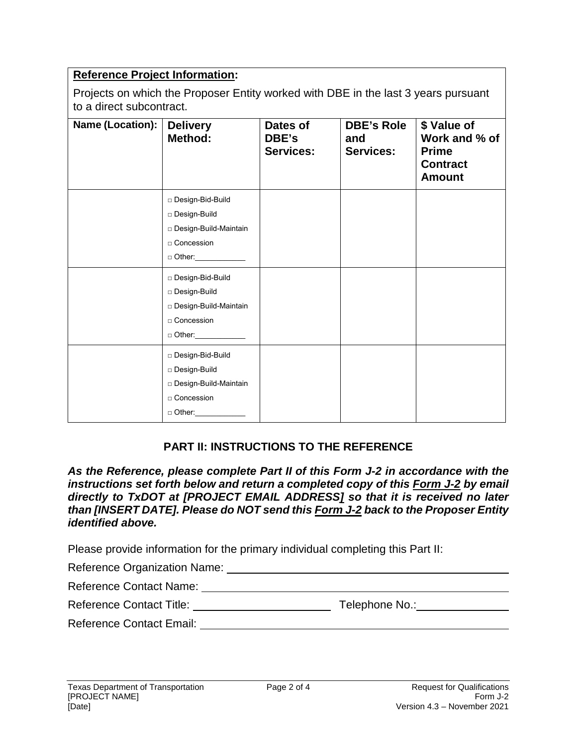## **Reference Project Information:**

Projects on which the Proposer Entity worked with DBE in the last 3 years pursuant to a direct subcontract.

| Name (Location): | <b>Delivery</b><br>Method:                                                                                                                                                                               | Dates of<br>DBE's<br><b>Services:</b> | <b>DBE's Role</b><br>and<br><b>Services:</b> | \$ Value of<br>Work and % of<br><b>Prime</b><br><b>Contract</b><br><b>Amount</b> |
|------------------|----------------------------------------------------------------------------------------------------------------------------------------------------------------------------------------------------------|---------------------------------------|----------------------------------------------|----------------------------------------------------------------------------------|
|                  | □ Design-Bid-Build<br>Design-Build<br>□ Design-Build-Maintain<br>□ Concession<br>□ Other:_____________<br>□ Design-Bid-Build<br>Design-Build<br>□ Design-Build-Maintain<br>□ Concession<br>$\Box$ Other: |                                       |                                              |                                                                                  |
|                  | □ Design-Bid-Build<br>□ Design-Build<br>□ Design-Build-Maintain<br>□ Concession<br>$\Box$ Other:                                                                                                         |                                       |                                              |                                                                                  |

## **PART II: INSTRUCTIONS TO THE REFERENCE**

*As the Reference, please complete Part II of this Form J-2 in accordance with the instructions set forth below and return a completed copy of this Form J-2 by email directly to TxDOT at [PROJECT EMAIL ADDRESS] so that it is received no later than [INSERT DATE]. Please do NOT send this Form J-2 back to the Proposer Entity identified above.* 

Please provide information for the primary individual completing this Part II:

| Reference Organization Name:    |                |  |
|---------------------------------|----------------|--|
| <b>Reference Contact Name:</b>  |                |  |
| <b>Reference Contact Title:</b> | Telephone No.: |  |
| <b>Reference Contact Email:</b> |                |  |
|                                 |                |  |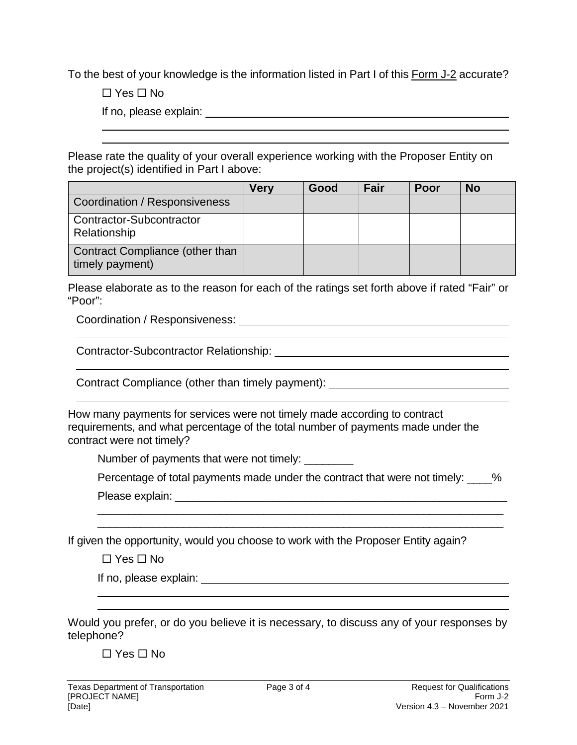To the best of your knowledge is the information listed in Part I of this Form J-2 accurate?

 $\Box$  Yes  $\Box$  No

If no, please explain:

Please rate the quality of your overall experience working with the Proposer Entity on the project(s) identified in Part I above:

|                                                    | <b>Very</b> | Good | Fair | <b>Poor</b> | <b>No</b> |
|----------------------------------------------------|-------------|------|------|-------------|-----------|
| Coordination / Responsiveness                      |             |      |      |             |           |
| Contractor-Subcontractor<br>Relationship           |             |      |      |             |           |
| Contract Compliance (other than<br>timely payment) |             |      |      |             |           |

Please elaborate as to the reason for each of the ratings set forth above if rated "Fair" or "Poor":

Coordination / Responsiveness:

Contractor-Subcontractor Relationship:

Contract Compliance (other than timely payment): \_\_\_\_\_\_\_\_\_\_\_\_\_\_\_\_\_\_\_\_\_\_\_\_\_\_\_\_\_\_\_

How many payments for services were not timely made according to contract requirements, and what percentage of the total number of payments made under the contract were not timely?

Number of payments that were not timely: \_\_\_\_\_\_\_\_\_

Percentage of total payments made under the contract that were not timely: \_\_\_\_%

 $\overline{\phantom{a}}$  , and the contribution of the contribution of the contribution of the contribution of the contribution of the contribution of the contribution of the contribution of the contribution of the contribution of the \_\_\_\_\_\_\_\_\_\_\_\_\_\_\_\_\_\_\_\_\_\_\_\_\_\_\_\_\_\_\_\_\_\_\_\_\_\_\_\_\_\_\_\_\_\_\_\_\_\_\_\_\_\_\_\_\_\_\_\_\_\_\_\_\_\_

Please explain: \_\_\_\_\_\_\_\_\_\_\_\_\_\_\_\_\_\_\_\_\_\_\_\_\_\_\_\_\_\_\_\_\_\_\_\_\_\_\_\_\_\_\_\_\_\_\_\_\_\_\_\_\_\_

If given the opportunity, would you choose to work with the Proposer Entity again?

 $\Box$  Yes  $\Box$  No

If no, please explain:

Would you prefer, or do you believe it is necessary, to discuss any of your responses by telephone?

 $\Box$  Yes  $\Box$  No